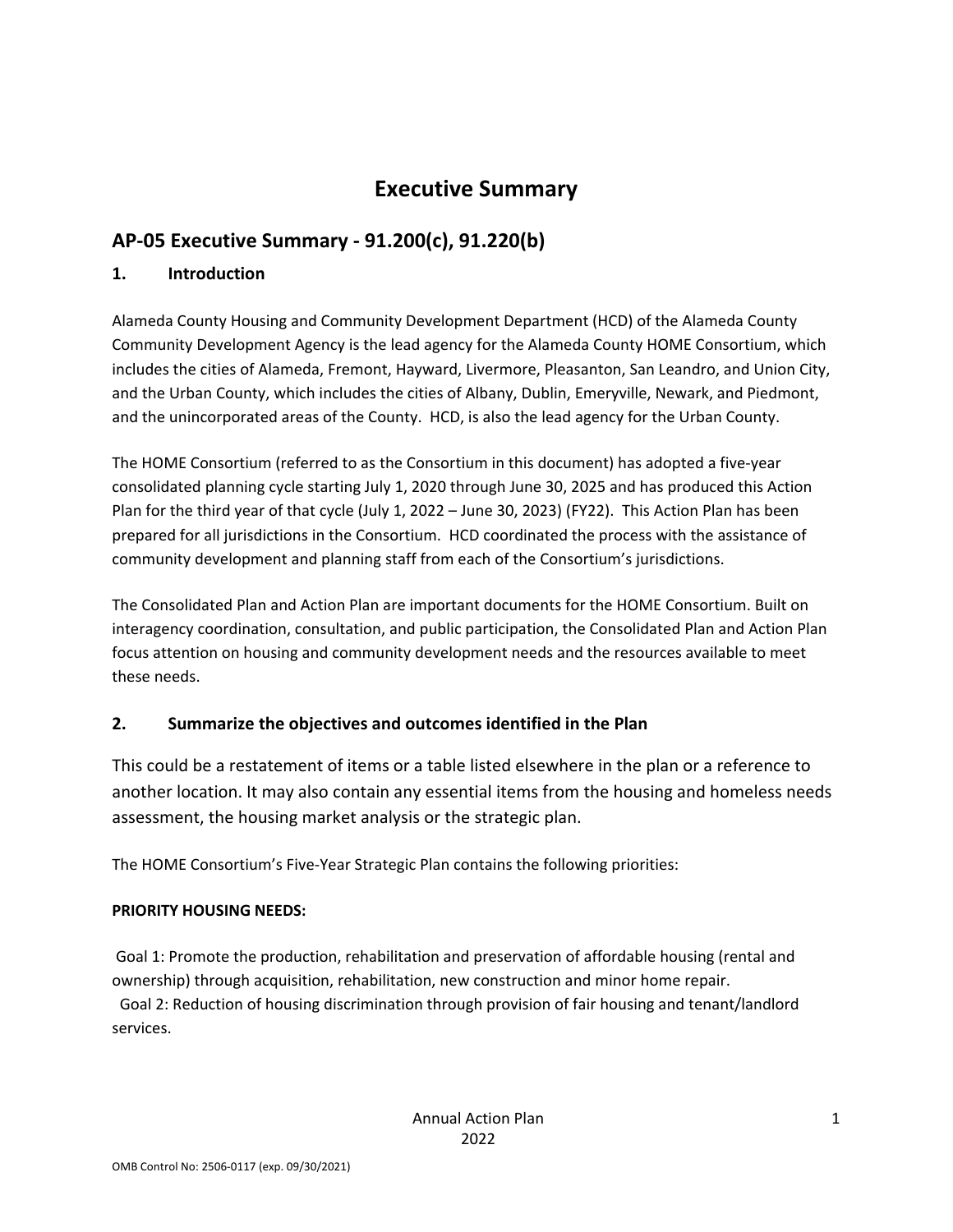# **Executive Summary**

## **AP‐05 Executive Summary ‐ 91.200(c), 91.220(b)**

### **1. Introduction**

Alameda County Housing and Community Development Department (HCD) of the Alameda County Community Development Agency is the lead agency for the Alameda County HOME Consortium, which includes the cities of Alameda, Fremont, Hayward, Livermore, Pleasanton, San Leandro, and Union City, and the Urban County, which includes the cities of Albany, Dublin, Emeryville, Newark, and Piedmont, and the unincorporated areas of the County. HCD, is also the lead agency for the Urban County.

The HOME Consortium (referred to as the Consortium in this document) has adopted a five‐year consolidated planning cycle starting July 1, 2020 through June 30, 2025 and has produced this Action Plan for the third year of that cycle (July 1, 2022 – June 30, 2023) (FY22). This Action Plan has been prepared for all jurisdictions in the Consortium. HCD coordinated the process with the assistance of community development and planning staff from each of the Consortium's jurisdictions.

The Consolidated Plan and Action Plan are important documents for the HOME Consortium. Built on interagency coordination, consultation, and public participation, the Consolidated Plan and Action Plan focus attention on housing and community development needs and the resources available to meet these needs.

### **2. Summarize the objectives and outcomes identified in the Plan**

This could be a restatement of items or a table listed elsewhere in the plan or a reference to another location. It may also contain any essential items from the housing and homeless needs assessment, the housing market analysis or the strategic plan.

The HOME Consortium's Five‐Year Strategic Plan contains the following priorities:

### **PRIORITY HOUSING NEEDS:**

Goal 1: Promote the production, rehabilitation and preservation of affordable housing (rental and ownership) through acquisition, rehabilitation, new construction and minor home repair.

Goal 2: Reduction of housing discrimination through provision of fair housing and tenant/landlord services.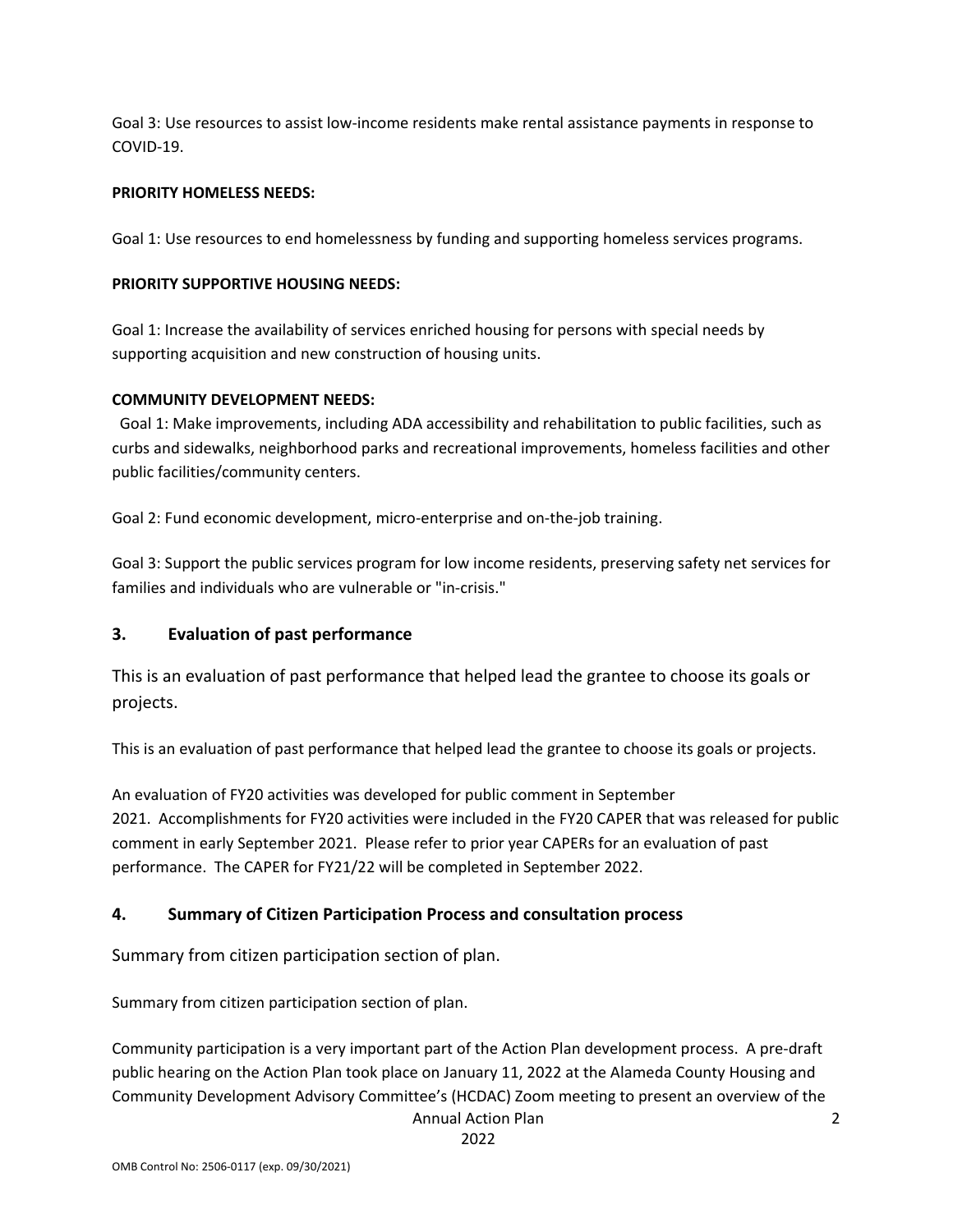Goal 3: Use resources to assist low‐income residents make rental assistance payments in response to COVID‐19.

#### **PRIORITY HOMELESS NEEDS:**

Goal 1: Use resources to end homelessness by funding and supporting homeless services programs.

#### **PRIORITY SUPPORTIVE HOUSING NEEDS:**

Goal 1: Increase the availability of services enriched housing for persons with special needs by supporting acquisition and new construction of housing units.

#### **COMMUNITY DEVELOPMENT NEEDS:**

Goal 1: Make improvements, including ADA accessibility and rehabilitation to public facilities, such as curbs and sidewalks, neighborhood parks and recreational improvements, homeless facilities and other public facilities/community centers.

Goal 2: Fund economic development, micro-enterprise and on-the-job training.

Goal 3: Support the public services program for low income residents, preserving safety net services for families and individuals who are vulnerable or "in‐crisis."

#### **3. Evaluation of past performance**

This is an evaluation of past performance that helped lead the grantee to choose its goals or projects.

This is an evaluation of past performance that helped lead the grantee to choose its goals or projects.

An evaluation of FY20 activities was developed for public comment in September 2021. Accomplishments for FY20 activities were included in the FY20 CAPER that was released for public comment in early September 2021. Please refer to prior year CAPERs for an evaluation of past performance. The CAPER for FY21/22 will be completed in September 2022.

### **4. Summary of Citizen Participation Process and consultation process**

Summary from citizen participation section of plan.

Summary from citizen participation section of plan.

Annual Action Plan Community participation is a very important part of the Action Plan development process. A pre‐draft public hearing on the Action Plan took place on January 11, 2022 at the Alameda County Housing and Community Development Advisory Committee's (HCDAC) Zoom meeting to present an overview of the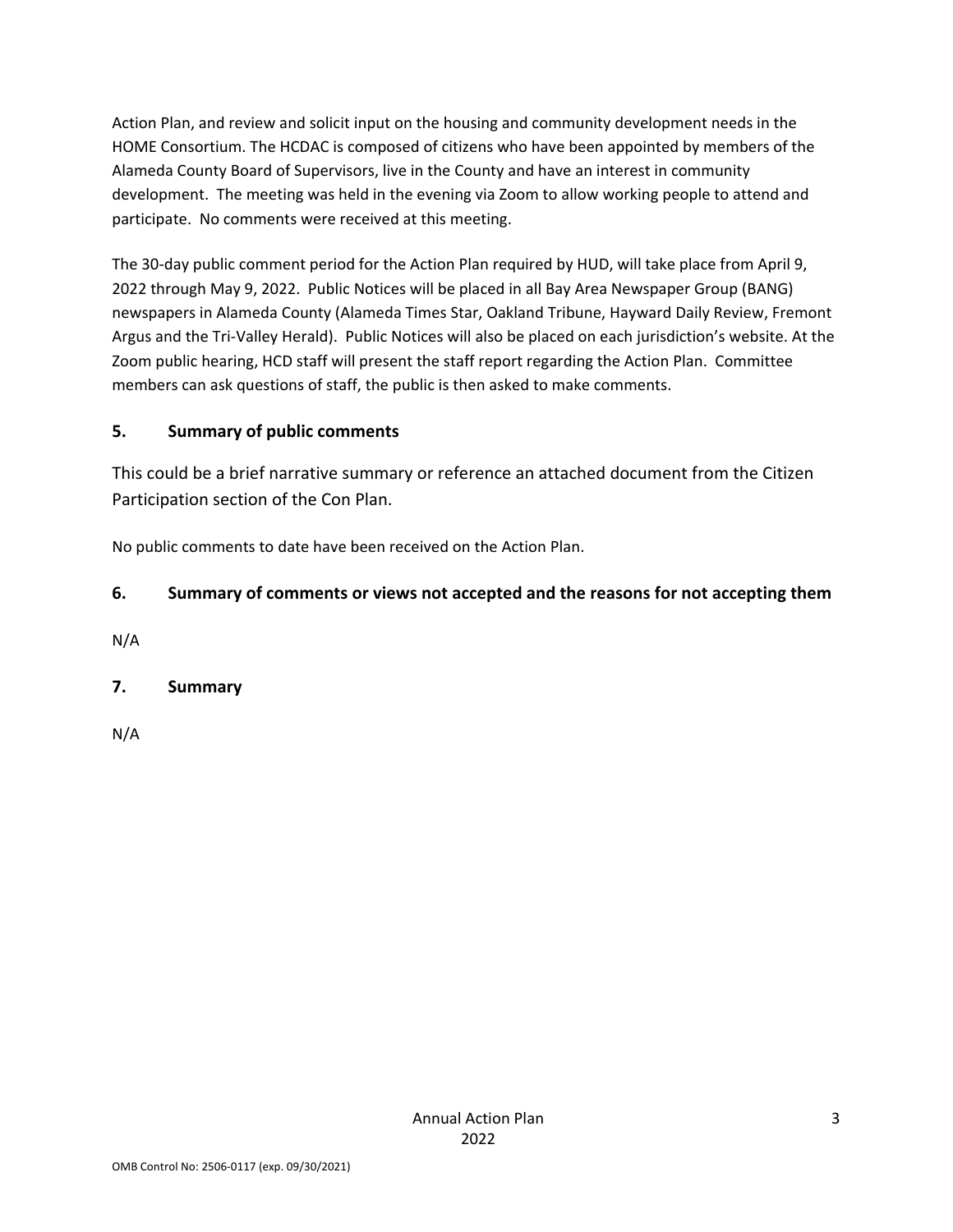Action Plan, and review and solicit input on the housing and community development needs in the HOME Consortium. The HCDAC is composed of citizens who have been appointed by members of the Alameda County Board of Supervisors, live in the County and have an interest in community development. The meeting was held in the evening via Zoom to allow working people to attend and participate. No comments were received at this meeting.

The 30-day public comment period for the Action Plan required by HUD, will take place from April 9, 2022 through May 9, 2022. Public Notices will be placed in all Bay Area Newspaper Group (BANG) newspapers in Alameda County (Alameda Times Star, Oakland Tribune, Hayward Daily Review, Fremont Argus and the Tri‐Valley Herald). Public Notices will also be placed on each jurisdiction's website. At the Zoom public hearing, HCD staff will present the staff report regarding the Action Plan. Committee members can ask questions of staff, the public is then asked to make comments.

## **5. Summary of public comments**

This could be a brief narrative summary or reference an attached document from the Citizen Participation section of the Con Plan.

No public comments to date have been received on the Action Plan.

## **6. Summary of comments or views not accepted and the reasons for not accepting them**

N/A

## **7. Summary**

N/A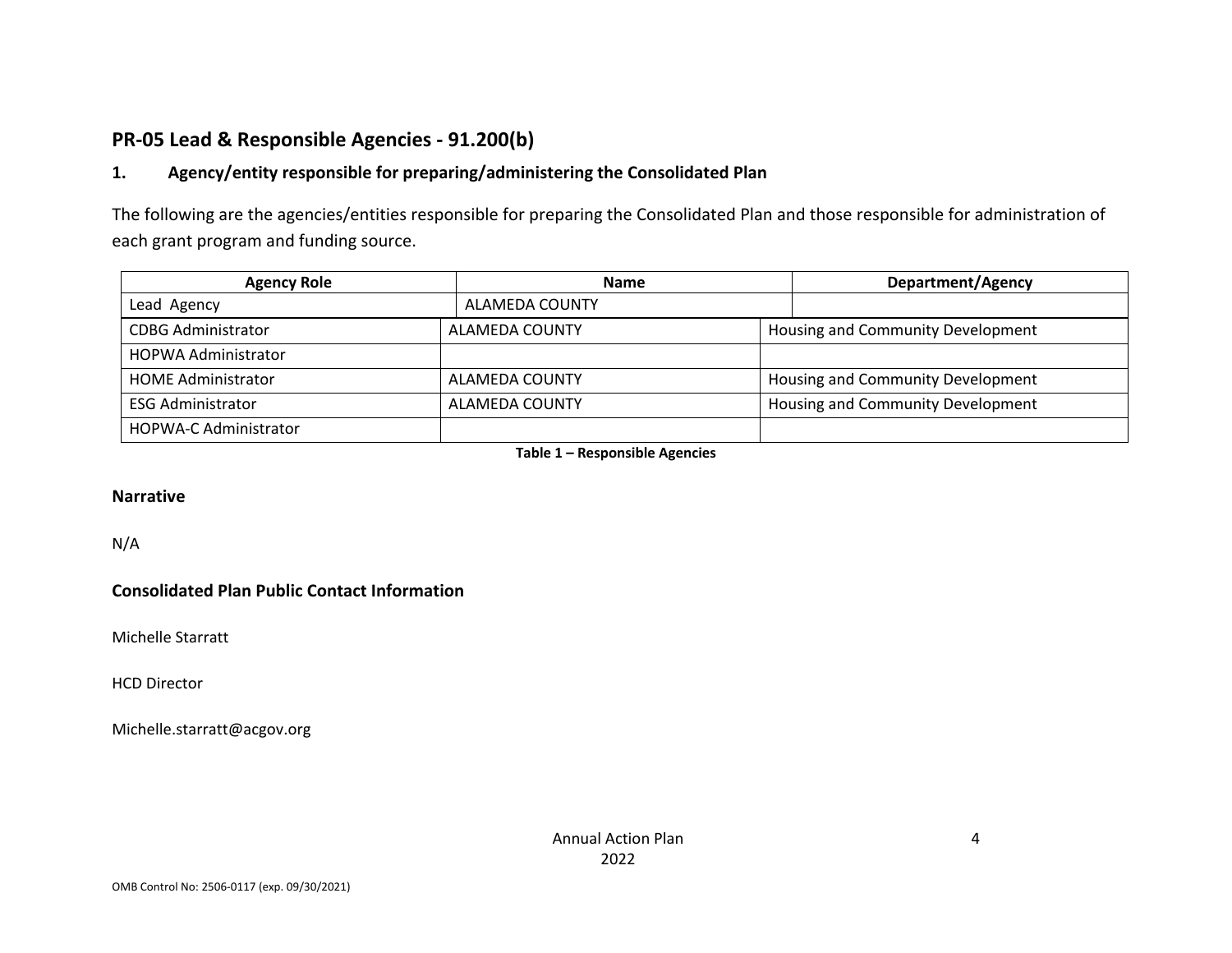## **PR‐05 Lead & Responsible Agencies ‐ 91.200(b)**

#### **1.Agency/entity responsible for preparing/administering the Consolidated Plan**

The following are the agencies/entities responsible for preparing the Consolidated Plan and those responsible for administration of each grant program and funding source.

| <b>Agency Role</b>           | <b>Name</b>    |  | <b>Department/Agency</b>          |  |
|------------------------------|----------------|--|-----------------------------------|--|
| Lead Agency                  | ALAMEDA COUNTY |  |                                   |  |
| <b>CDBG Administrator</b>    | ALAMEDA COUNTY |  | Housing and Community Development |  |
| <b>HOPWA Administrator</b>   |                |  |                                   |  |
| <b>HOME Administrator</b>    | ALAMEDA COUNTY |  | Housing and Community Development |  |
| <b>ESG Administrator</b>     | ALAMEDA COUNTY |  | Housing and Community Development |  |
| <b>HOPWA-C Administrator</b> |                |  |                                   |  |

**Table 1 – Responsible Agencies**

#### **Narrative**

N/A

#### **Consolidated Plan Public Contact Information**

Michelle Starratt

HCD Director

Michelle.starratt@acgov.org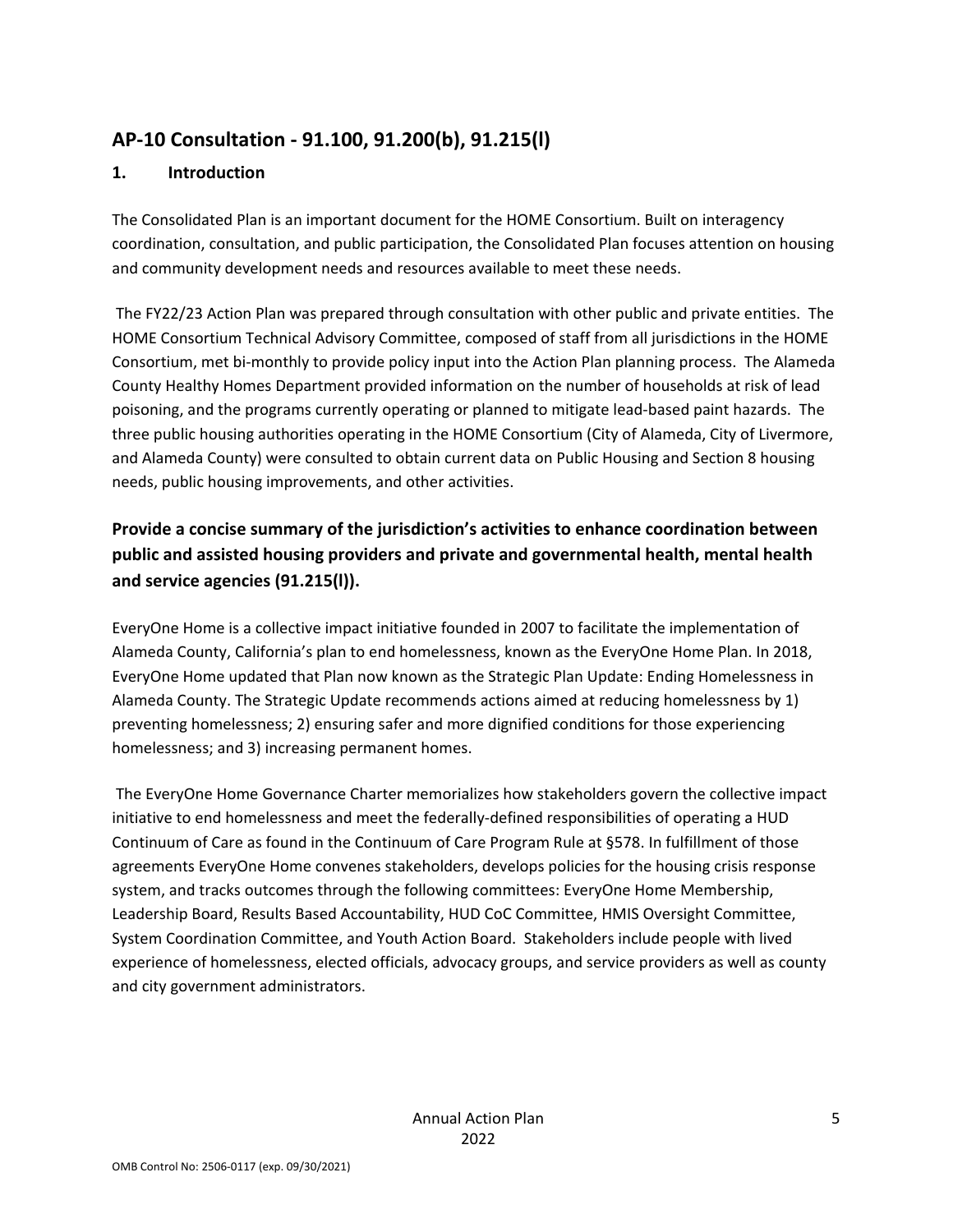## **AP‐10 Consultation ‐ 91.100, 91.200(b), 91.215(l)**

### **1. Introduction**

The Consolidated Plan is an important document for the HOME Consortium. Built on interagency coordination, consultation, and public participation, the Consolidated Plan focuses attention on housing and community development needs and resources available to meet these needs.

The FY22/23 Action Plan was prepared through consultation with other public and private entities. The HOME Consortium Technical Advisory Committee, composed of staff from all jurisdictions in the HOME Consortium, met bi‐monthly to provide policy input into the Action Plan planning process. The Alameda County Healthy Homes Department provided information on the number of households at risk of lead poisoning, and the programs currently operating or planned to mitigate lead‐based paint hazards. The three public housing authorities operating in the HOME Consortium (City of Alameda, City of Livermore, and Alameda County) were consulted to obtain current data on Public Housing and Section 8 housing needs, public housing improvements, and other activities.

## **Provide a concise summary of the jurisdiction's activities to enhance coordination between public and assisted housing providers and private and governmental health, mental health and service agencies (91.215(l)).**

EveryOne Home is a collective impact initiative founded in 2007 to facilitate the implementation of Alameda County, California's plan to end homelessness, known as the EveryOne Home Plan. In 2018, EveryOne Home updated that Plan now known as the Strategic Plan Update: Ending Homelessness in Alameda County. The Strategic Update recommends actions aimed at reducing homelessness by 1) preventing homelessness; 2) ensuring safer and more dignified conditions for those experiencing homelessness; and 3) increasing permanent homes.

The EveryOne Home Governance Charter memorializes how stakeholders govern the collective impact initiative to end homelessness and meet the federally‐defined responsibilities of operating a HUD Continuum of Care as found in the Continuum of Care Program Rule at §578. In fulfillment of those agreements EveryOne Home convenes stakeholders, develops policies for the housing crisis response system, and tracks outcomes through the following committees: EveryOne Home Membership, Leadership Board, Results Based Accountability, HUD CoC Committee, HMIS Oversight Committee, System Coordination Committee, and Youth Action Board. Stakeholders include people with lived experience of homelessness, elected officials, advocacy groups, and service providers as well as county and city government administrators.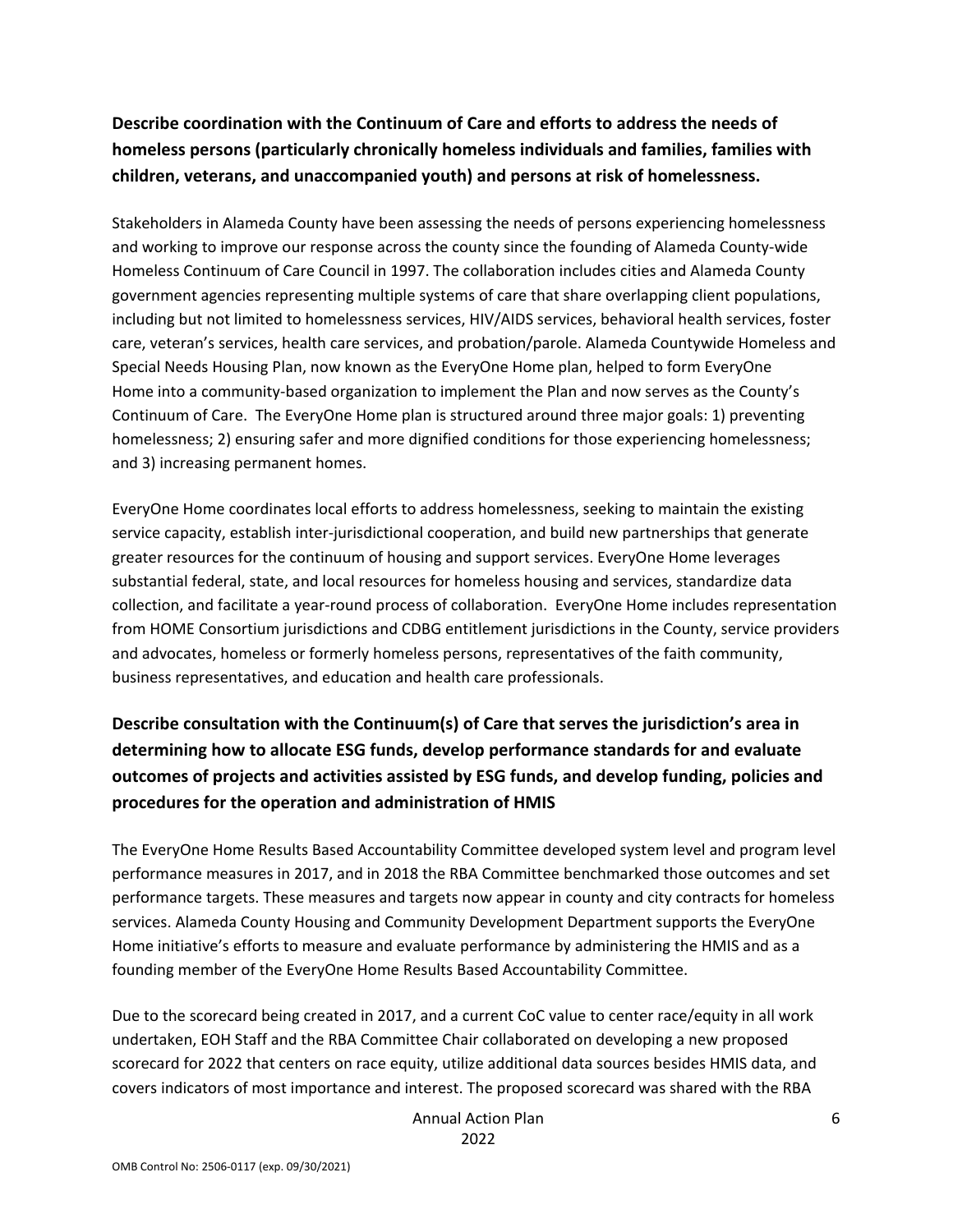## **Describe coordination with the Continuum of Care and efforts to address the needs of homeless persons (particularly chronically homeless individuals and families, families with children, veterans, and unaccompanied youth) and persons at risk of homelessness.**

Stakeholders in Alameda County have been assessing the needs of persons experiencing homelessness and working to improve our response across the county since the founding of Alameda County‐wide Homeless Continuum of Care Council in 1997. The collaboration includes cities and Alameda County government agencies representing multiple systems of care that share overlapping client populations, including but not limited to homelessness services, HIV/AIDS services, behavioral health services, foster care, veteran's services, health care services, and probation/parole. Alameda Countywide Homeless and Special Needs Housing Plan, now known as the EveryOne Home plan, helped to form EveryOne Home into a community-based organization to implement the Plan and now serves as the County's Continuum of Care. The EveryOne Home plan is structured around three major goals: 1) preventing homelessness; 2) ensuring safer and more dignified conditions for those experiencing homelessness; and 3) increasing permanent homes.

EveryOne Home coordinates local efforts to address homelessness, seeking to maintain the existing service capacity, establish inter-jurisdictional cooperation, and build new partnerships that generate greater resources for the continuum of housing and support services. EveryOne Home leverages substantial federal, state, and local resources for homeless housing and services, standardize data collection, and facilitate a year‐round process of collaboration. EveryOne Home includes representation from HOME Consortium jurisdictions and CDBG entitlement jurisdictions in the County, service providers and advocates, homeless or formerly homeless persons, representatives of the faith community, business representatives, and education and health care professionals.

## **Describe consultation with the Continuum(s) of Care that serves the jurisdiction's area in determining how to allocate ESG funds, develop performance standards for and evaluate outcomes of projects and activities assisted by ESG funds, and develop funding, policies and procedures for the operation and administration of HMIS**

The EveryOne Home Results Based Accountability Committee developed system level and program level performance measures in 2017, and in 2018 the RBA Committee benchmarked those outcomes and set performance targets. These measures and targets now appear in county and city contracts for homeless services. Alameda County Housing and Community Development Department supports the EveryOne Home initiative's efforts to measure and evaluate performance by administering the HMIS and as a founding member of the EveryOne Home Results Based Accountability Committee.

Due to the scorecard being created in 2017, and a current CoC value to center race/equity in all work undertaken, EOH Staff and the RBA Committee Chair collaborated on developing a new proposed scorecard for 2022 that centers on race equity, utilize additional data sources besides HMIS data, and covers indicators of most importance and interest. The proposed scorecard was shared with the RBA

> Annual Action Plan 2022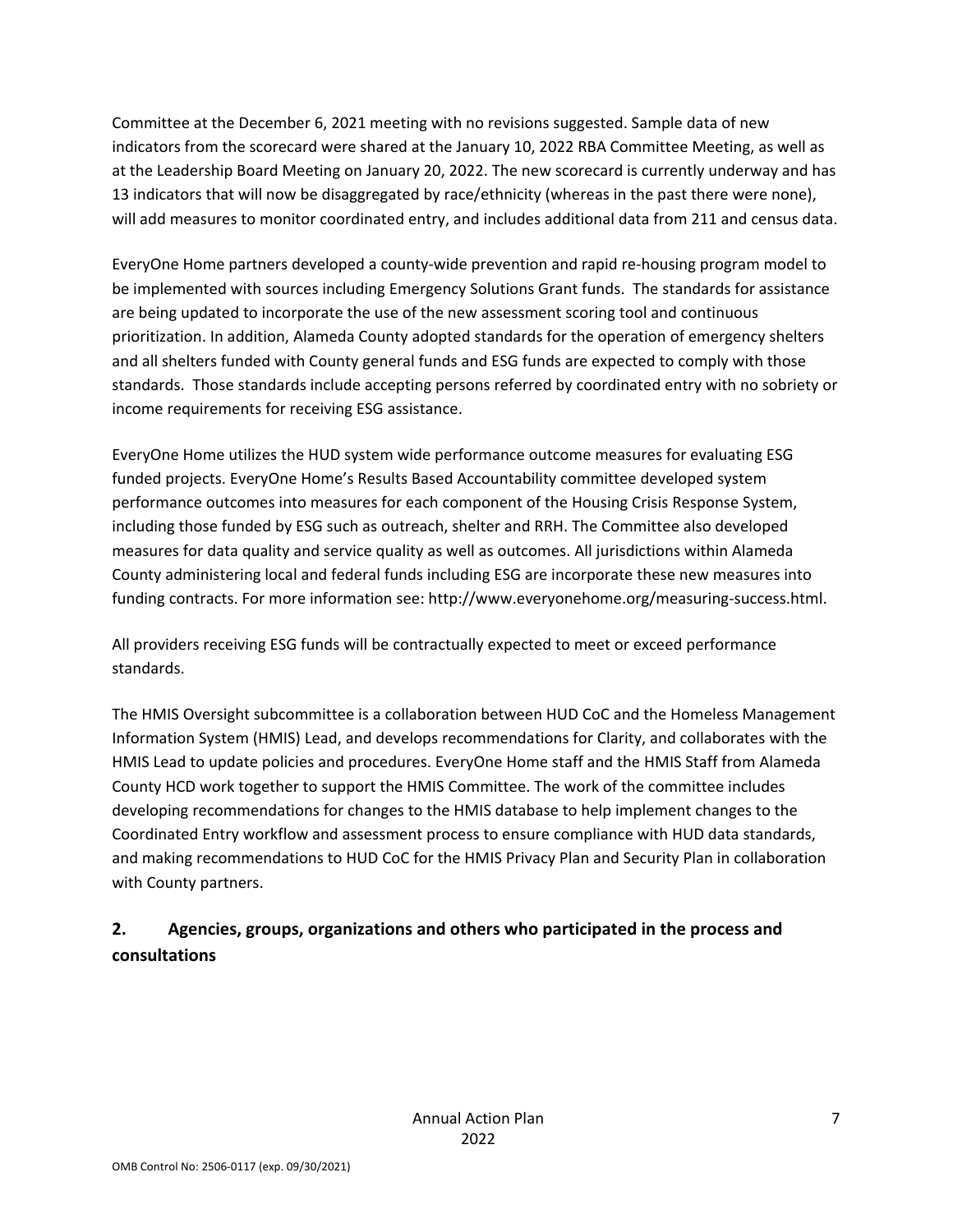Committee at the December 6, 2021 meeting with no revisions suggested. Sample data of new indicators from the scorecard were shared at the January 10, 2022 RBA Committee Meeting, as well as at the Leadership Board Meeting on January 20, 2022. The new scorecard is currently underway and has 13 indicators that will now be disaggregated by race/ethnicity (whereas in the past there were none), will add measures to monitor coordinated entry, and includes additional data from 211 and census data.

EveryOne Home partners developed a county-wide prevention and rapid re-housing program model to be implemented with sources including Emergency Solutions Grant funds. The standards for assistance are being updated to incorporate the use of the new assessment scoring tool and continuous prioritization. In addition, Alameda County adopted standards for the operation of emergency shelters and all shelters funded with County general funds and ESG funds are expected to comply with those standards. Those standards include accepting persons referred by coordinated entry with no sobriety or income requirements for receiving ESG assistance.

EveryOne Home utilizes the HUD system wide performance outcome measures for evaluating ESG funded projects. EveryOne Home's Results Based Accountability committee developed system performance outcomes into measures for each component of the Housing Crisis Response System, including those funded by ESG such as outreach, shelter and RRH. The Committee also developed measures for data quality and service quality as well as outcomes. All jurisdictions within Alameda County administering local and federal funds including ESG are incorporate these new measures into funding contracts. For more information see: http://www.everyonehome.org/measuring‐success.html.

All providers receiving ESG funds will be contractually expected to meet or exceed performance standards.

The HMIS Oversight subcommittee is a collaboration between HUD CoC and the Homeless Management Information System (HMIS) Lead, and develops recommendations for Clarity, and collaborates with the HMIS Lead to update policies and procedures. EveryOne Home staff and the HMIS Staff from Alameda County HCD work together to support the HMIS Committee. The work of the committee includes developing recommendations for changes to the HMIS database to help implement changes to the Coordinated Entry workflow and assessment process to ensure compliance with HUD data standards, and making recommendations to HUD CoC for the HMIS Privacy Plan and Security Plan in collaboration with County partners.

## **2. Agencies, groups, organizations and others who participated in the process and consultations**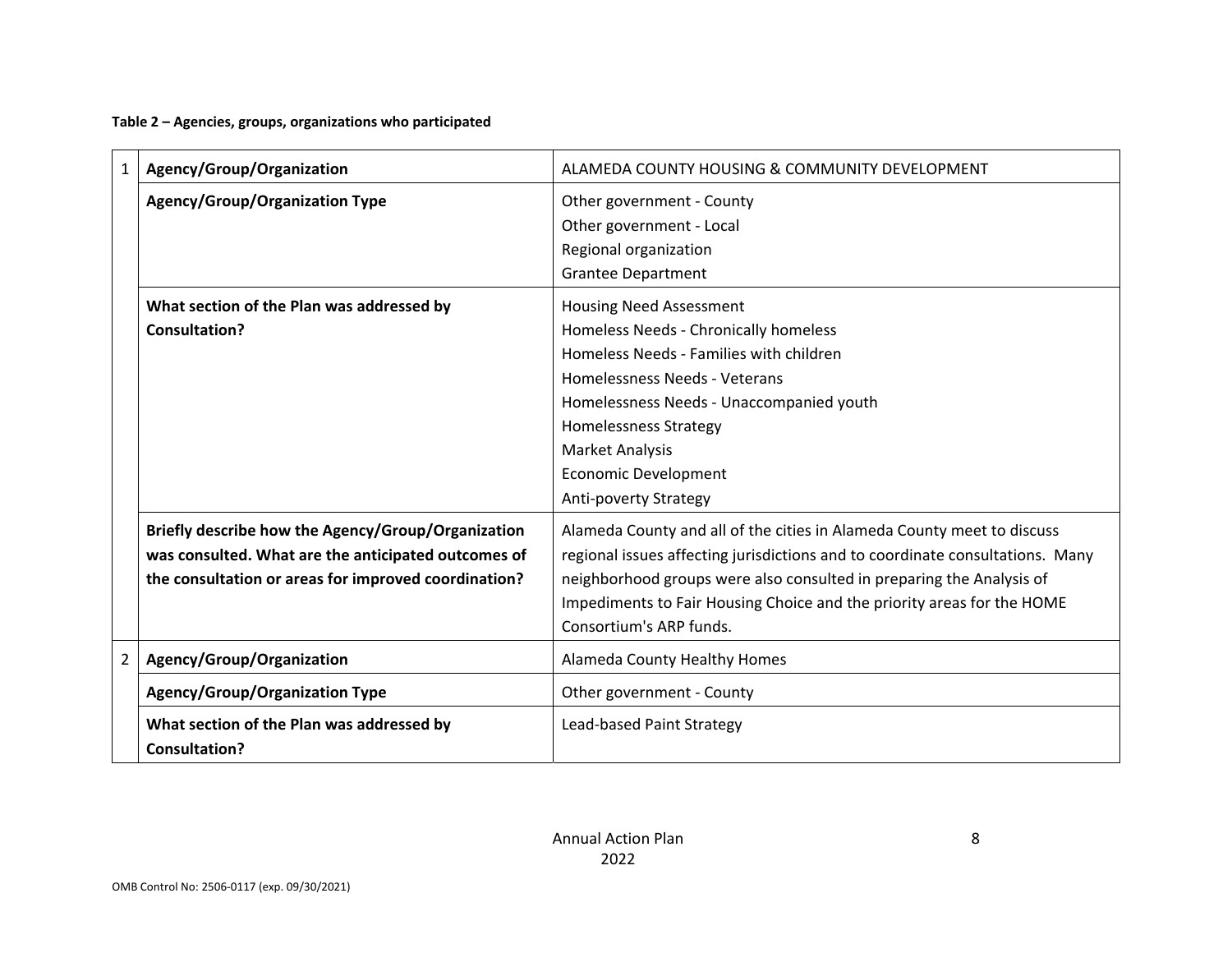**Table 2 – Agencies, groups, organizations who participated**

| $\mathbf{1}$   | Agency/Group/Organization                                                                                                                                         | ALAMEDA COUNTY HOUSING & COMMUNITY DEVELOPMENT                                                                                                                                                                                                                                                                                       |
|----------------|-------------------------------------------------------------------------------------------------------------------------------------------------------------------|--------------------------------------------------------------------------------------------------------------------------------------------------------------------------------------------------------------------------------------------------------------------------------------------------------------------------------------|
|                | <b>Agency/Group/Organization Type</b>                                                                                                                             | Other government - County<br>Other government - Local<br>Regional organization<br><b>Grantee Department</b>                                                                                                                                                                                                                          |
|                | What section of the Plan was addressed by<br>Consultation?                                                                                                        | <b>Housing Need Assessment</b><br>Homeless Needs - Chronically homeless<br>Homeless Needs - Families with children<br>Homelessness Needs - Veterans<br>Homelessness Needs - Unaccompanied youth<br><b>Homelessness Strategy</b><br><b>Market Analysis</b><br><b>Economic Development</b><br>Anti-poverty Strategy                    |
|                | Briefly describe how the Agency/Group/Organization<br>was consulted. What are the anticipated outcomes of<br>the consultation or areas for improved coordination? | Alameda County and all of the cities in Alameda County meet to discuss<br>regional issues affecting jurisdictions and to coordinate consultations. Many<br>neighborhood groups were also consulted in preparing the Analysis of<br>Impediments to Fair Housing Choice and the priority areas for the HOME<br>Consortium's ARP funds. |
| $\overline{2}$ | Agency/Group/Organization                                                                                                                                         | Alameda County Healthy Homes                                                                                                                                                                                                                                                                                                         |
|                | <b>Agency/Group/Organization Type</b>                                                                                                                             | Other government - County                                                                                                                                                                                                                                                                                                            |
|                | What section of the Plan was addressed by<br><b>Consultation?</b>                                                                                                 | Lead-based Paint Strategy                                                                                                                                                                                                                                                                                                            |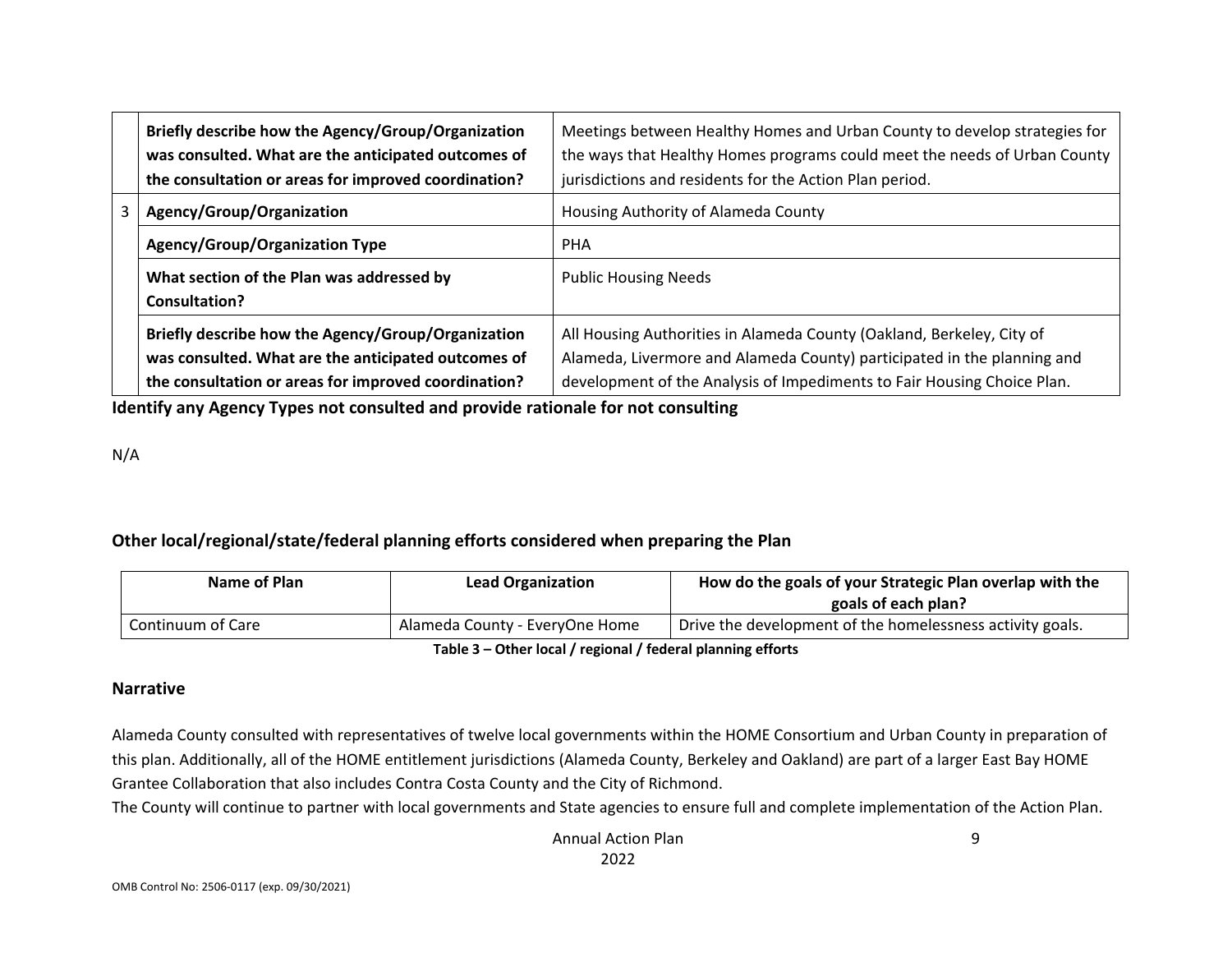|    | Briefly describe how the Agency/Group/Organization<br>was consulted. What are the anticipated outcomes of<br>the consultation or areas for improved coordination? | Meetings between Healthy Homes and Urban County to develop strategies for<br>the ways that Healthy Homes programs could meet the needs of Urban County<br>jurisdictions and residents for the Action Plan period.           |
|----|-------------------------------------------------------------------------------------------------------------------------------------------------------------------|-----------------------------------------------------------------------------------------------------------------------------------------------------------------------------------------------------------------------------|
| 3. | Agency/Group/Organization                                                                                                                                         | Housing Authority of Alameda County                                                                                                                                                                                         |
|    | <b>Agency/Group/Organization Type</b>                                                                                                                             | <b>PHA</b>                                                                                                                                                                                                                  |
|    | What section of the Plan was addressed by<br>Consultation?                                                                                                        | <b>Public Housing Needs</b>                                                                                                                                                                                                 |
|    | Briefly describe how the Agency/Group/Organization<br>was consulted. What are the anticipated outcomes of<br>the consultation or areas for improved coordination? | All Housing Authorities in Alameda County (Oakland, Berkeley, City of<br>Alameda, Livermore and Alameda County) participated in the planning and<br>development of the Analysis of Impediments to Fair Housing Choice Plan. |

**Identify any Agency Types not consulted and provide rationale for not consulting**

N/A

### **Other local/regional/state/federal planning efforts considered when preparing the Plan**

| Name of Plan                        | <b>Lead Organization</b>       | How do the goals of your Strategic Plan overlap with the  |  |  |  |
|-------------------------------------|--------------------------------|-----------------------------------------------------------|--|--|--|
|                                     |                                | goals of each plan?                                       |  |  |  |
| Continuum of Care                   | Alameda County - EveryOne Home | Drive the development of the homelessness activity goals. |  |  |  |
| — II A AIL II II : III II II : 11 A |                                |                                                           |  |  |  |

**Table 3 – Other local / regional / federal planning efforts**

### **Narrative**

Alameda County consulted with representatives of twelve local governments within the HOME Consortium and Urban County in preparation of this plan. Additionally, all of the HOME entitlement jurisdictions (Alameda County, Berkeley and Oakland) are part of <sup>a</sup> larger East Bay HOME Grantee Collaboration that also includes Contra Costa County and the City of Richmond.

The County will continue to partner with local governments and State agencies to ensure full and complete implementation of the Action Plan.

9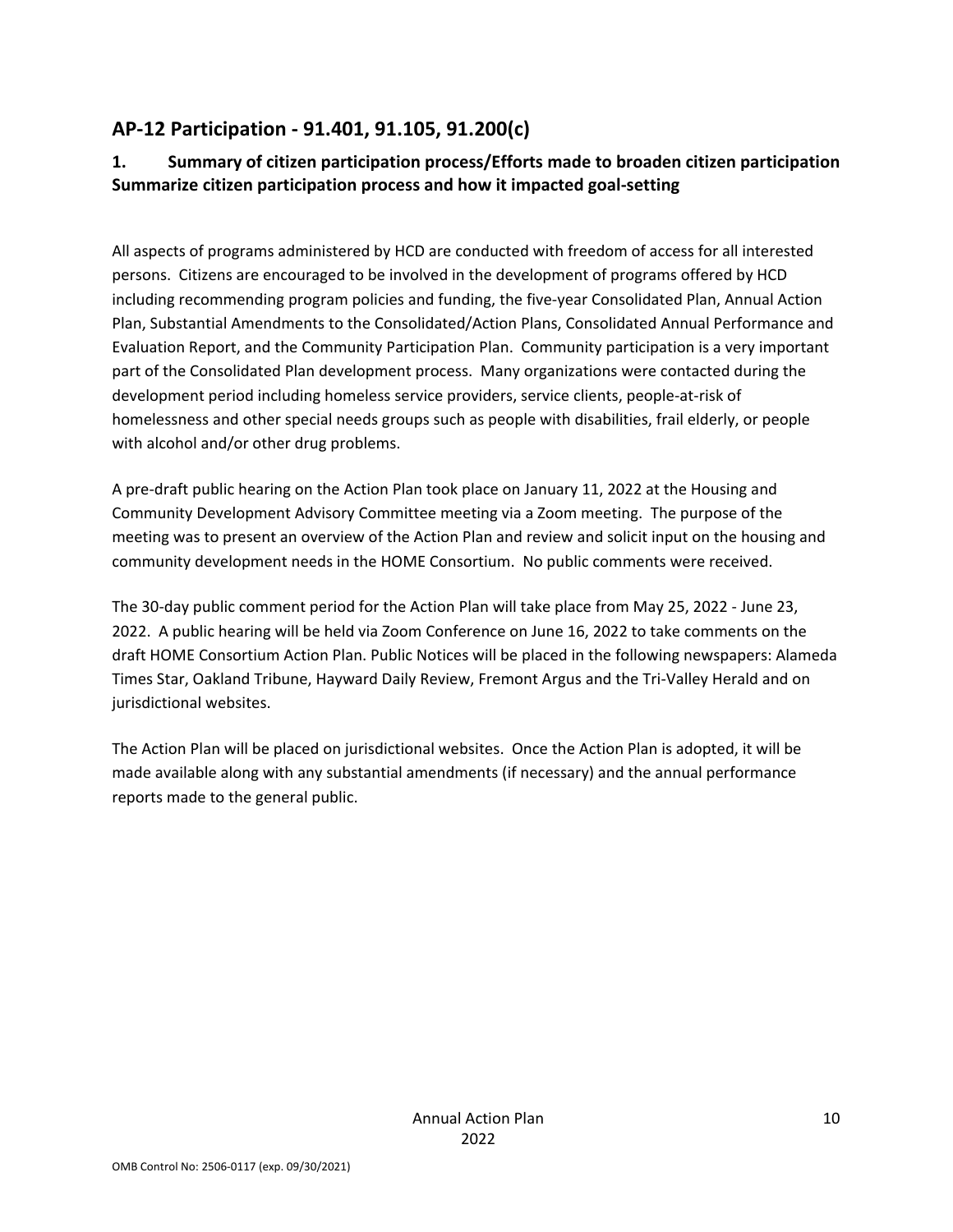## **AP‐12 Participation ‐ 91.401, 91.105, 91.200(c)**

## **1. Summary of citizen participation process/Efforts made to broaden citizen participation Summarize citizen participation process and how it impacted goal‐setting**

All aspects of programs administered by HCD are conducted with freedom of access for all interested persons. Citizens are encouraged to be involved in the development of programs offered by HCD including recommending program policies and funding, the five-year Consolidated Plan, Annual Action Plan, Substantial Amendments to the Consolidated/Action Plans, Consolidated Annual Performance and Evaluation Report, and the Community Participation Plan. Community participation is a very important part of the Consolidated Plan development process. Many organizations were contacted during the development period including homeless service providers, service clients, people‐at‐risk of homelessness and other special needs groups such as people with disabilities, frail elderly, or people with alcohol and/or other drug problems.

A pre‐draft public hearing on the Action Plan took place on January 11, 2022 at the Housing and Community Development Advisory Committee meeting via a Zoom meeting. The purpose of the meeting was to present an overview of the Action Plan and review and solicit input on the housing and community development needs in the HOME Consortium. No public comments were received.

The 30‐day public comment period for the Action Plan will take place from May 25, 2022 ‐ June 23, 2022. A public hearing will be held via Zoom Conference on June 16, 2022 to take comments on the draft HOME Consortium Action Plan. Public Notices will be placed in the following newspapers: Alameda Times Star, Oakland Tribune, Hayward Daily Review, Fremont Argus and the Tri‐Valley Herald and on jurisdictional websites.

The Action Plan will be placed on jurisdictional websites. Once the Action Plan is adopted, it will be made available along with any substantial amendments (if necessary) and the annual performance reports made to the general public.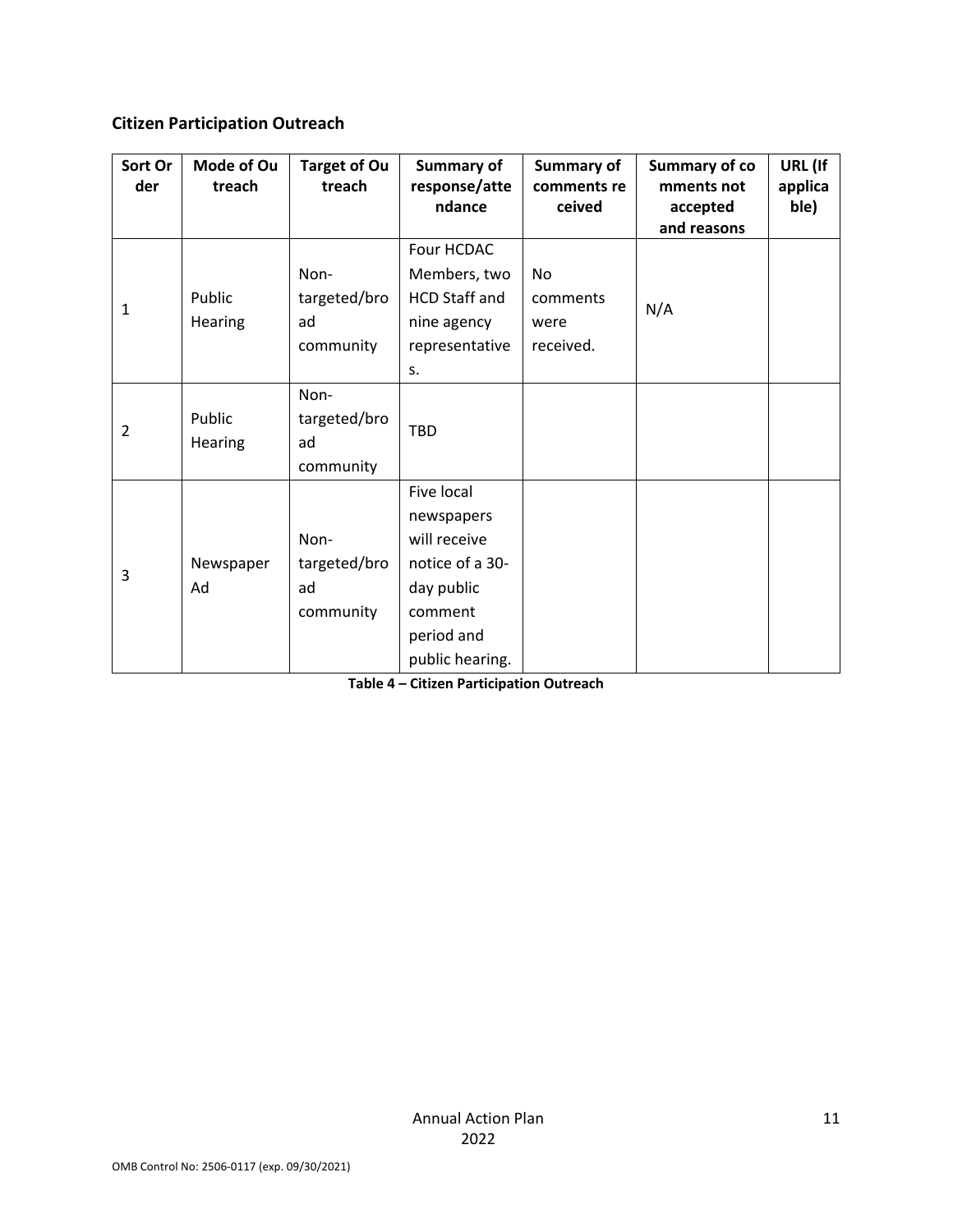### **Citizen Participation Outreach**

| Sort Or<br>der | Mode of Ou<br>treach     | <b>Target of Ou</b><br>treach           | Summary of<br>response/atte                                                                                           | Summary of<br>comments re           | Summary of co<br>mments not | URL (If<br>applica |
|----------------|--------------------------|-----------------------------------------|-----------------------------------------------------------------------------------------------------------------------|-------------------------------------|-----------------------------|--------------------|
|                |                          |                                         | ndance                                                                                                                | ceived                              | accepted<br>and reasons     | ble)               |
| 1              | Public<br><b>Hearing</b> | Non-<br>targeted/bro<br>ad<br>community | Four HCDAC<br>Members, two<br><b>HCD Staff and</b><br>nine agency<br>representative<br>S.                             | No<br>comments<br>were<br>received. | N/A                         |                    |
| $\overline{2}$ | Public<br>Hearing        | Non-<br>targeted/bro<br>ad<br>community | TBD                                                                                                                   |                                     |                             |                    |
| 3              | Newspaper<br>Ad          | Non-<br>targeted/bro<br>ad<br>community | Five local<br>newspapers<br>will receive<br>notice of a 30-<br>day public<br>comment<br>period and<br>public hearing. |                                     |                             |                    |

**Table 4 – Citizen Participation Outreach**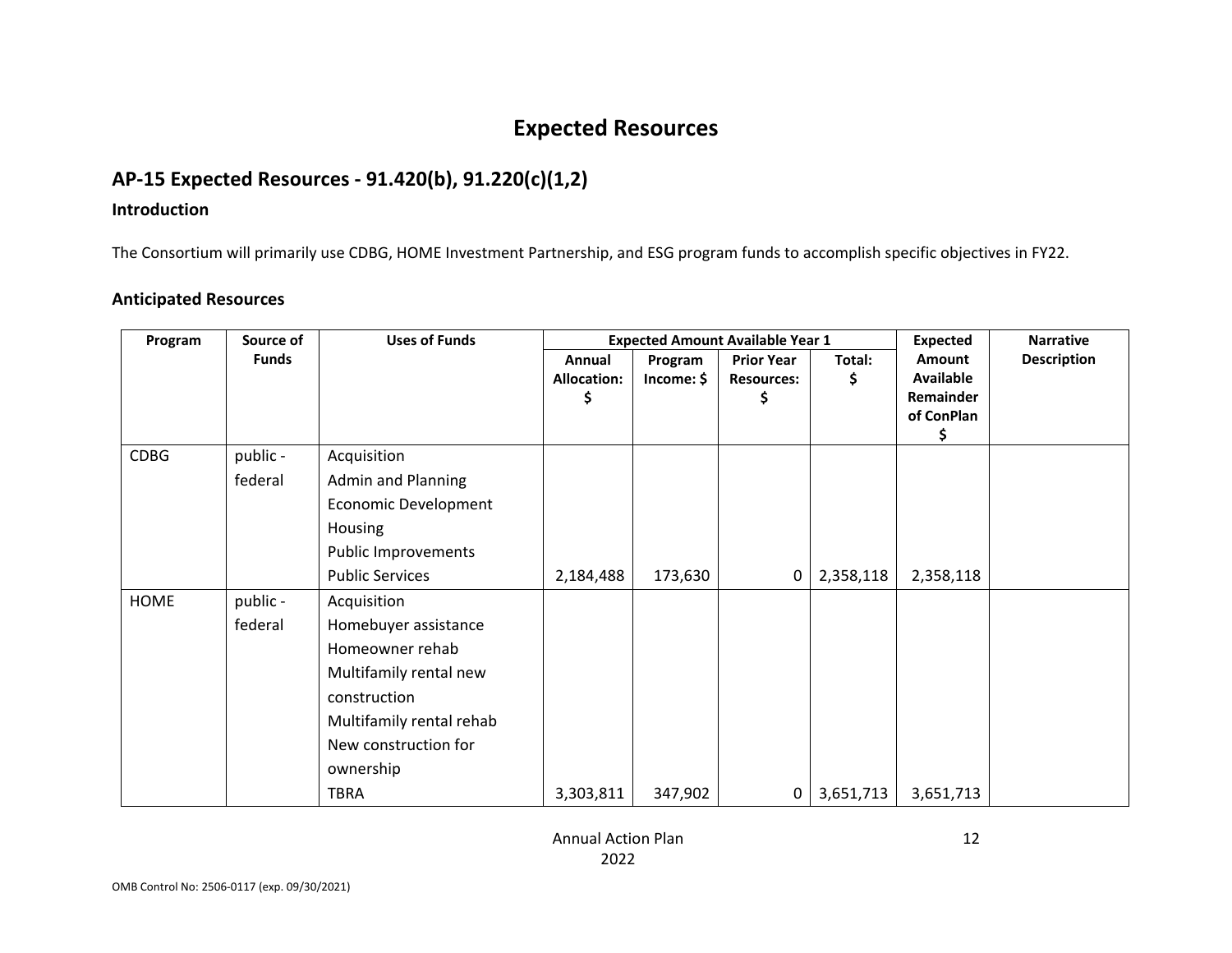# **Expected Resources**

## **AP‐15 Expected Resources ‐ 91.420(b), 91.220(c)(1,2)**

#### **Introduction**

The Consortium will primarily use CDBG, HOME Investment Partnership, and ESG program funds to accomplish specific objectives in FY22.

### **Anticipated Resources**

| Program     | Source of    | <b>Uses of Funds</b>        |                    | <b>Expected Amount Available Year 1</b> | <b>Expected</b>   | <b>Narrative</b> |               |                    |
|-------------|--------------|-----------------------------|--------------------|-----------------------------------------|-------------------|------------------|---------------|--------------------|
|             | <b>Funds</b> |                             | Annual             | Program                                 | <b>Prior Year</b> | Total:           | <b>Amount</b> | <b>Description</b> |
|             |              |                             | <b>Allocation:</b> | Income: \$                              | <b>Resources:</b> | \$               | Available     |                    |
|             |              |                             |                    |                                         | \$                |                  | Remainder     |                    |
|             |              |                             |                    |                                         |                   |                  | of ConPlan    |                    |
| <b>CDBG</b> | public -     | Acquisition                 |                    |                                         |                   |                  |               |                    |
|             | federal      | <b>Admin and Planning</b>   |                    |                                         |                   |                  |               |                    |
|             |              | <b>Economic Development</b> |                    |                                         |                   |                  |               |                    |
|             |              | Housing                     |                    |                                         |                   |                  |               |                    |
|             |              | <b>Public Improvements</b>  |                    |                                         |                   |                  |               |                    |
|             |              | <b>Public Services</b>      | 2,184,488          | 173,630                                 | 0                 | 2,358,118        | 2,358,118     |                    |
| <b>HOME</b> | public -     | Acquisition                 |                    |                                         |                   |                  |               |                    |
|             | federal      | Homebuyer assistance        |                    |                                         |                   |                  |               |                    |
|             |              | Homeowner rehab             |                    |                                         |                   |                  |               |                    |
|             |              | Multifamily rental new      |                    |                                         |                   |                  |               |                    |
|             |              | construction                |                    |                                         |                   |                  |               |                    |
|             |              | Multifamily rental rehab    |                    |                                         |                   |                  |               |                    |
|             |              | New construction for        |                    |                                         |                   |                  |               |                    |
|             |              | ownership                   |                    |                                         |                   |                  |               |                    |
|             |              | <b>TBRA</b>                 | 3,303,811          | 347,902                                 | 0                 | 3,651,713        | 3,651,713     |                    |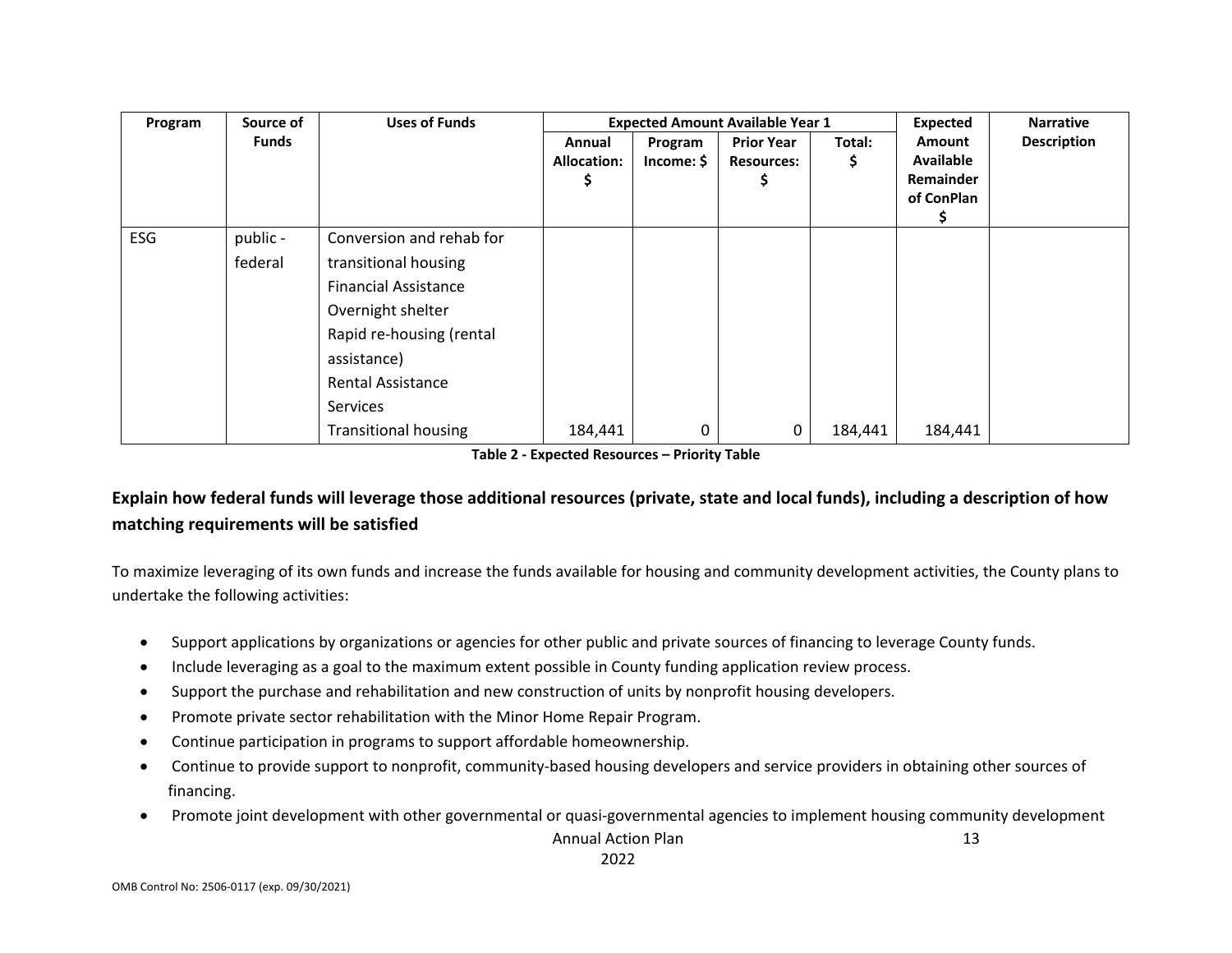| Program    | Source of    | <b>Uses of Funds</b>        |                    | <b>Expected Amount Available Year 1</b> | <b>Expected</b>   | <b>Narrative</b> |                  |                    |
|------------|--------------|-----------------------------|--------------------|-----------------------------------------|-------------------|------------------|------------------|--------------------|
|            | <b>Funds</b> |                             | Annual             | Program                                 | <b>Prior Year</b> | Total:           | Amount           | <b>Description</b> |
|            |              |                             | <b>Allocation:</b> | Income:                                 | <b>Resources:</b> | Ş                | <b>Available</b> |                    |
|            |              |                             |                    |                                         |                   |                  | Remainder        |                    |
|            |              |                             |                    |                                         |                   |                  | of ConPlan       |                    |
| <b>ESG</b> | public -     | Conversion and rehab for    |                    |                                         |                   |                  |                  |                    |
|            | federal      | transitional housing        |                    |                                         |                   |                  |                  |                    |
|            |              |                             |                    |                                         |                   |                  |                  |                    |
|            |              | <b>Financial Assistance</b> |                    |                                         |                   |                  |                  |                    |
|            |              | Overnight shelter           |                    |                                         |                   |                  |                  |                    |
|            |              | Rapid re-housing (rental    |                    |                                         |                   |                  |                  |                    |
|            |              | assistance)                 |                    |                                         |                   |                  |                  |                    |
|            |              | <b>Rental Assistance</b>    |                    |                                         |                   |                  |                  |                    |
|            |              | Services                    |                    |                                         |                   |                  |                  |                    |
|            |              | <b>Transitional housing</b> | 184,441            | 0                                       | 0                 | 184,441          | 184,441          |                    |

**Table 2 ‐ Expected Resources – Priority Table**

## Explain how federal funds will leverage those additional resources (private, state and local funds), including a description of how **matching requirements will be satisfied**

To maximize leveraging of its own funds and increase the funds available for housing and community development activities, the County plans to undertake the following activities:

- $\bullet$ Support applications by organizations or agencies for other public and private sources of financing to leverage County funds.
- $\bullet$ Include leveraging as <sup>a</sup> goal to the maximum extent possible in County funding application review process.
- $\bullet$ Support the purchase and rehabilitation and new construction of units by nonprofit housing developers.
- $\bullet$ Promote private sector rehabilitation with the Minor Home Repair Program.
- $\bullet$ Continue participation in programs to support affordable homeownership.
- $\bullet$ ● Continue to provide support to nonprofit, community-based housing developers and service providers in obtaining other sources of financing.
- $\bullet$ ● Promote joint development with other governmental or quasi-governmental agencies to implement housing community development

Annual Action Plan 2022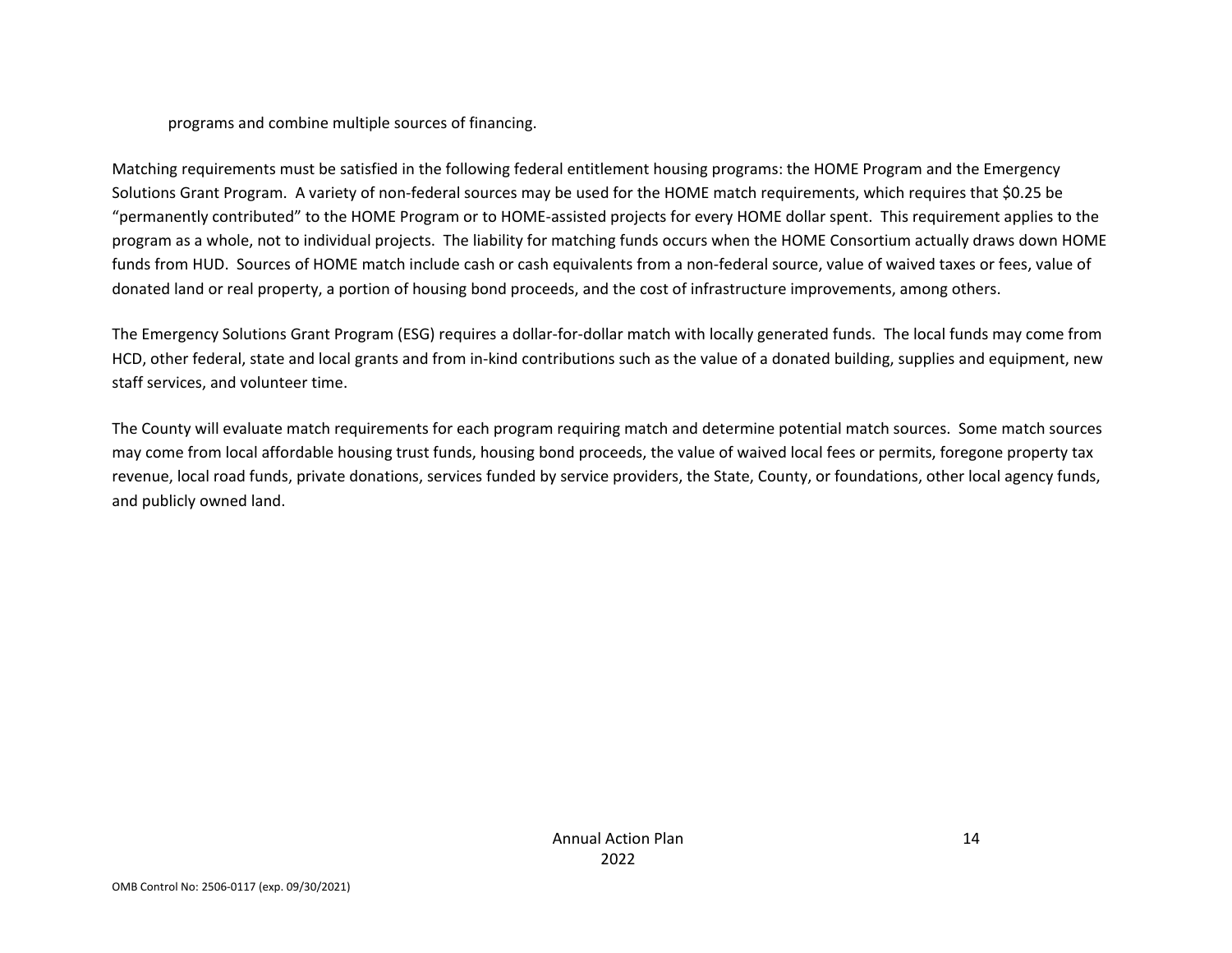#### programs and combine multiple sources of financing.

Matching requirements must be satisfied in the following federal entitlement housing programs: the HOME Program and the Emergency Solutions Grant Program. <sup>A</sup> variety of non‐federal sources may be used for the HOME match requirements, which requires that \$0.25 be "permanently contributed" to the HOME Program or to HOME‐assisted projects for every HOME dollar spent. This requirement applies to the program as <sup>a</sup> whole, not to individual projects. The liability for matching funds occurs when the HOME Consortium actually draws down HOME funds from HUD. Sources of HOME match include cash or cash equivalents from <sup>a</sup> non‐federal source, value of waived taxes or fees, value of donated land or real property, <sup>a</sup> portion of housing bond proceeds, and the cost of infrastructure improvements, among others.

The Emergency Solutions Grant Program (ESG) requires <sup>a</sup> dollar‐for‐dollar match with locally generated funds. The local funds may come from HCD, other federal, state and local grants and from in‐kind contributions such as the value of <sup>a</sup> donated building, supplies and equipment, new staff services, and volunteer time.

The County will evaluate match requirements for each program requiring match and determine potential match sources. Some match sources may come from local affordable housing trust funds, housing bond proceeds, the value of waived local fees or permits, foregone property tax revenue, local road funds, private donations, services funded by service providers, the State, County, or foundations, other local agency funds, and publicly owned land.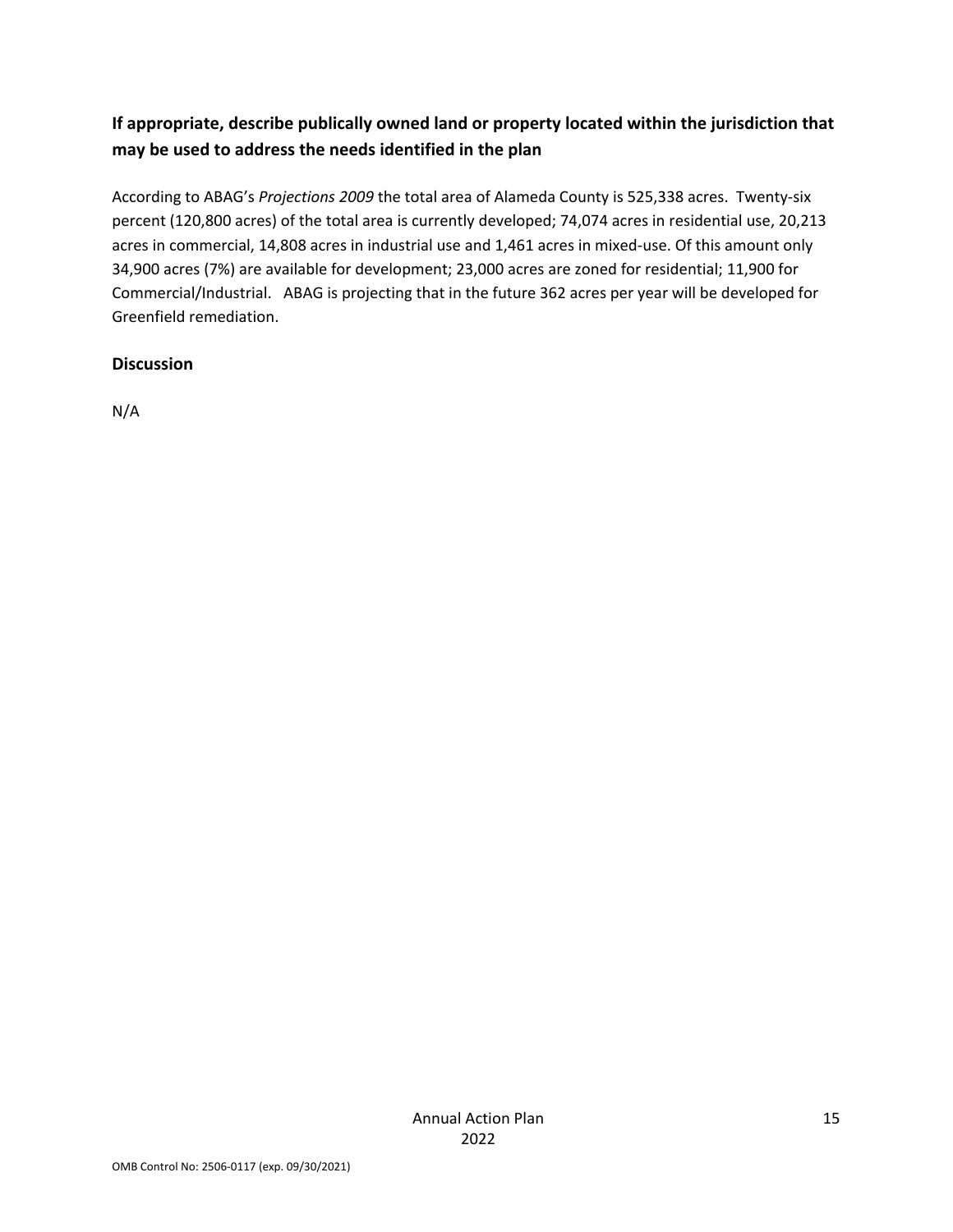## **If appropriate, describe publically owned land or property located within the jurisdiction that may be used to address the needs identified in the plan**

According to ABAG's *Projections 2009* the total area of Alameda County is 525,338 acres. Twenty‐six percent (120,800 acres) of the total area is currently developed; 74,074 acres in residential use, 20,213 acres in commercial, 14,808 acres in industrial use and 1,461 acres in mixed-use. Of this amount only 34,900 acres (7%) are available for development; 23,000 acres are zoned for residential; 11,900 for Commercial/Industrial. ABAG is projecting that in the future 362 acres per year will be developed for Greenfield remediation.

### **Discussion**

N/A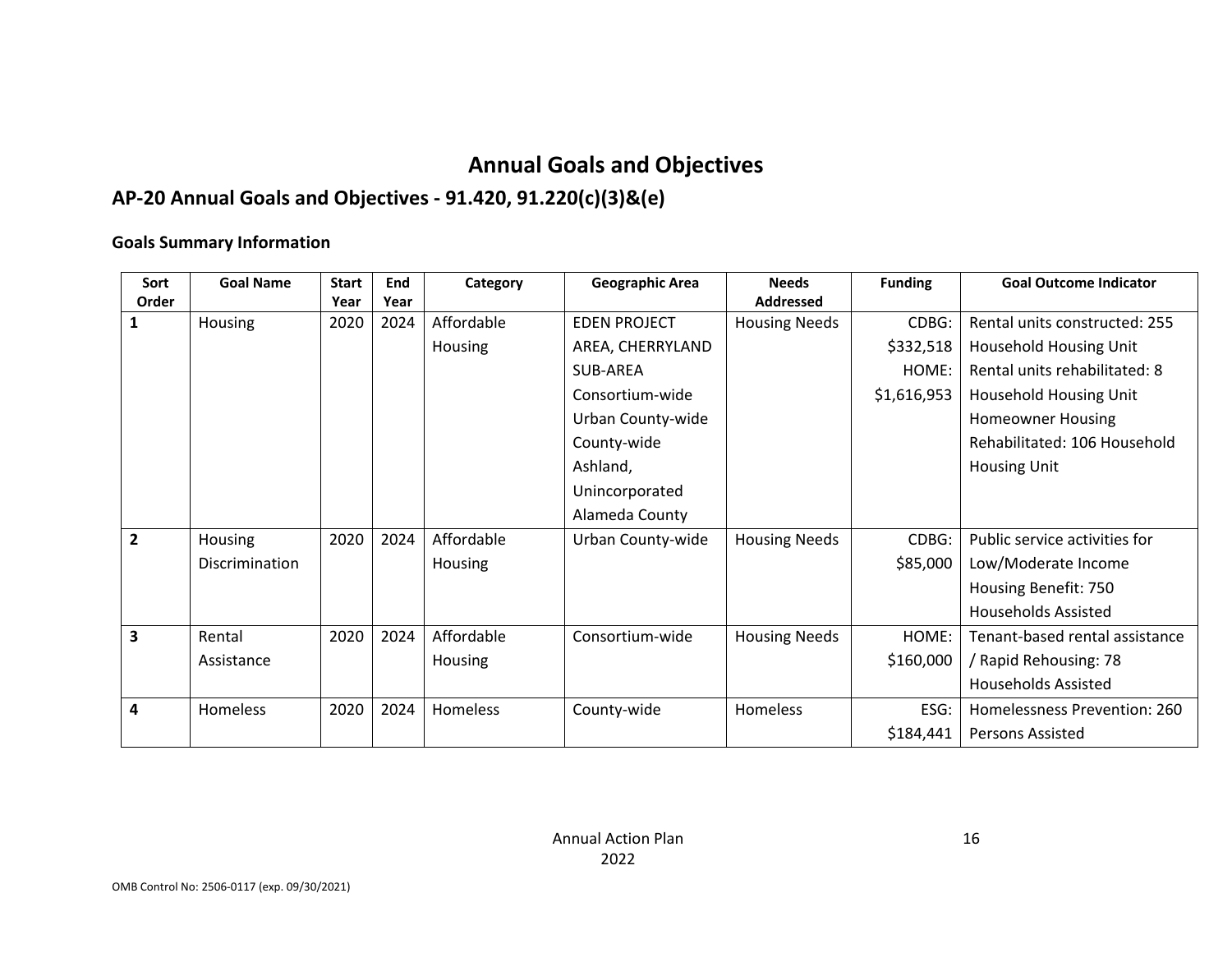# **Annual Goals and Objectives**

## **AP‐20 Annual Goals and Objectives ‐ 91.420, 91.220(c)(3)&(e)**

#### **Goals Summary Information**

| Sort           | <b>Goal Name</b> | <b>Start</b> | End  | Category       | <b>Geographic Area</b> | <b>Needs</b>         | <b>Funding</b> | <b>Goal Outcome Indicator</b>  |
|----------------|------------------|--------------|------|----------------|------------------------|----------------------|----------------|--------------------------------|
| Order          |                  | Year         | Year |                |                        | <b>Addressed</b>     |                |                                |
| 1              | Housing          | 2020         | 2024 | Affordable     | <b>EDEN PROJECT</b>    | <b>Housing Needs</b> | CDBG:          | Rental units constructed: 255  |
|                |                  |              |      | <b>Housing</b> | AREA, CHERRYLAND       |                      | \$332,518      | Household Housing Unit         |
|                |                  |              |      |                | SUB-AREA               |                      | HOME:          | Rental units rehabilitated: 8  |
|                |                  |              |      |                | Consortium-wide        |                      | \$1,616,953    | Household Housing Unit         |
|                |                  |              |      |                | Urban County-wide      |                      |                | <b>Homeowner Housing</b>       |
|                |                  |              |      |                | County-wide            |                      |                | Rehabilitated: 106 Household   |
|                |                  |              |      |                | Ashland,               |                      |                | Housing Unit                   |
|                |                  |              |      |                | Unincorporated         |                      |                |                                |
|                |                  |              |      |                | Alameda County         |                      |                |                                |
| $\overline{2}$ | Housing          | 2020         | 2024 | Affordable     | Urban County-wide      | <b>Housing Needs</b> | CDBG:          | Public service activities for  |
|                | Discrimination   |              |      | <b>Housing</b> |                        |                      | \$85,000       | Low/Moderate Income            |
|                |                  |              |      |                |                        |                      |                | Housing Benefit: 750           |
|                |                  |              |      |                |                        |                      |                | <b>Households Assisted</b>     |
| 3              | Rental           | 2020         | 2024 | Affordable     | Consortium-wide        | <b>Housing Needs</b> | HOME:          | Tenant-based rental assistance |
|                | Assistance       |              |      | Housing        |                        |                      | \$160,000      | / Rapid Rehousing: 78          |
|                |                  |              |      |                |                        |                      |                | <b>Households Assisted</b>     |
| 4              | Homeless         | 2020         | 2024 | Homeless       | County-wide            | <b>Homeless</b>      | ESG:           | Homelessness Prevention: 260   |
|                |                  |              |      |                |                        |                      | \$184,441      | Persons Assisted               |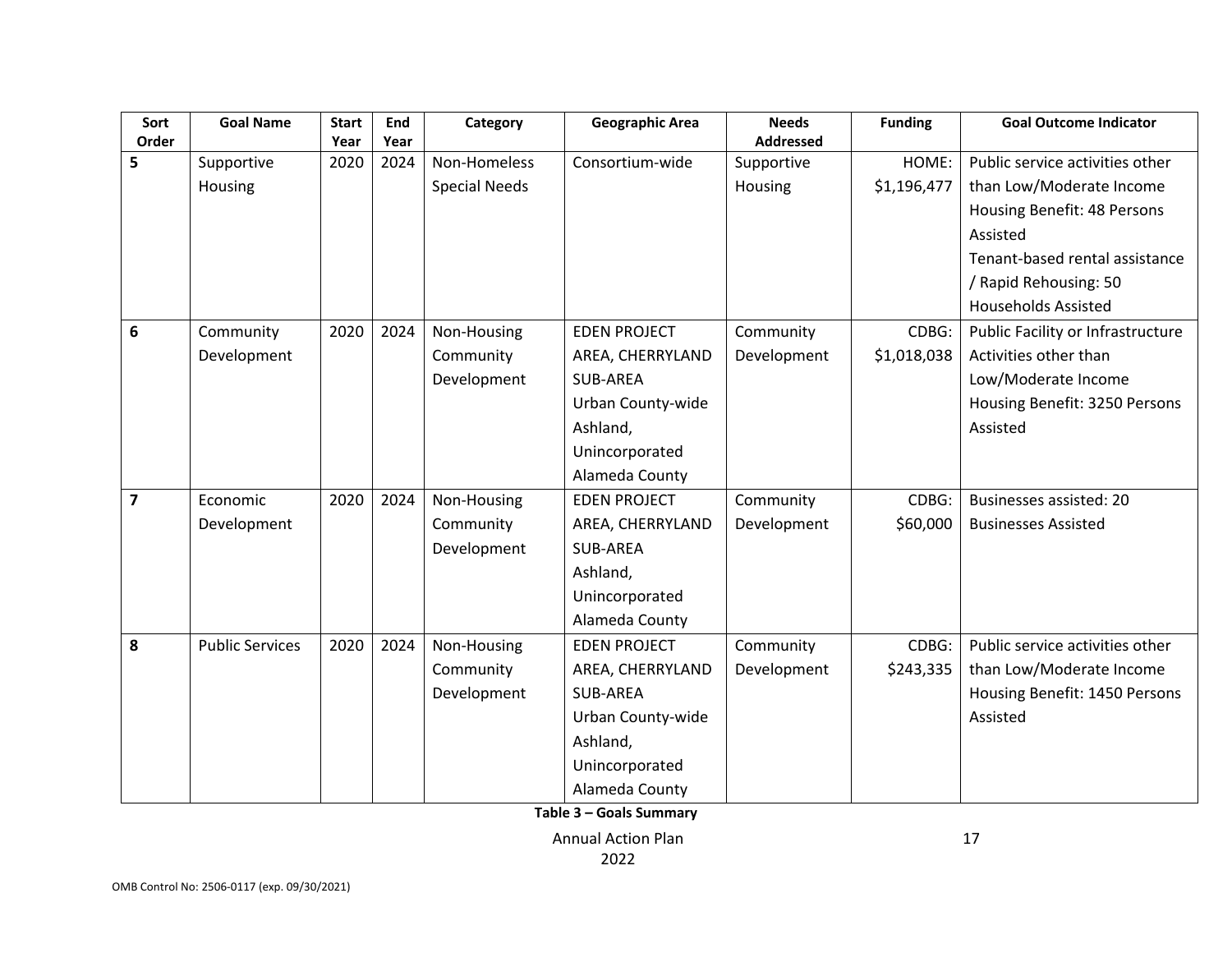| Sort                    | <b>Goal Name</b>       | <b>Start</b> | End  | Category             | <b>Geographic Area</b> | <b>Needs</b>     | <b>Funding</b> | <b>Goal Outcome Indicator</b>     |
|-------------------------|------------------------|--------------|------|----------------------|------------------------|------------------|----------------|-----------------------------------|
| Order                   |                        | Year         | Year |                      |                        | <b>Addressed</b> |                |                                   |
| 5                       | Supportive             | 2020         | 2024 | Non-Homeless         | Consortium-wide        | Supportive       | HOME:          | Public service activities other   |
|                         | Housing                |              |      | <b>Special Needs</b> |                        | Housing          | \$1,196,477    | than Low/Moderate Income          |
|                         |                        |              |      |                      |                        |                  |                | Housing Benefit: 48 Persons       |
|                         |                        |              |      |                      |                        |                  |                | Assisted                          |
|                         |                        |              |      |                      |                        |                  |                | Tenant-based rental assistance    |
|                         |                        |              |      |                      |                        |                  |                | / Rapid Rehousing: 50             |
|                         |                        |              |      |                      |                        |                  |                | <b>Households Assisted</b>        |
| 6                       | Community              | 2020         | 2024 | Non-Housing          | <b>EDEN PROJECT</b>    | Community        | CDBG:          | Public Facility or Infrastructure |
|                         | Development            |              |      | Community            | AREA, CHERRYLAND       | Development      | \$1,018,038    | Activities other than             |
|                         |                        |              |      | Development          | SUB-AREA               |                  |                | Low/Moderate Income               |
|                         |                        |              |      |                      | Urban County-wide      |                  |                | Housing Benefit: 3250 Persons     |
|                         |                        |              |      |                      | Ashland,               |                  |                | Assisted                          |
|                         |                        |              |      |                      | Unincorporated         |                  |                |                                   |
|                         |                        |              |      |                      | Alameda County         |                  |                |                                   |
| $\overline{\mathbf{z}}$ | Economic               | 2020         | 2024 | Non-Housing          | <b>EDEN PROJECT</b>    | Community        | CDBG:          | <b>Businesses assisted: 20</b>    |
|                         | Development            |              |      | Community            | AREA, CHERRYLAND       | Development      | \$60,000       | <b>Businesses Assisted</b>        |
|                         |                        |              |      | Development          | SUB-AREA               |                  |                |                                   |
|                         |                        |              |      |                      | Ashland,               |                  |                |                                   |
|                         |                        |              |      |                      | Unincorporated         |                  |                |                                   |
|                         |                        |              |      |                      | Alameda County         |                  |                |                                   |
| 8                       | <b>Public Services</b> | 2020         | 2024 | Non-Housing          | <b>EDEN PROJECT</b>    | Community        | CDBG:          | Public service activities other   |
|                         |                        |              |      | Community            | AREA, CHERRYLAND       | Development      | \$243,335      | than Low/Moderate Income          |
|                         |                        |              |      | Development          | SUB-AREA               |                  |                | Housing Benefit: 1450 Persons     |
|                         |                        |              |      |                      | Urban County-wide      |                  |                | Assisted                          |
|                         |                        |              |      |                      | Ashland,               |                  |                |                                   |
|                         |                        |              |      |                      | Unincorporated         |                  |                |                                   |
|                         |                        |              |      |                      | Alameda County         |                  |                |                                   |

**Table 3 – Goals Summary**

Annual Action Plan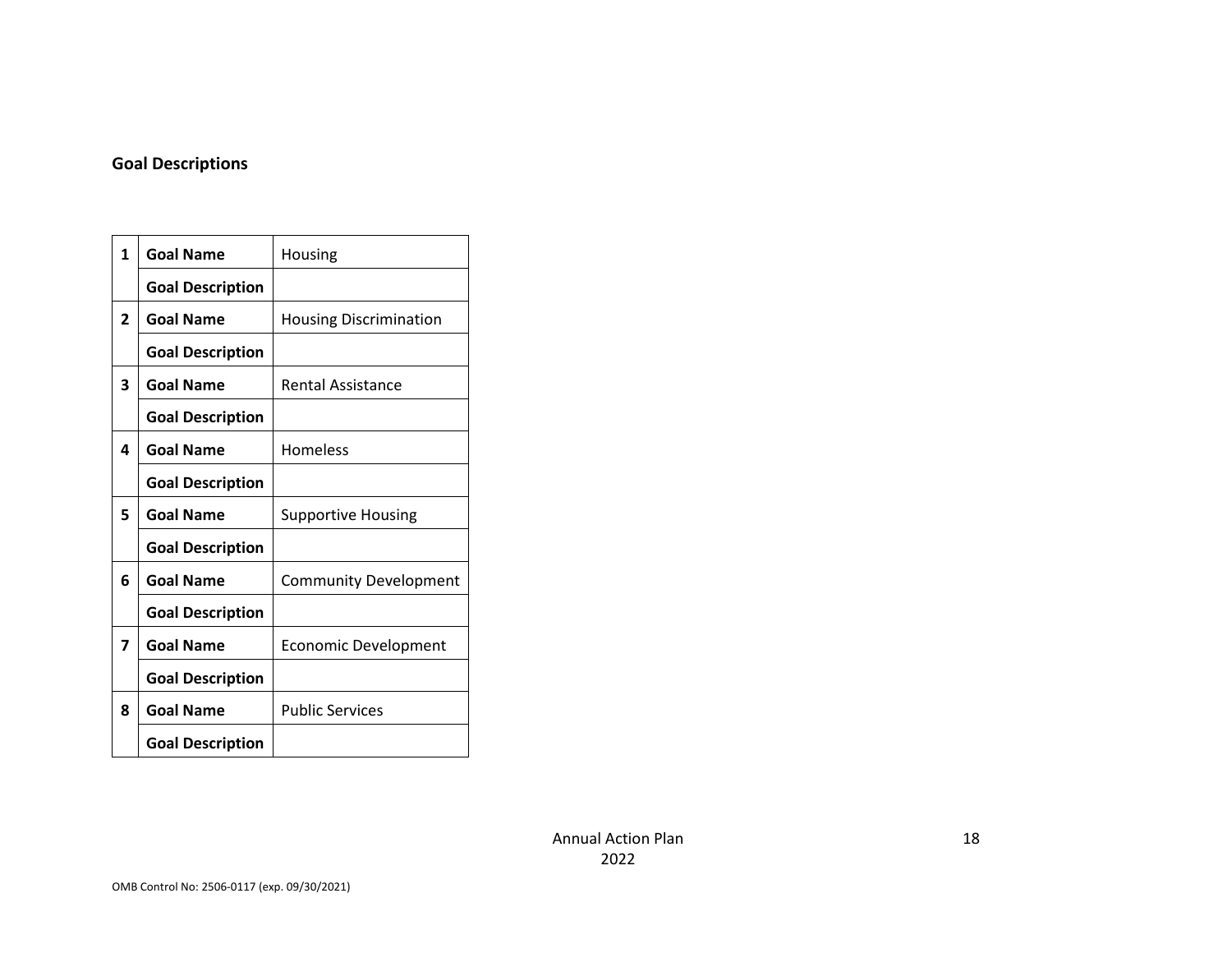#### **Goal Descriptions**

| 1              | <b>Goal Name</b>        | Housing                       |
|----------------|-------------------------|-------------------------------|
|                | <b>Goal Description</b> |                               |
| $\overline{2}$ | <b>Goal Name</b>        | <b>Housing Discrimination</b> |
|                | <b>Goal Description</b> |                               |
| 3              | <b>Goal Name</b>        | <b>Rental Assistance</b>      |
|                | <b>Goal Description</b> |                               |
| 4              | <b>Goal Name</b>        | Homeless                      |
|                | <b>Goal Description</b> |                               |
| 5              | <b>Goal Name</b>        | <b>Supportive Housing</b>     |
|                | <b>Goal Description</b> |                               |
| 6              | <b>Goal Name</b>        | <b>Community Development</b>  |
|                | <b>Goal Description</b> |                               |
| 7              | <b>Goal Name</b>        | <b>Economic Development</b>   |
|                | <b>Goal Description</b> |                               |
| 8              | <b>Goal Name</b>        | <b>Public Services</b>        |
|                | <b>Goal Description</b> |                               |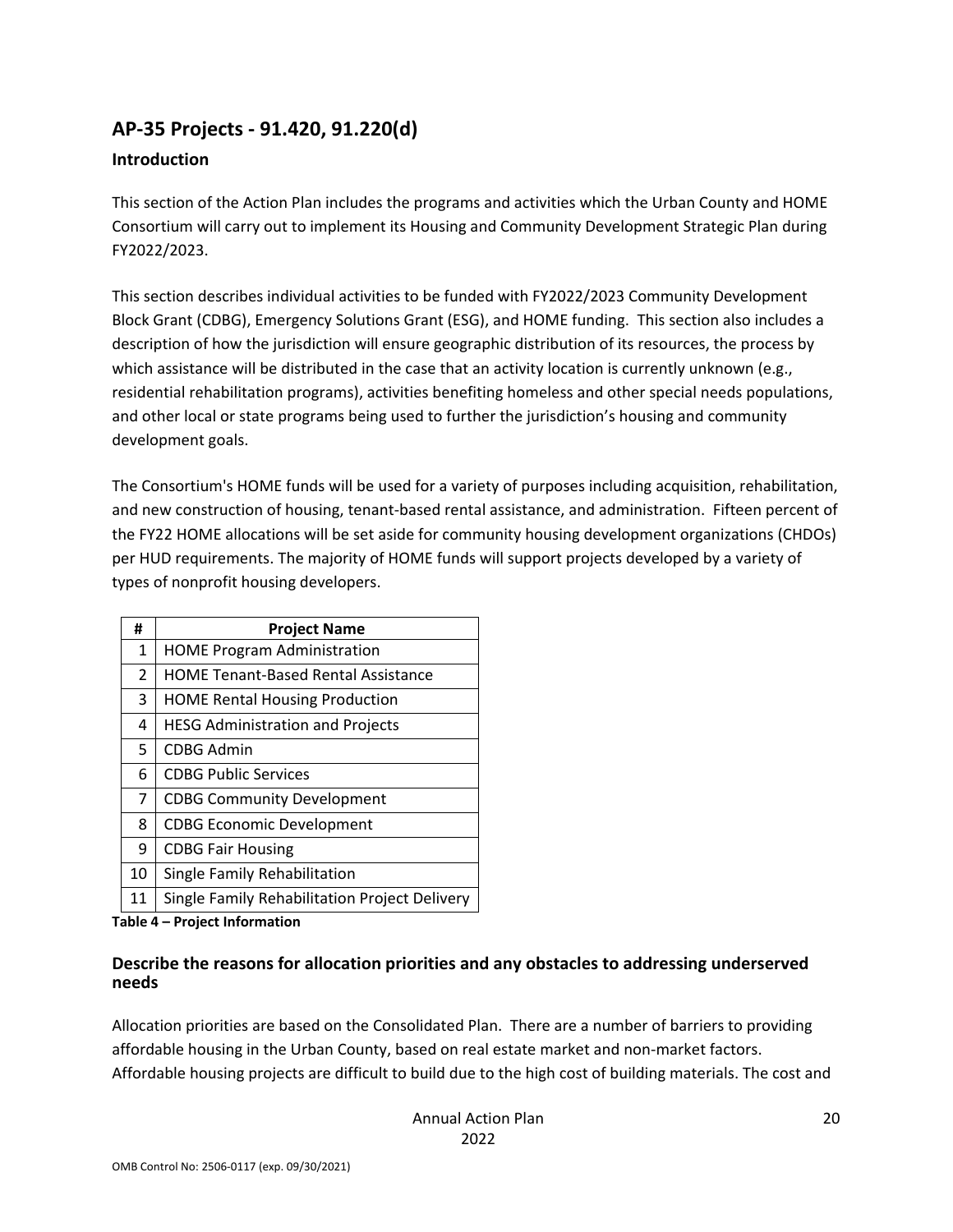## **AP‐35 Projects ‐ 91.420, 91.220(d)**

### **Introduction**

This section of the Action Plan includes the programs and activities which the Urban County and HOME Consortium will carry out to implement its Housing and Community Development Strategic Plan during FY2022/2023.

This section describes individual activities to be funded with FY2022/2023 Community Development Block Grant (CDBG), Emergency Solutions Grant (ESG), and HOME funding. This section also includes a description of how the jurisdiction will ensure geographic distribution of its resources, the process by which assistance will be distributed in the case that an activity location is currently unknown (e.g., residential rehabilitation programs), activities benefiting homeless and other special needs populations, and other local or state programs being used to further the jurisdiction's housing and community development goals.

The Consortium's HOME funds will be used for a variety of purposes including acquisition, rehabilitation, and new construction of housing, tenant‐based rental assistance, and administration. Fifteen percent of the FY22 HOME allocations will be set aside for community housing development organizations (CHDOs) per HUD requirements. The majority of HOME funds will support projects developed by a variety of types of nonprofit housing developers.

| #              | <b>Project Name</b>                           |
|----------------|-----------------------------------------------|
| $\mathbf{1}$   | <b>HOME Program Administration</b>            |
| $\overline{2}$ | <b>HOME Tenant-Based Rental Assistance</b>    |
| 3              | <b>HOME Rental Housing Production</b>         |
| 4              | <b>HESG Administration and Projects</b>       |
| 5              | <b>CDBG Admin</b>                             |
| 6              | <b>CDBG Public Services</b>                   |
| $\overline{7}$ | <b>CDBG Community Development</b>             |
| 8              | <b>CDBG Economic Development</b>              |
| 9              | <b>CDBG Fair Housing</b>                      |
| 10             | Single Family Rehabilitation                  |
| 11             | Single Family Rehabilitation Project Delivery |

**Table 4 – Project Information**

#### **Describe the reasons for allocation priorities and any obstacles to addressing underserved needs**

Allocation priorities are based on the Consolidated Plan. There are a number of barriers to providing affordable housing in the Urban County, based on real estate market and non-market factors. Affordable housing projects are difficult to build due to the high cost of building materials. The cost and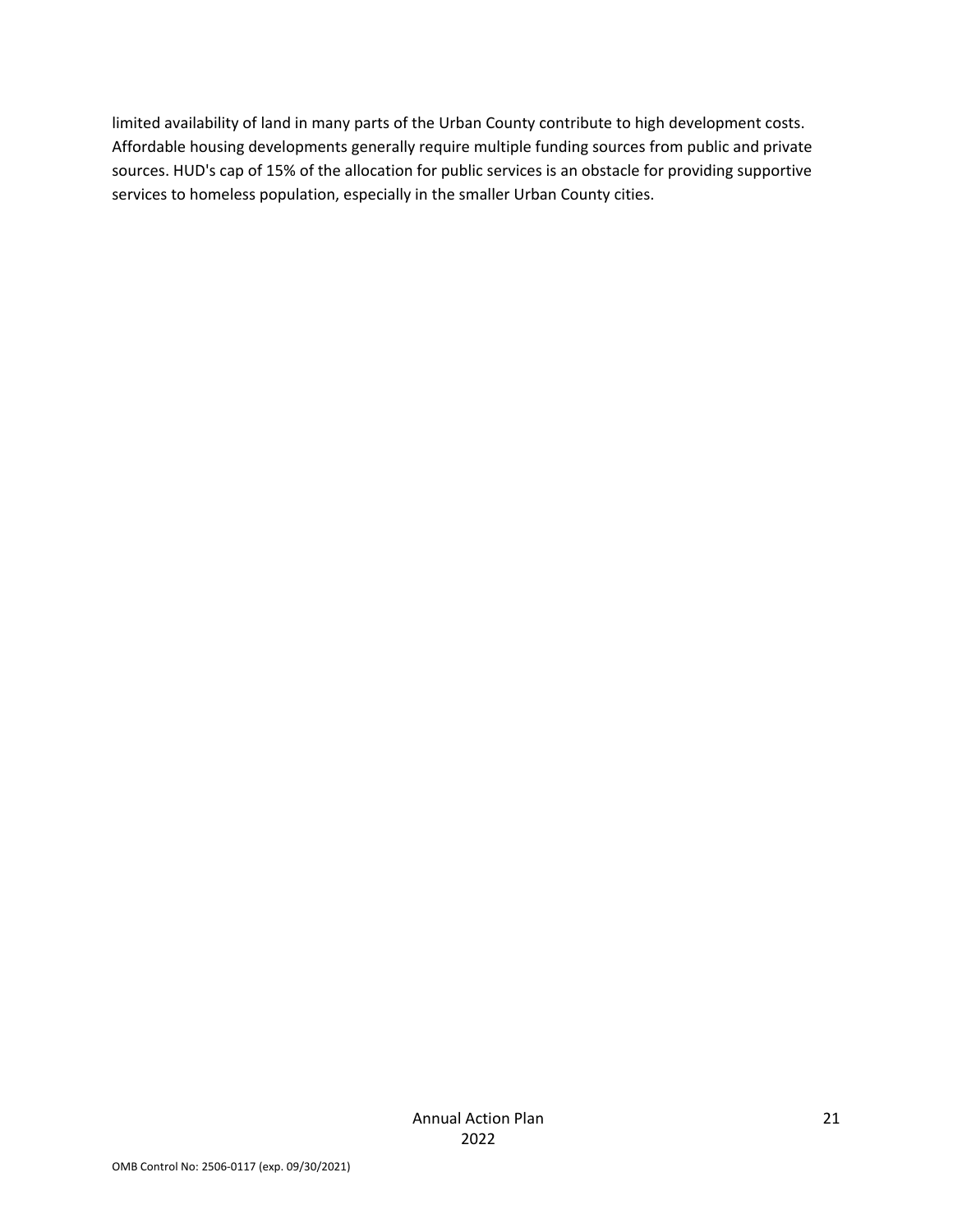limited availability of land in many parts of the Urban County contribute to high development costs. Affordable housing developments generally require multiple funding sources from public and private sources. HUD's cap of 15% of the allocation for public services is an obstacle for providing supportive services to homeless population, especially in the smaller Urban County cities.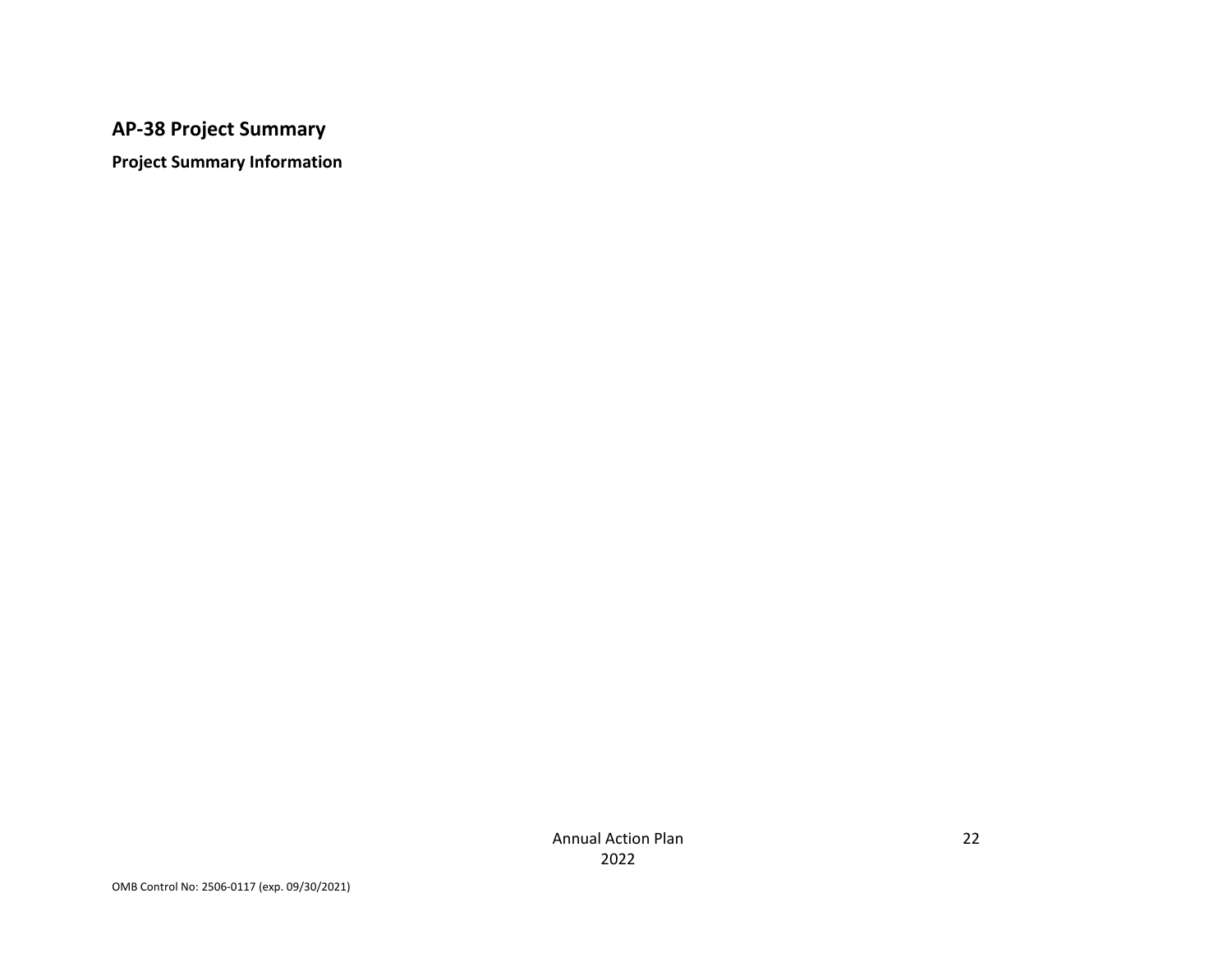### **AP‐38 Project Summary**

**Project Summary Information**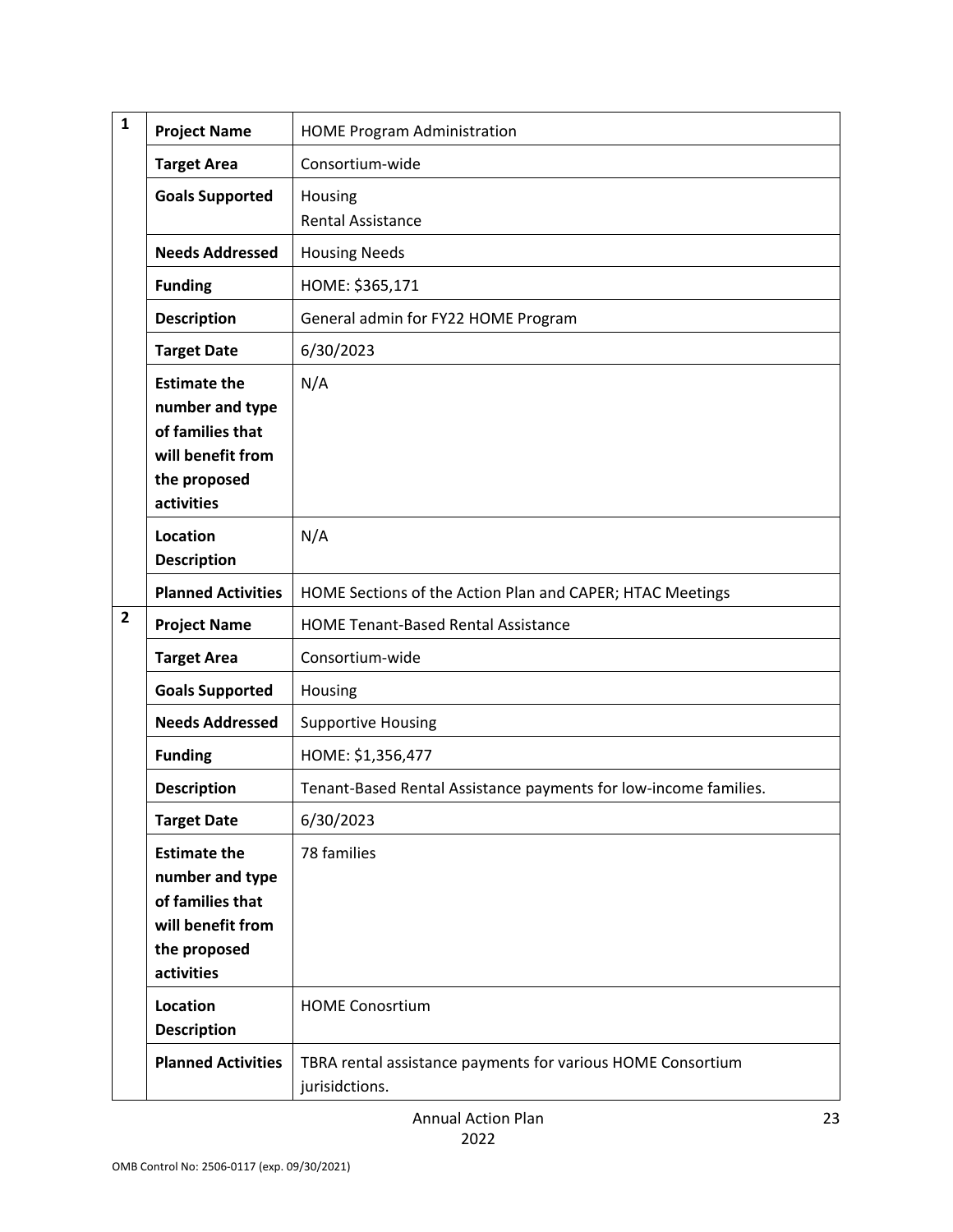| $\mathbf{1}$   | <b>Project Name</b>                                                                                           | <b>HOME Program Administration</b>                                            |  |  |  |  |  |
|----------------|---------------------------------------------------------------------------------------------------------------|-------------------------------------------------------------------------------|--|--|--|--|--|
|                | <b>Target Area</b>                                                                                            | Consortium-wide                                                               |  |  |  |  |  |
|                | <b>Goals Supported</b>                                                                                        | Housing<br><b>Rental Assistance</b>                                           |  |  |  |  |  |
|                | <b>Needs Addressed</b>                                                                                        | <b>Housing Needs</b>                                                          |  |  |  |  |  |
|                | <b>Funding</b>                                                                                                | HOME: \$365,171                                                               |  |  |  |  |  |
|                | <b>Description</b>                                                                                            | General admin for FY22 HOME Program                                           |  |  |  |  |  |
|                | <b>Target Date</b>                                                                                            | 6/30/2023                                                                     |  |  |  |  |  |
|                | <b>Estimate the</b><br>number and type<br>of families that<br>will benefit from<br>the proposed<br>activities | N/A                                                                           |  |  |  |  |  |
|                | <b>Location</b><br><b>Description</b>                                                                         | N/A                                                                           |  |  |  |  |  |
|                | <b>Planned Activities</b>                                                                                     | HOME Sections of the Action Plan and CAPER; HTAC Meetings                     |  |  |  |  |  |
| $\overline{2}$ | <b>Project Name</b>                                                                                           | <b>HOME Tenant-Based Rental Assistance</b>                                    |  |  |  |  |  |
|                | <b>Target Area</b>                                                                                            | Consortium-wide                                                               |  |  |  |  |  |
|                | <b>Goals Supported</b>                                                                                        | Housing                                                                       |  |  |  |  |  |
|                | <b>Needs Addressed</b>                                                                                        | <b>Supportive Housing</b>                                                     |  |  |  |  |  |
|                | <b>Funding</b>                                                                                                | HOME: \$1,356,477                                                             |  |  |  |  |  |
|                | <b>Description</b>                                                                                            | Tenant-Based Rental Assistance payments for low-income families.              |  |  |  |  |  |
|                | <b>Target Date</b>                                                                                            | 6/30/2023                                                                     |  |  |  |  |  |
|                | <b>Estimate the</b><br>number and type<br>of families that<br>will benefit from<br>the proposed<br>activities | 78 families                                                                   |  |  |  |  |  |
|                | <b>Location</b><br><b>Description</b>                                                                         | <b>HOME Conosrtium</b>                                                        |  |  |  |  |  |
|                | <b>Planned Activities</b>                                                                                     | TBRA rental assistance payments for various HOME Consortium<br>jurisidctions. |  |  |  |  |  |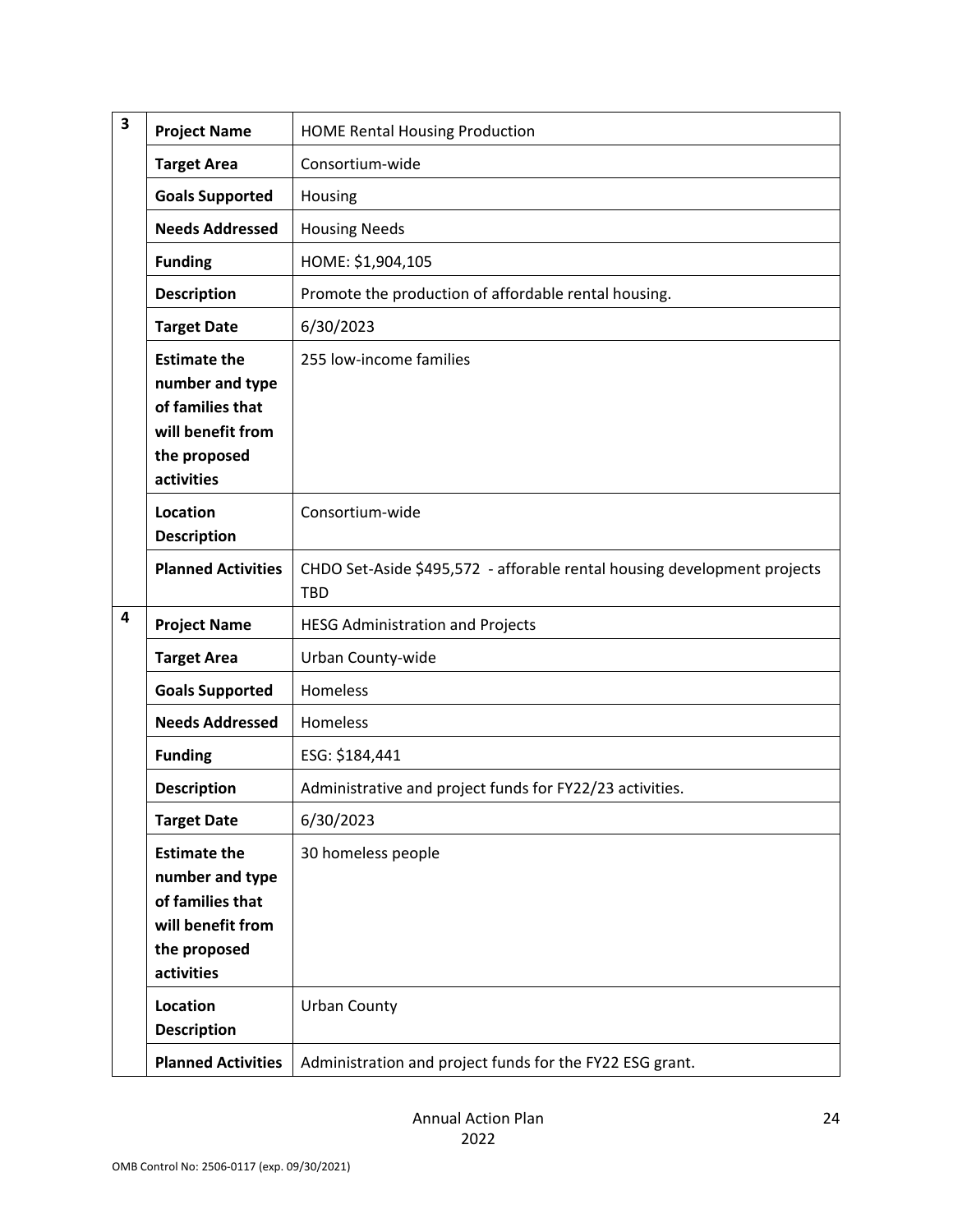| 3 | <b>Project Name</b>                                                                                           | <b>HOME Rental Housing Production</b>                                                  |
|---|---------------------------------------------------------------------------------------------------------------|----------------------------------------------------------------------------------------|
|   | <b>Target Area</b>                                                                                            | Consortium-wide                                                                        |
|   | <b>Goals Supported</b>                                                                                        | Housing                                                                                |
|   | <b>Needs Addressed</b>                                                                                        | <b>Housing Needs</b>                                                                   |
|   | <b>Funding</b>                                                                                                | HOME: \$1,904,105                                                                      |
|   | Promote the production of affordable rental housing.                                                          |                                                                                        |
|   | 6/30/2023                                                                                                     |                                                                                        |
|   | <b>Estimate the</b><br>number and type<br>of families that<br>will benefit from<br>the proposed<br>activities | 255 low-income families                                                                |
|   | Location<br><b>Description</b>                                                                                | Consortium-wide                                                                        |
|   | <b>Planned Activities</b>                                                                                     | CHDO Set-Aside \$495,572 - afforable rental housing development projects<br><b>TBD</b> |
| 4 | <b>Project Name</b>                                                                                           | <b>HESG Administration and Projects</b>                                                |
|   | <b>Target Area</b>                                                                                            | Urban County-wide                                                                      |
|   | <b>Goals Supported</b>                                                                                        | Homeless                                                                               |
|   | <b>Needs Addressed</b>                                                                                        | Homeless                                                                               |
|   | <b>Funding</b>                                                                                                | ESG: \$184,441                                                                         |
|   | <b>Description</b>                                                                                            | Administrative and project funds for FY22/23 activities.                               |
|   | <b>Target Date</b>                                                                                            | 6/30/2023                                                                              |
|   | <b>Estimate the</b><br>number and type<br>of families that<br>will benefit from<br>the proposed<br>activities | 30 homeless people                                                                     |
|   | <b>Location</b><br>Description                                                                                | <b>Urban County</b>                                                                    |
|   | <b>Planned Activities</b>                                                                                     | Administration and project funds for the FY22 ESG grant.                               |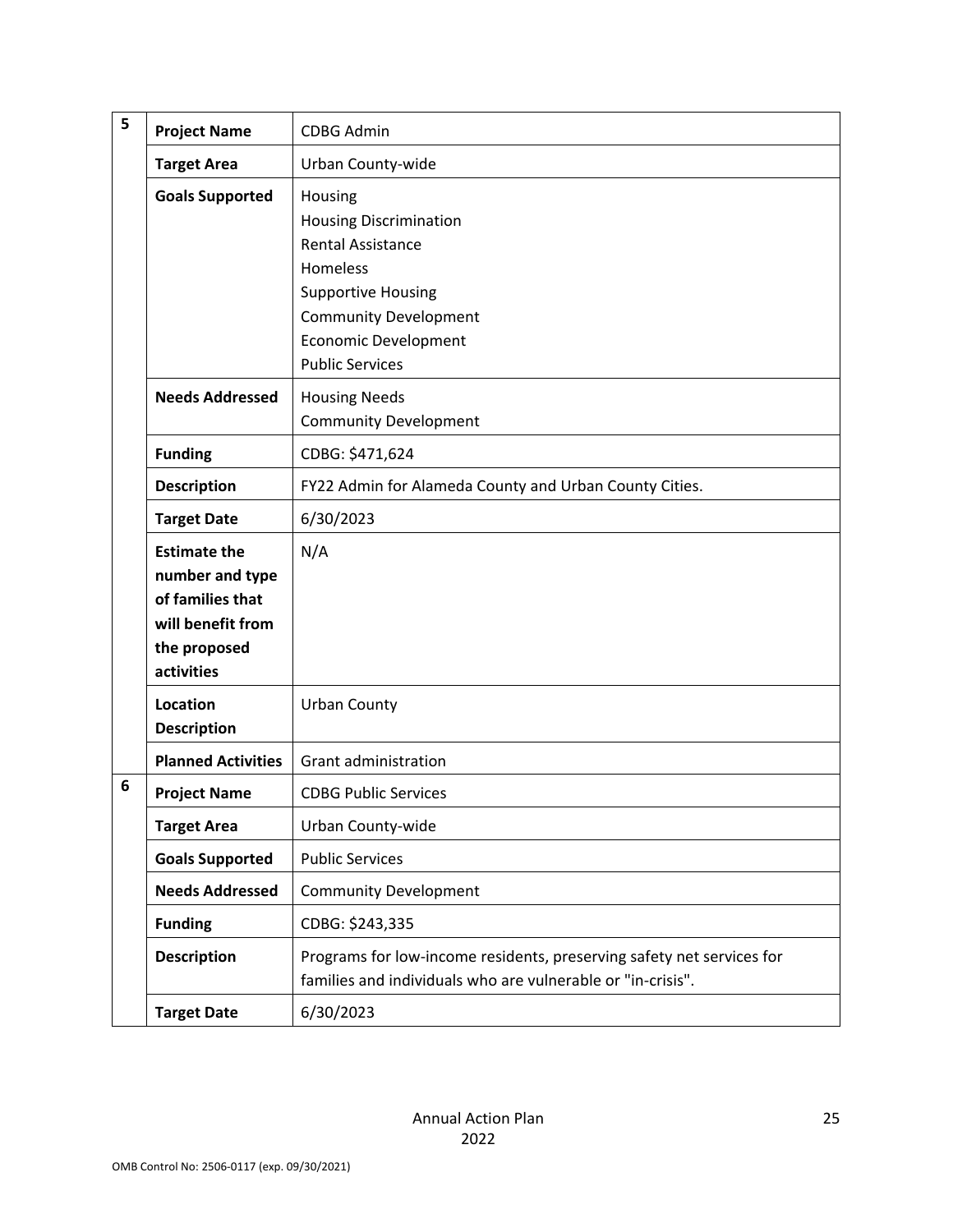| 5 | <b>Project Name</b>                                                                                           | <b>CDBG Admin</b>                                                                                                                                                                                      |
|---|---------------------------------------------------------------------------------------------------------------|--------------------------------------------------------------------------------------------------------------------------------------------------------------------------------------------------------|
|   | <b>Target Area</b>                                                                                            | Urban County-wide                                                                                                                                                                                      |
|   | <b>Goals Supported</b>                                                                                        | Housing<br><b>Housing Discrimination</b><br><b>Rental Assistance</b><br>Homeless<br><b>Supportive Housing</b><br><b>Community Development</b><br><b>Economic Development</b><br><b>Public Services</b> |
|   | <b>Needs Addressed</b>                                                                                        | <b>Housing Needs</b><br><b>Community Development</b>                                                                                                                                                   |
|   | <b>Funding</b>                                                                                                | CDBG: \$471,624                                                                                                                                                                                        |
|   | <b>Description</b>                                                                                            | FY22 Admin for Alameda County and Urban County Cities.                                                                                                                                                 |
|   | <b>Target Date</b>                                                                                            | 6/30/2023                                                                                                                                                                                              |
|   | <b>Estimate the</b><br>number and type<br>of families that<br>will benefit from<br>the proposed<br>activities | N/A                                                                                                                                                                                                    |
|   | <b>Location</b><br><b>Description</b>                                                                         | <b>Urban County</b>                                                                                                                                                                                    |
|   | <b>Planned Activities</b>                                                                                     | Grant administration                                                                                                                                                                                   |
| 6 | <b>Project Name</b>                                                                                           | <b>CDBG Public Services</b>                                                                                                                                                                            |
|   | <b>Target Area</b>                                                                                            | Urban County-wide                                                                                                                                                                                      |
|   | <b>Goals Supported</b>                                                                                        | <b>Public Services</b>                                                                                                                                                                                 |
|   | <b>Needs Addressed</b>                                                                                        | <b>Community Development</b>                                                                                                                                                                           |
|   | <b>Funding</b>                                                                                                | CDBG: \$243,335                                                                                                                                                                                        |
|   | <b>Description</b>                                                                                            | Programs for low-income residents, preserving safety net services for<br>families and individuals who are vulnerable or "in-crisis".                                                                   |
|   | <b>Target Date</b>                                                                                            | 6/30/2023                                                                                                                                                                                              |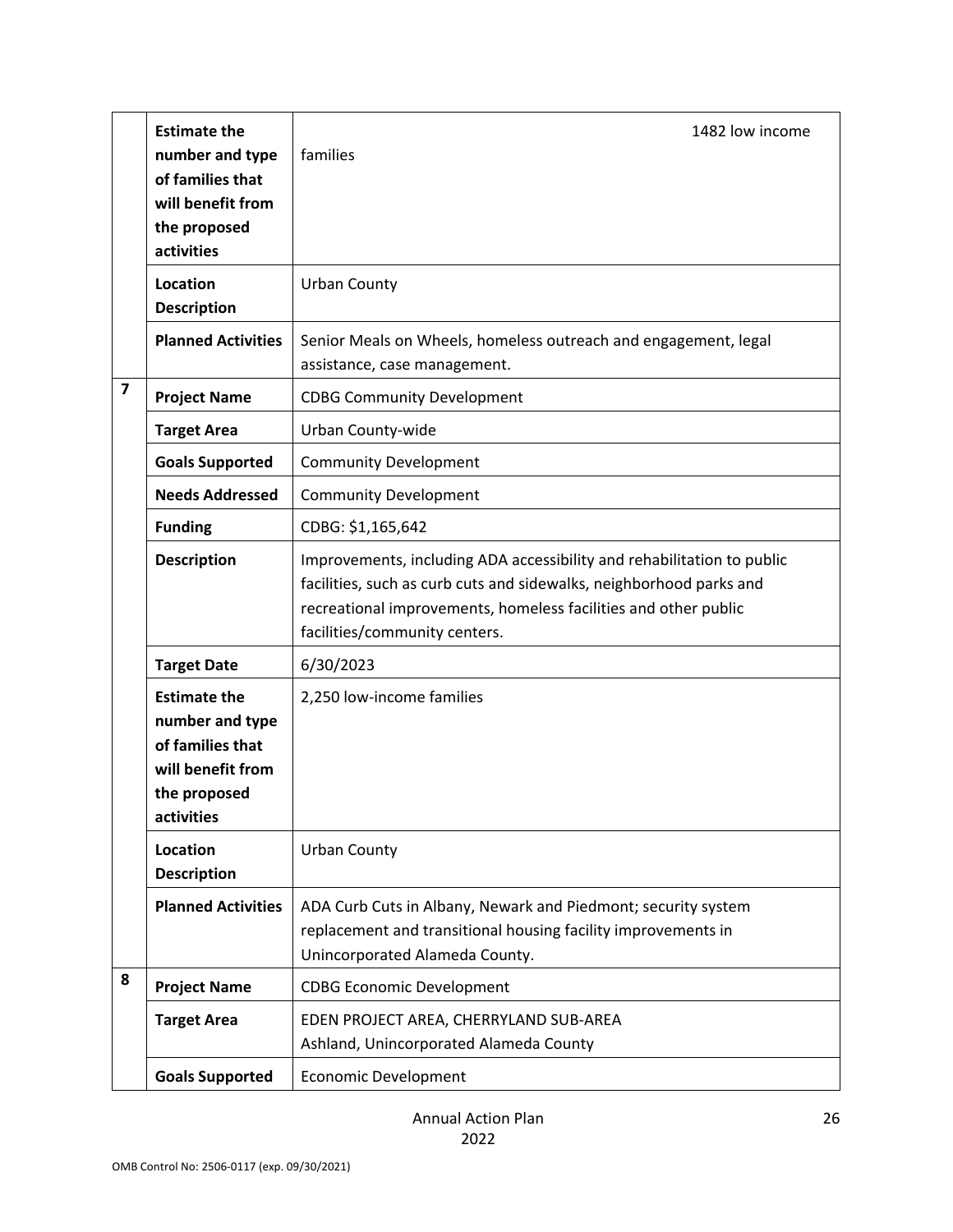|                         | <b>Estimate the</b><br>number and type<br>of families that<br>will benefit from<br>the proposed<br>activities | 1482 low income<br>families                                                                                                                                                                                                                       |
|-------------------------|---------------------------------------------------------------------------------------------------------------|---------------------------------------------------------------------------------------------------------------------------------------------------------------------------------------------------------------------------------------------------|
|                         | Location<br><b>Description</b>                                                                                | <b>Urban County</b>                                                                                                                                                                                                                               |
|                         | <b>Planned Activities</b>                                                                                     | Senior Meals on Wheels, homeless outreach and engagement, legal<br>assistance, case management.                                                                                                                                                   |
| $\overline{\mathbf{z}}$ | <b>Project Name</b>                                                                                           | <b>CDBG Community Development</b>                                                                                                                                                                                                                 |
|                         | <b>Target Area</b>                                                                                            | Urban County-wide                                                                                                                                                                                                                                 |
|                         | <b>Goals Supported</b>                                                                                        | <b>Community Development</b>                                                                                                                                                                                                                      |
|                         | <b>Needs Addressed</b>                                                                                        | <b>Community Development</b>                                                                                                                                                                                                                      |
|                         | <b>Funding</b>                                                                                                | CDBG: \$1,165,642                                                                                                                                                                                                                                 |
|                         | <b>Description</b>                                                                                            | Improvements, including ADA accessibility and rehabilitation to public<br>facilities, such as curb cuts and sidewalks, neighborhood parks and<br>recreational improvements, homeless facilities and other public<br>facilities/community centers. |
|                         | <b>Target Date</b>                                                                                            | 6/30/2023                                                                                                                                                                                                                                         |
|                         | <b>Estimate the</b><br>number and type<br>of families that<br>will benefit from<br>the proposed<br>activities | 2,250 low-income families                                                                                                                                                                                                                         |
|                         | Location<br><b>Description</b>                                                                                | <b>Urban County</b>                                                                                                                                                                                                                               |
|                         | <b>Planned Activities</b>                                                                                     | ADA Curb Cuts in Albany, Newark and Piedmont; security system<br>replacement and transitional housing facility improvements in<br>Unincorporated Alameda County.                                                                                  |
| 8                       | <b>Project Name</b>                                                                                           | <b>CDBG Economic Development</b>                                                                                                                                                                                                                  |
|                         | <b>Target Area</b>                                                                                            | EDEN PROJECT AREA, CHERRYLAND SUB-AREA<br>Ashland, Unincorporated Alameda County                                                                                                                                                                  |
|                         | <b>Goals Supported</b>                                                                                        | <b>Economic Development</b>                                                                                                                                                                                                                       |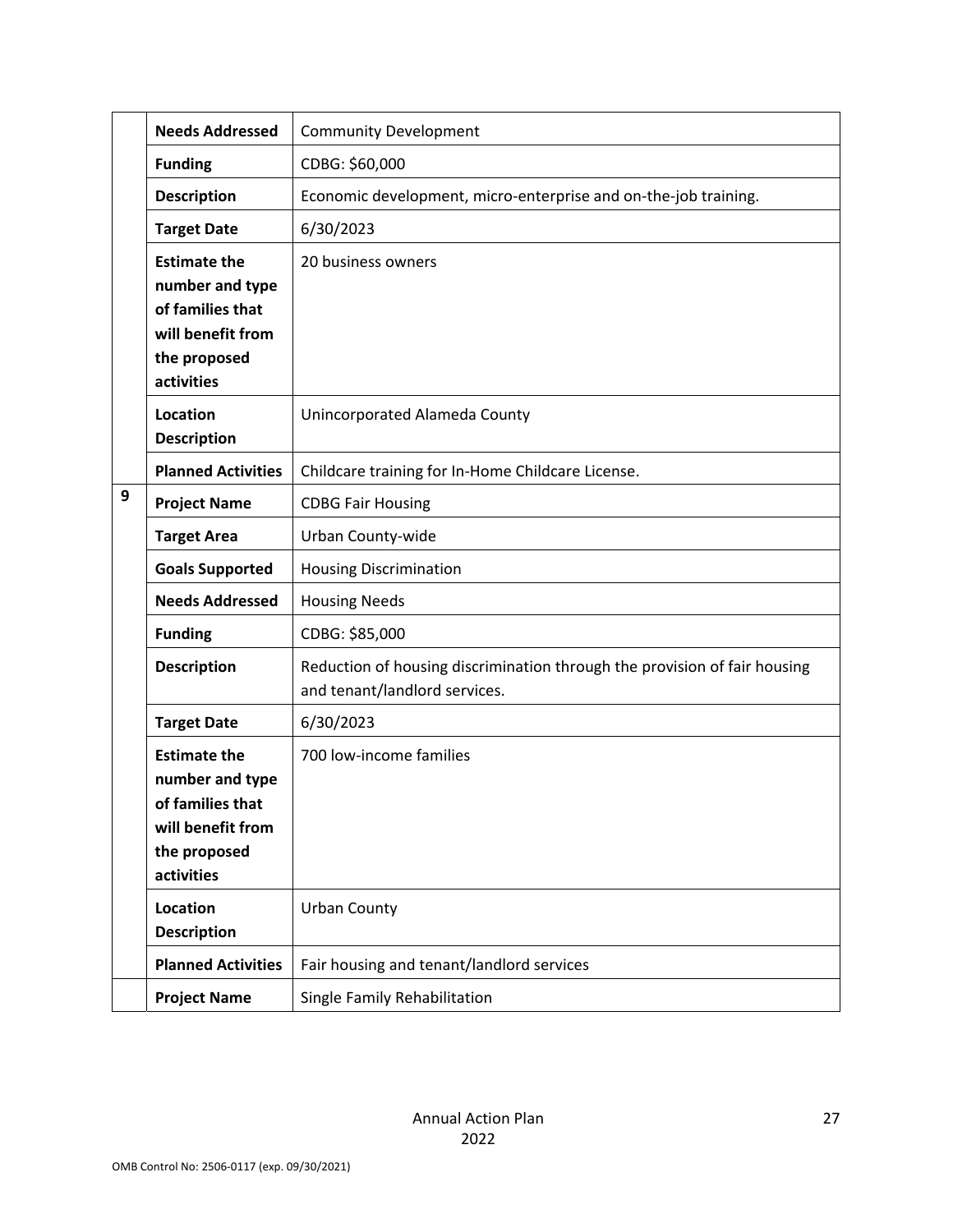|   | <b>Needs Addressed</b>                                                                                        | <b>Community Development</b>                                                                               |
|---|---------------------------------------------------------------------------------------------------------------|------------------------------------------------------------------------------------------------------------|
|   | <b>Funding</b>                                                                                                | CDBG: \$60,000                                                                                             |
|   | <b>Description</b>                                                                                            | Economic development, micro-enterprise and on-the-job training.                                            |
|   | <b>Target Date</b>                                                                                            | 6/30/2023                                                                                                  |
|   | <b>Estimate the</b><br>number and type<br>of families that<br>will benefit from<br>the proposed<br>activities | 20 business owners                                                                                         |
|   | Location<br><b>Description</b>                                                                                | Unincorporated Alameda County                                                                              |
|   | <b>Planned Activities</b>                                                                                     | Childcare training for In-Home Childcare License.                                                          |
| 9 | <b>Project Name</b>                                                                                           | <b>CDBG Fair Housing</b>                                                                                   |
|   | <b>Target Area</b>                                                                                            | Urban County-wide                                                                                          |
|   | <b>Goals Supported</b>                                                                                        | <b>Housing Discrimination</b>                                                                              |
|   | <b>Needs Addressed</b>                                                                                        | <b>Housing Needs</b>                                                                                       |
|   | <b>Funding</b>                                                                                                | CDBG: \$85,000                                                                                             |
|   | <b>Description</b>                                                                                            | Reduction of housing discrimination through the provision of fair housing<br>and tenant/landlord services. |
|   | <b>Target Date</b>                                                                                            | 6/30/2023                                                                                                  |
|   | <b>Estimate the</b><br>number and type<br>of families that<br>will benefit from<br>the proposed<br>activities | 700 low-income families                                                                                    |
|   | Location<br><b>Description</b>                                                                                | <b>Urban County</b>                                                                                        |
|   | <b>Planned Activities</b>                                                                                     | Fair housing and tenant/landlord services                                                                  |
|   | <b>Project Name</b>                                                                                           | Single Family Rehabilitation                                                                               |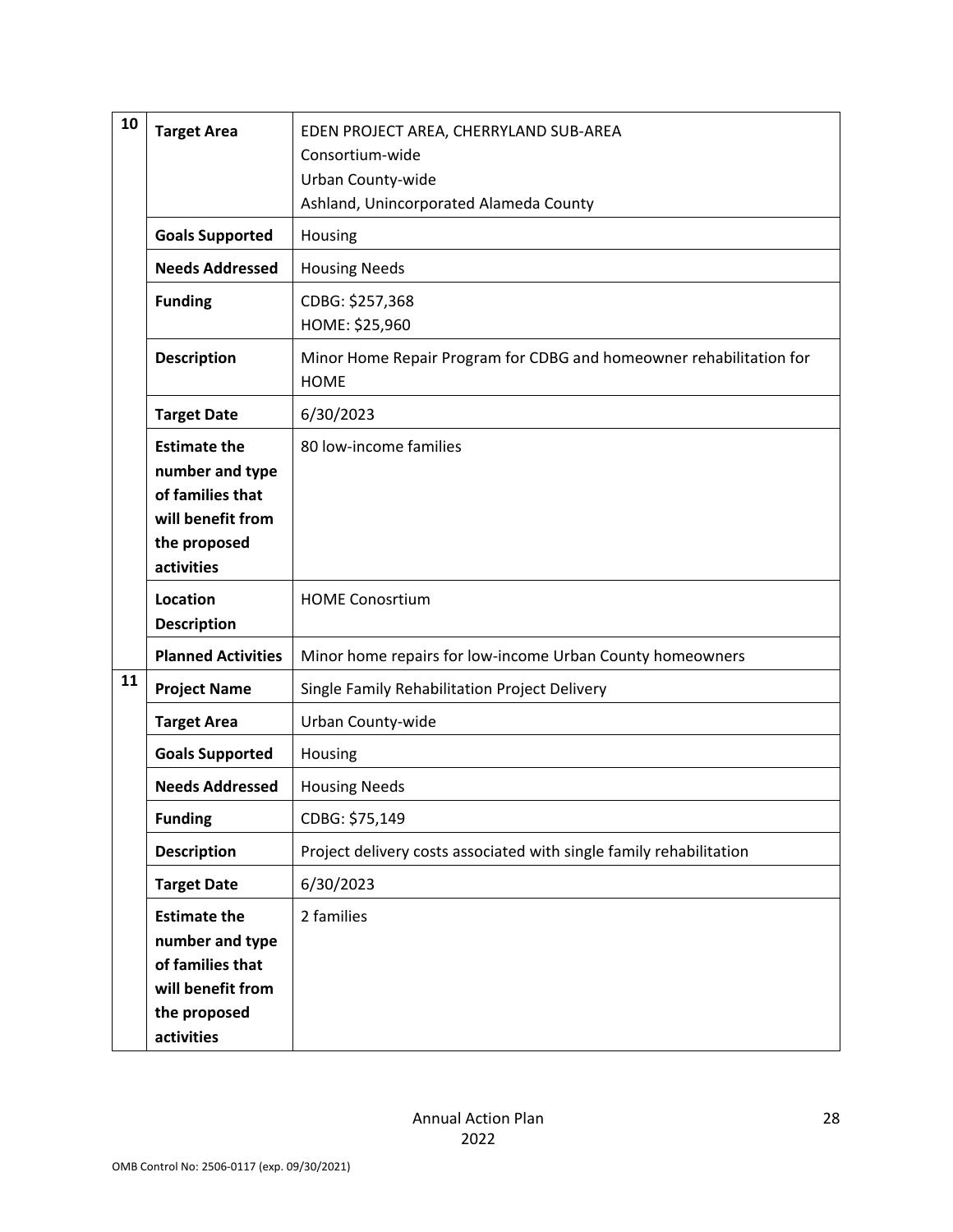| 10 | <b>Target Area</b>                                                                                            | EDEN PROJECT AREA, CHERRYLAND SUB-AREA<br>Consortium-wide<br>Urban County-wide<br>Ashland, Unincorporated Alameda County |
|----|---------------------------------------------------------------------------------------------------------------|--------------------------------------------------------------------------------------------------------------------------|
|    | <b>Goals Supported</b>                                                                                        | Housing                                                                                                                  |
|    | <b>Needs Addressed</b>                                                                                        | <b>Housing Needs</b>                                                                                                     |
|    | <b>Funding</b>                                                                                                | CDBG: \$257,368<br>HOME: \$25,960                                                                                        |
|    | <b>Description</b>                                                                                            | Minor Home Repair Program for CDBG and homeowner rehabilitation for<br><b>HOME</b>                                       |
|    | <b>Target Date</b>                                                                                            | 6/30/2023                                                                                                                |
|    | <b>Estimate the</b><br>number and type<br>of families that<br>will benefit from<br>the proposed<br>activities | 80 low-income families                                                                                                   |
|    | Location<br><b>Description</b>                                                                                | <b>HOME Conosrtium</b>                                                                                                   |
|    | <b>Planned Activities</b>                                                                                     | Minor home repairs for low-income Urban County homeowners                                                                |
| 11 | <b>Project Name</b>                                                                                           | Single Family Rehabilitation Project Delivery                                                                            |
|    | <b>Target Area</b>                                                                                            | Urban County-wide                                                                                                        |
|    | <b>Goals Supported</b>                                                                                        | Housing                                                                                                                  |
|    | <b>Needs Addressed</b>                                                                                        | <b>Housing Needs</b>                                                                                                     |
|    | <b>Funding</b>                                                                                                | CDBG: \$75,149                                                                                                           |
|    | <b>Description</b>                                                                                            | Project delivery costs associated with single family rehabilitation                                                      |
|    | <b>Target Date</b>                                                                                            | 6/30/2023                                                                                                                |
|    | <b>Estimate the</b><br>number and type<br>of families that<br>will benefit from<br>the proposed<br>activities | 2 families                                                                                                               |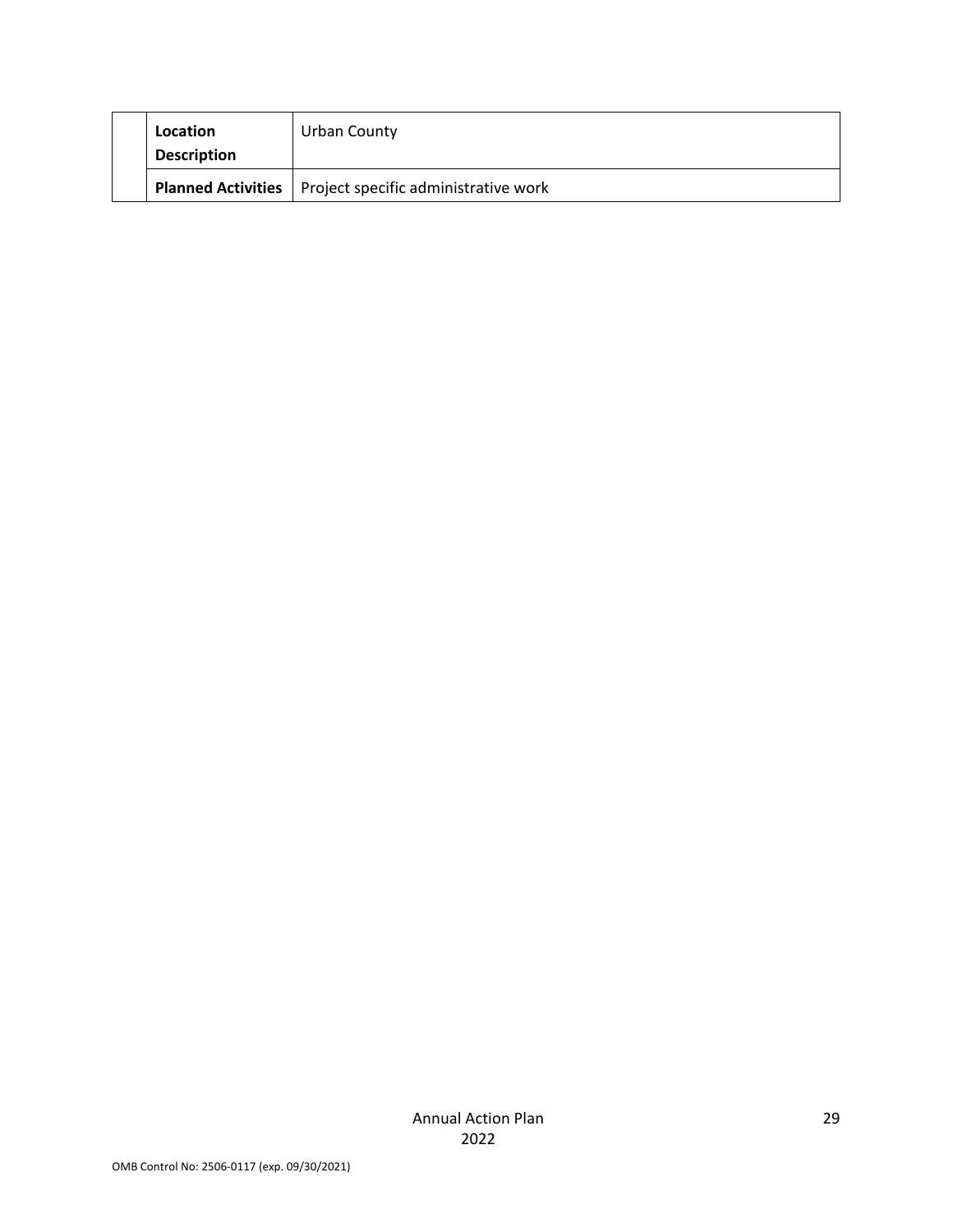| Location<br><b>Description</b> | Urban County                         |
|--------------------------------|--------------------------------------|
| <b>Planned Activities</b>      | Project specific administrative work |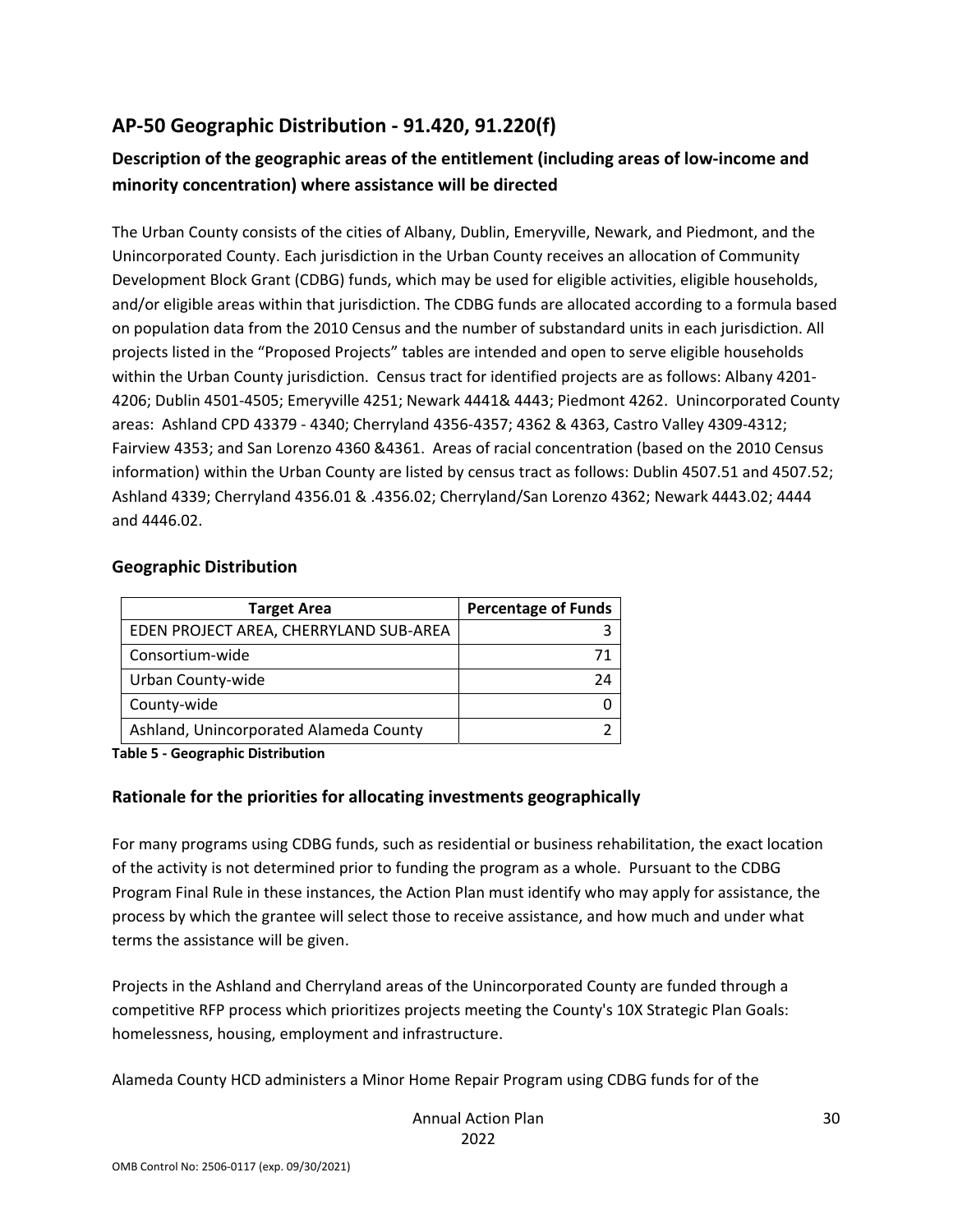## **AP‐50 Geographic Distribution ‐ 91.420, 91.220(f)**

## **Description of the geographic areas of the entitlement (including areas of low‐income and minority concentration) where assistance will be directed**

The Urban County consists of the cities of Albany, Dublin, Emeryville, Newark, and Piedmont, and the Unincorporated County. Each jurisdiction in the Urban County receives an allocation of Community Development Block Grant (CDBG) funds, which may be used for eligible activities, eligible households, and/or eligible areas within that jurisdiction. The CDBG funds are allocated according to a formula based on population data from the 2010 Census and the number of substandard units in each jurisdiction. All projects listed in the "Proposed Projects" tables are intended and open to serve eligible households within the Urban County jurisdiction. Census tract for identified projects are as follows: Albany 4201‐ 4206; Dublin 4501‐4505; Emeryville 4251; Newark 4441& 4443; Piedmont 4262. Unincorporated County areas: Ashland CPD 43379 ‐ 4340; Cherryland 4356‐4357; 4362 & 4363, Castro Valley 4309‐4312; Fairview 4353; and San Lorenzo 4360 &4361. Areas of racial concentration (based on the 2010 Census information) within the Urban County are listed by census tract as follows: Dublin 4507.51 and 4507.52; Ashland 4339; Cherryland 4356.01 & .4356.02; Cherryland/San Lorenzo 4362; Newark 4443.02; 4444 and 4446.02.

#### **Geographic Distribution**

| <b>Target Area</b>                     | <b>Percentage of Funds</b> |
|----------------------------------------|----------------------------|
| EDEN PROJECT AREA, CHERRYLAND SUB-AREA |                            |
| Consortium-wide                        |                            |
| Urban County-wide                      |                            |
| County-wide                            |                            |
| Ashland, Unincorporated Alameda County |                            |

**Table 5 ‐ Geographic Distribution** 

### **Rationale for the priorities for allocating investments geographically**

For many programs using CDBG funds, such as residential or business rehabilitation, the exact location of the activity is not determined prior to funding the program as a whole. Pursuant to the CDBG Program Final Rule in these instances, the Action Plan must identify who may apply for assistance, the process by which the grantee will select those to receive assistance, and how much and under what terms the assistance will be given.

Projects in the Ashland and Cherryland areas of the Unincorporated County are funded through a competitive RFP process which prioritizes projects meeting the County's 10X Strategic Plan Goals: homelessness, housing, employment and infrastructure.

Alameda County HCD administers a Minor Home Repair Program using CDBG funds for of the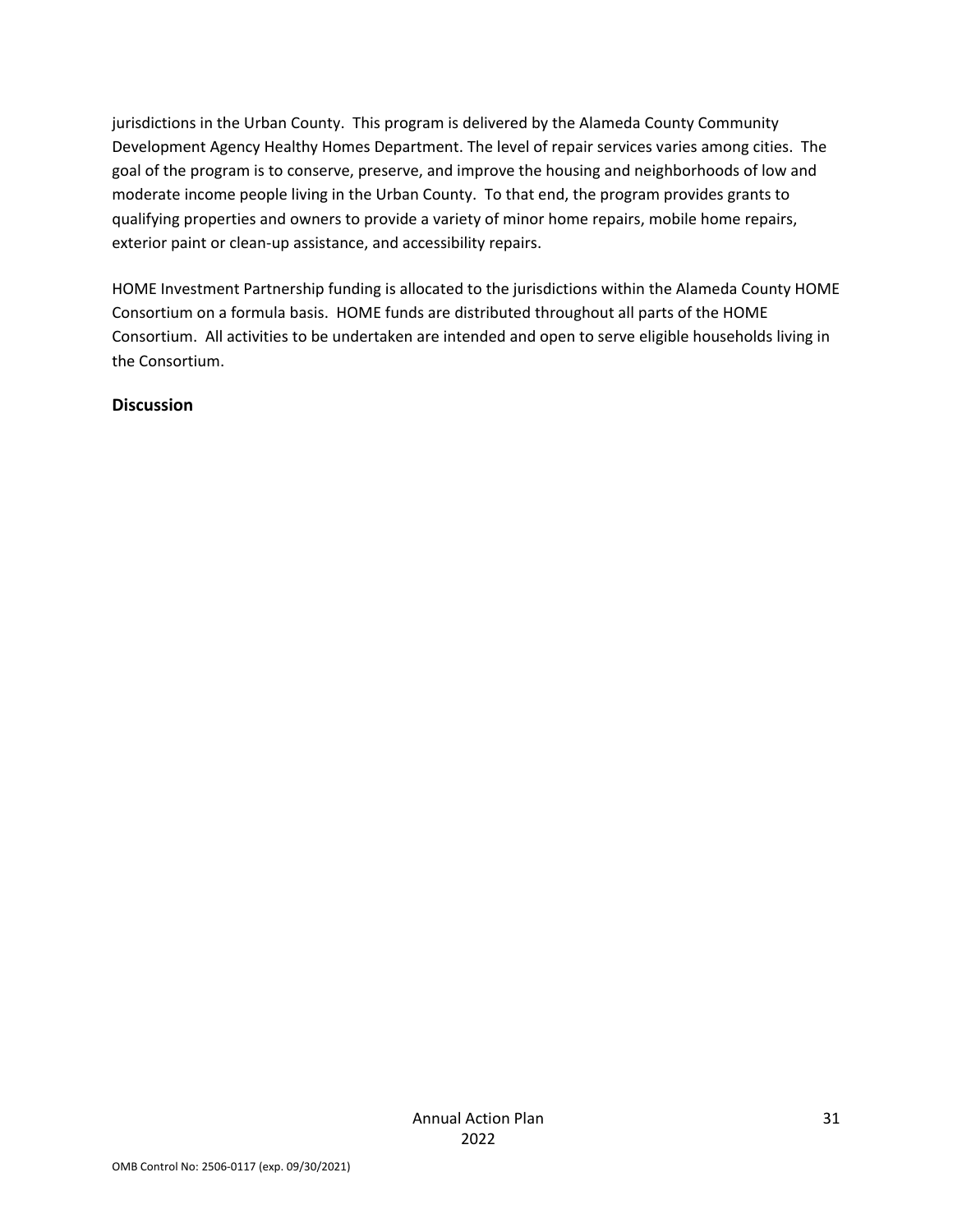jurisdictions in the Urban County. This program is delivered by the Alameda County Community Development Agency Healthy Homes Department. The level of repair services varies among cities. The goal of the program is to conserve, preserve, and improve the housing and neighborhoods of low and moderate income people living in the Urban County. To that end, the program provides grants to qualifying properties and owners to provide a variety of minor home repairs, mobile home repairs, exterior paint or clean-up assistance, and accessibility repairs.

HOME Investment Partnership funding is allocated to the jurisdictions within the Alameda County HOME Consortium on a formula basis. HOME funds are distributed throughout all parts of the HOME Consortium. All activities to be undertaken are intended and open to serve eligible households living in the Consortium.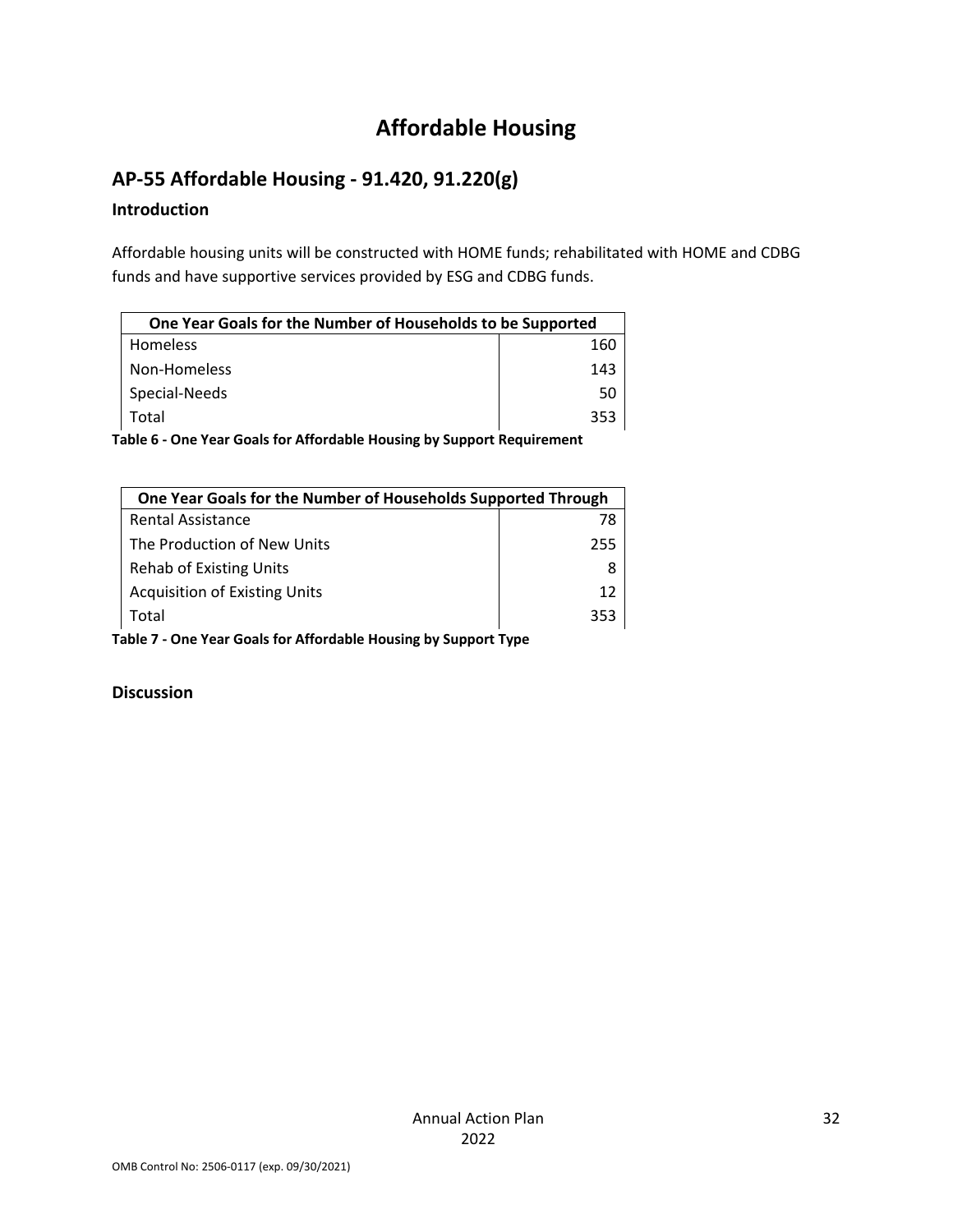# **Affordable Housing**

## **AP‐55 Affordable Housing ‐ 91.420, 91.220(g)**

### **Introduction**

Affordable housing units will be constructed with HOME funds; rehabilitated with HOME and CDBG funds and have supportive services provided by ESG and CDBG funds.

| One Year Goals for the Number of Households to be Supported |     |
|-------------------------------------------------------------|-----|
| <b>Homeless</b>                                             | 160 |
| Non-Homeless                                                | 143 |
| Special-Needs                                               | 50  |
| Total                                                       | 353 |

**Table 6 ‐ One Year Goals for Affordable Housing by Support Requirement**

| One Year Goals for the Number of Households Supported Through |     |  |
|---------------------------------------------------------------|-----|--|
| <b>Rental Assistance</b>                                      | 78  |  |
| The Production of New Units                                   | 255 |  |
| <b>Rehab of Existing Units</b>                                |     |  |
| <b>Acquisition of Existing Units</b>                          | 12  |  |
| Total                                                         | 353 |  |

**Table 7 ‐ One Year Goals for Affordable Housing by Support Type**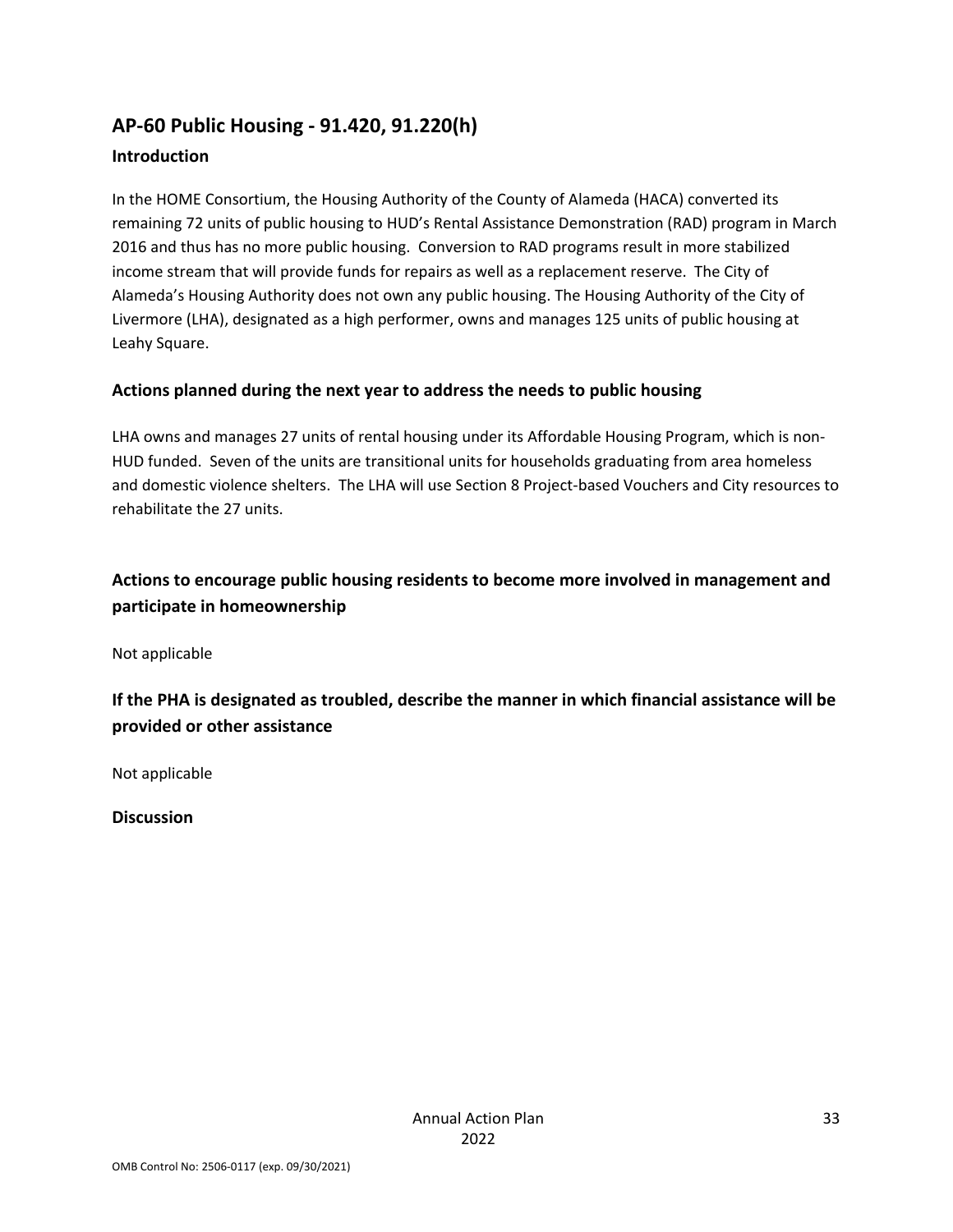## **AP‐60 Public Housing ‐ 91.420, 91.220(h) Introduction**

In the HOME Consortium, the Housing Authority of the County of Alameda (HACA) converted its remaining 72 units of public housing to HUD's Rental Assistance Demonstration (RAD) program in March 2016 and thus has no more public housing. Conversion to RAD programs result in more stabilized income stream that will provide funds for repairs as well as a replacement reserve. The City of Alameda's Housing Authority does not own any public housing. The Housing Authority of the City of Livermore (LHA), designated as a high performer, owns and manages 125 units of public housing at Leahy Square.

### **Actions planned during the next year to address the needs to public housing**

LHA owns and manages 27 units of rental housing under its Affordable Housing Program, which is non‐ HUD funded. Seven of the units are transitional units for households graduating from area homeless and domestic violence shelters. The LHA will use Section 8 Project‐based Vouchers and City resources to rehabilitate the 27 units.

## **Actions to encourage public housing residents to become more involved in management and participate in homeownership**

Not applicable

**If the PHA is designated as troubled, describe the manner in which financial assistance will be provided or other assistance** 

Not applicable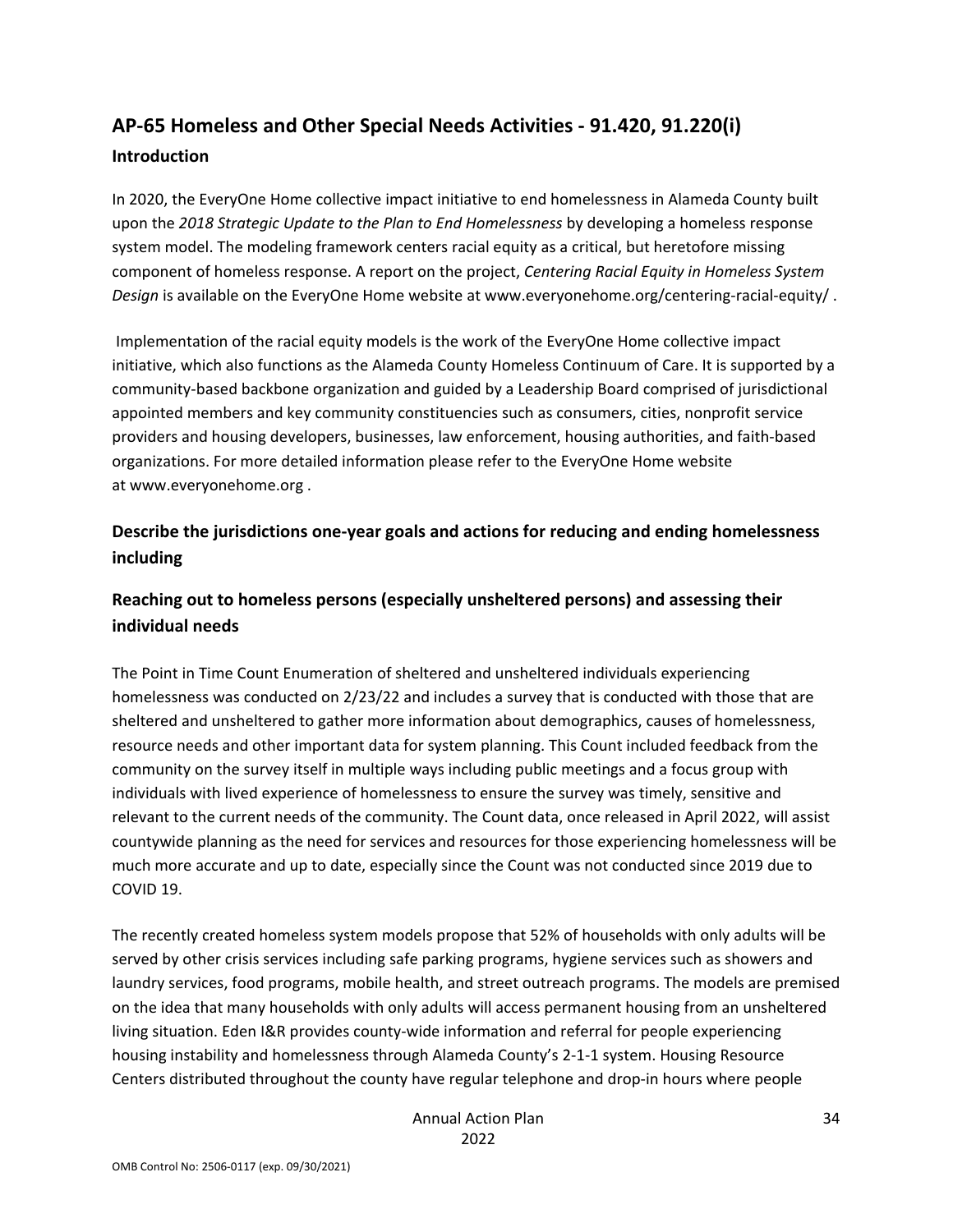# **AP‐65 Homeless and Other Special Needs Activities ‐ 91.420, 91.220(i) Introduction**

In 2020, the EveryOne Home collective impact initiative to end homelessness in Alameda County built upon the *2018 Strategic Update to the Plan to End Homelessness* by developing a homeless response system model. The modeling framework centers racial equity as a critical, but heretofore missing component of homeless response. A report on the project, *Centering Racial Equity in Homeless System Design* is available on the EveryOne Home website at www.everyonehome.org/centering‐racial‐equity/ .

Implementation of the racial equity models is the work of the EveryOne Home collective impact initiative, which also functions as the Alameda County Homeless Continuum of Care. It is supported by a community‐based backbone organization and guided by a Leadership Board comprised of jurisdictional appointed members and key community constituencies such as consumers, cities, nonprofit service providers and housing developers, businesses, law enforcement, housing authorities, and faith‐based organizations. For more detailed information please refer to the EveryOne Home website at www.everyonehome.org .

## **Describe the jurisdictions one‐year goals and actions for reducing and ending homelessness including**

## **Reaching out to homeless persons (especially unsheltered persons) and assessing their individual needs**

The Point in Time Count Enumeration of sheltered and unsheltered individuals experiencing homelessness was conducted on 2/23/22 and includes a survey that is conducted with those that are sheltered and unsheltered to gather more information about demographics, causes of homelessness, resource needs and other important data for system planning. This Count included feedback from the community on the survey itself in multiple ways including public meetings and a focus group with individuals with lived experience of homelessness to ensure the survey was timely, sensitive and relevant to the current needs of the community. The Count data, once released in April 2022, will assist countywide planning as the need for services and resources for those experiencing homelessness will be much more accurate and up to date, especially since the Count was not conducted since 2019 due to COVID 19.

The recently created homeless system models propose that 52% of households with only adults will be served by other crisis services including safe parking programs, hygiene services such as showers and laundry services, food programs, mobile health, and street outreach programs. The models are premised on the idea that many households with only adults will access permanent housing from an unsheltered living situation. Eden I&R provides county-wide information and referral for people experiencing housing instability and homelessness through Alameda County's 2‐1‐1 system. Housing Resource Centers distributed throughout the county have regular telephone and drop-in hours where people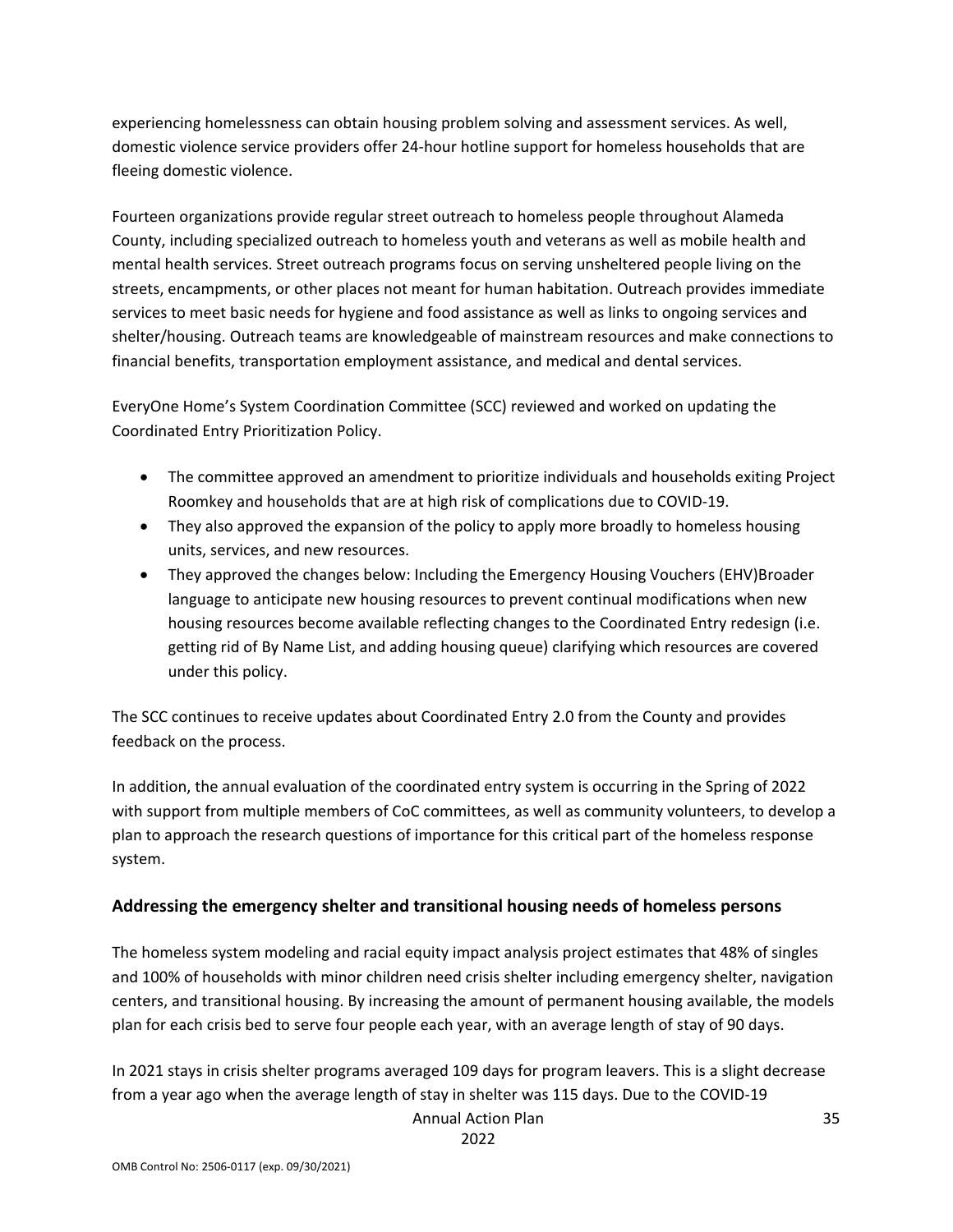experiencing homelessness can obtain housing problem solving and assessment services. As well, domestic violence service providers offer 24‐hour hotline support for homeless households that are fleeing domestic violence.

Fourteen organizations provide regular street outreach to homeless people throughout Alameda County, including specialized outreach to homeless youth and veterans as well as mobile health and mental health services. Street outreach programs focus on serving unsheltered people living on the streets, encampments, or other places not meant for human habitation. Outreach provides immediate services to meet basic needs for hygiene and food assistance as well as links to ongoing services and shelter/housing. Outreach teams are knowledgeable of mainstream resources and make connections to financial benefits, transportation employment assistance, and medical and dental services.

EveryOne Home's System Coordination Committee (SCC) reviewed and worked on updating the Coordinated Entry Prioritization Policy.

- The committee approved an amendment to prioritize individuals and households exiting Project Roomkey and households that are at high risk of complications due to COVID‐19.
- They also approved the expansion of the policy to apply more broadly to homeless housing units, services, and new resources.
- They approved the changes below: Including the Emergency Housing Vouchers (EHV)Broader language to anticipate new housing resources to prevent continual modifications when new housing resources become available reflecting changes to the Coordinated Entry redesign (i.e. getting rid of By Name List, and adding housing queue) clarifying which resources are covered under this policy.

The SCC continues to receive updates about Coordinated Entry 2.0 from the County and provides feedback on the process.

In addition, the annual evaluation of the coordinated entry system is occurring in the Spring of 2022 with support from multiple members of CoC committees, as well as community volunteers, to develop a plan to approach the research questions of importance for this critical part of the homeless response system.

### **Addressing the emergency shelter and transitional housing needs of homeless persons**

The homeless system modeling and racial equity impact analysis project estimates that 48% of singles and 100% of households with minor children need crisis shelter including emergency shelter, navigation centers, and transitional housing. By increasing the amount of permanent housing available, the models plan for each crisis bed to serve four people each year, with an average length of stay of 90 days.

In 2021 stays in crisis shelter programs averaged 109 days for program leavers. This is a slight decrease from a year ago when the average length of stay in shelter was 115 days. Due to the COVID‐19

Annual Action Plan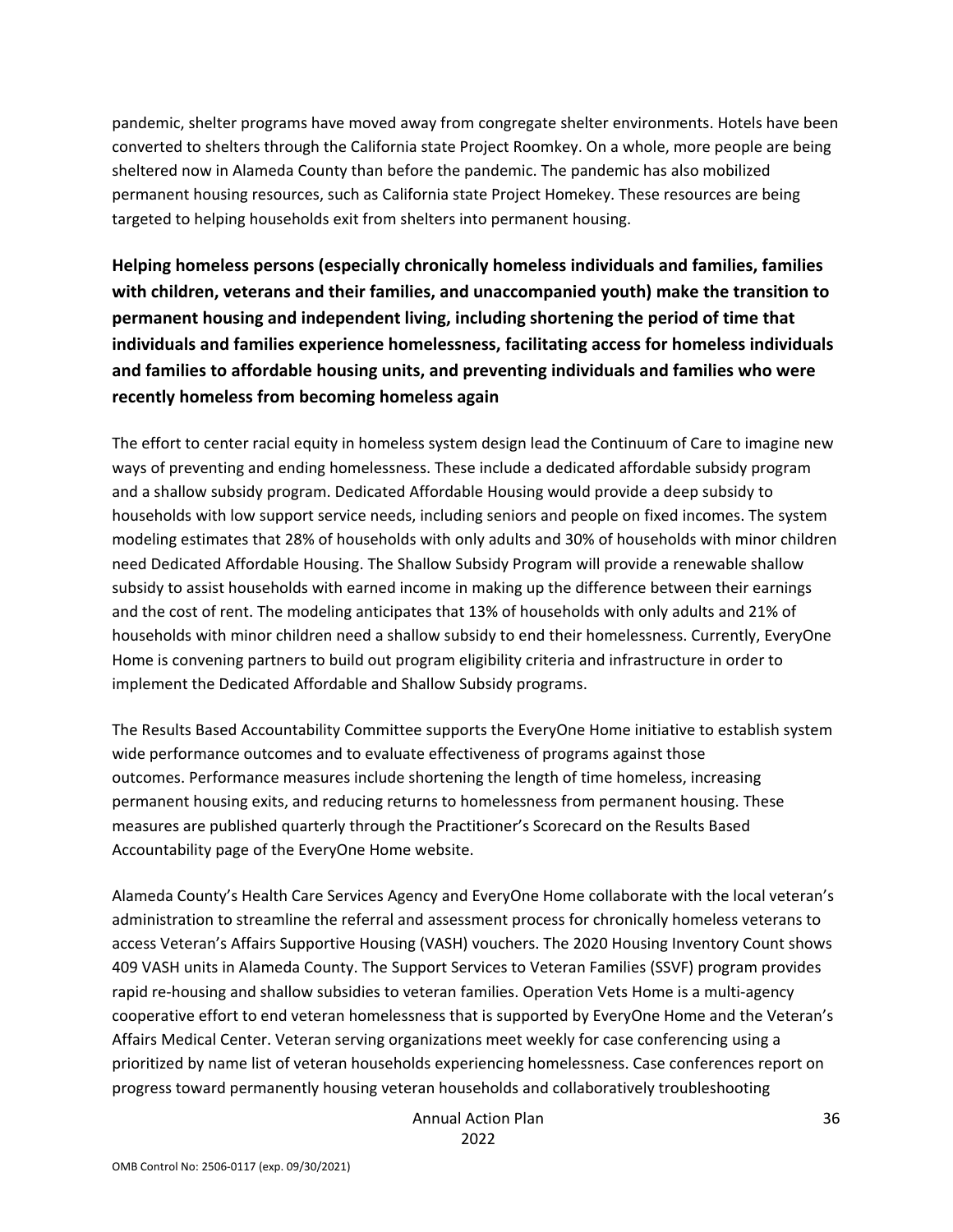pandemic, shelter programs have moved away from congregate shelter environments. Hotels have been converted to shelters through the California state Project Roomkey. On a whole, more people are being sheltered now in Alameda County than before the pandemic. The pandemic has also mobilized permanent housing resources, such as California state Project Homekey. These resources are being targeted to helping households exit from shelters into permanent housing.

**Helping homeless persons (especially chronically homeless individuals and families, families with children, veterans and their families, and unaccompanied youth) make the transition to permanent housing and independent living, including shortening the period of time that individuals and families experience homelessness, facilitating access for homeless individuals and families to affordable housing units, and preventing individuals and families who were recently homeless from becoming homeless again**

The effort to center racial equity in homeless system design lead the Continuum of Care to imagine new ways of preventing and ending homelessness. These include a dedicated affordable subsidy program and a shallow subsidy program. Dedicated Affordable Housing would provide a deep subsidy to households with low support service needs, including seniors and people on fixed incomes. The system modeling estimates that 28% of households with only adults and 30% of households with minor children need Dedicated Affordable Housing. The Shallow Subsidy Program will provide a renewable shallow subsidy to assist households with earned income in making up the difference between their earnings and the cost of rent. The modeling anticipates that 13% of households with only adults and 21% of households with minor children need a shallow subsidy to end their homelessness. Currently, EveryOne Home is convening partners to build out program eligibility criteria and infrastructure in order to implement the Dedicated Affordable and Shallow Subsidy programs.

The Results Based Accountability Committee supports the EveryOne Home initiative to establish system wide performance outcomes and to evaluate effectiveness of programs against those outcomes. Performance measures include shortening the length of time homeless, increasing permanent housing exits, and reducing returns to homelessness from permanent housing. These measures are published quarterly through the Practitioner's Scorecard on the Results Based Accountability page of the EveryOne Home website.

Alameda County's Health Care Services Agency and EveryOne Home collaborate with the local veteran's administration to streamline the referral and assessment process for chronically homeless veterans to access Veteran's Affairs Supportive Housing (VASH) vouchers. The 2020 Housing Inventory Count shows 409 VASH units in Alameda County. The Support Services to Veteran Families (SSVF) program provides rapid re-housing and shallow subsidies to veteran families. Operation Vets Home is a multi-agency cooperative effort to end veteran homelessness that is supported by EveryOne Home and the Veteran's Affairs Medical Center. Veteran serving organizations meet weekly for case conferencing using a prioritized by name list of veteran households experiencing homelessness. Case conferences report on progress toward permanently housing veteran households and collaboratively troubleshooting

> Annual Action Plan 2022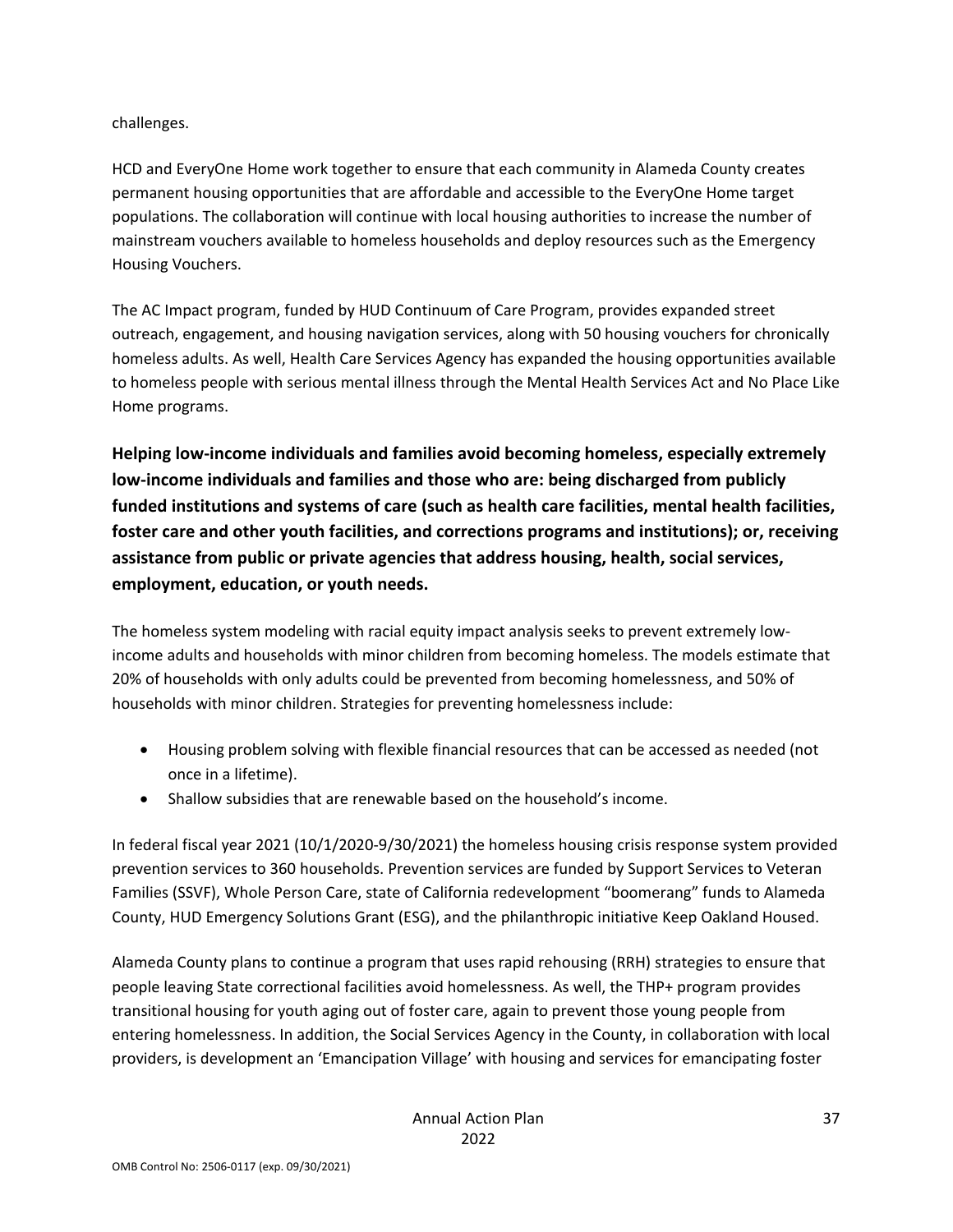challenges.

HCD and EveryOne Home work together to ensure that each community in Alameda County creates permanent housing opportunities that are affordable and accessible to the EveryOne Home target populations. The collaboration will continue with local housing authorities to increase the number of mainstream vouchers available to homeless households and deploy resources such as the Emergency Housing Vouchers.

The AC Impact program, funded by HUD Continuum of Care Program, provides expanded street outreach, engagement, and housing navigation services, along with 50 housing vouchers for chronically homeless adults. As well, Health Care Services Agency has expanded the housing opportunities available to homeless people with serious mental illness through the Mental Health Services Act and No Place Like Home programs.

**Helping low‐income individuals and families avoid becoming homeless, especially extremely low‐income individuals and families and those who are: being discharged from publicly funded institutions and systems of care (such as health care facilities, mental health facilities, foster care and other youth facilities, and corrections programs and institutions); or, receiving assistance from public or private agencies that address housing, health, social services, employment, education, or youth needs.**

The homeless system modeling with racial equity impact analysis seeks to prevent extremely low‐ income adults and households with minor children from becoming homeless. The models estimate that 20% of households with only adults could be prevented from becoming homelessness, and 50% of households with minor children. Strategies for preventing homelessness include:

- Housing problem solving with flexible financial resources that can be accessed as needed (not once in a lifetime).
- Shallow subsidies that are renewable based on the household's income.

In federal fiscal year 2021 (10/1/2020‐9/30/2021) the homeless housing crisis response system provided prevention services to 360 households. Prevention services are funded by Support Services to Veteran Families (SSVF), Whole Person Care, state of California redevelopment "boomerang" funds to Alameda County, HUD Emergency Solutions Grant (ESG), and the philanthropic initiative Keep Oakland Housed.

Alameda County plans to continue a program that uses rapid rehousing (RRH) strategies to ensure that people leaving State correctional facilities avoid homelessness. As well, the THP+ program provides transitional housing for youth aging out of foster care, again to prevent those young people from entering homelessness. In addition, the Social Services Agency in the County, in collaboration with local providers, is development an 'Emancipation Village' with housing and services for emancipating foster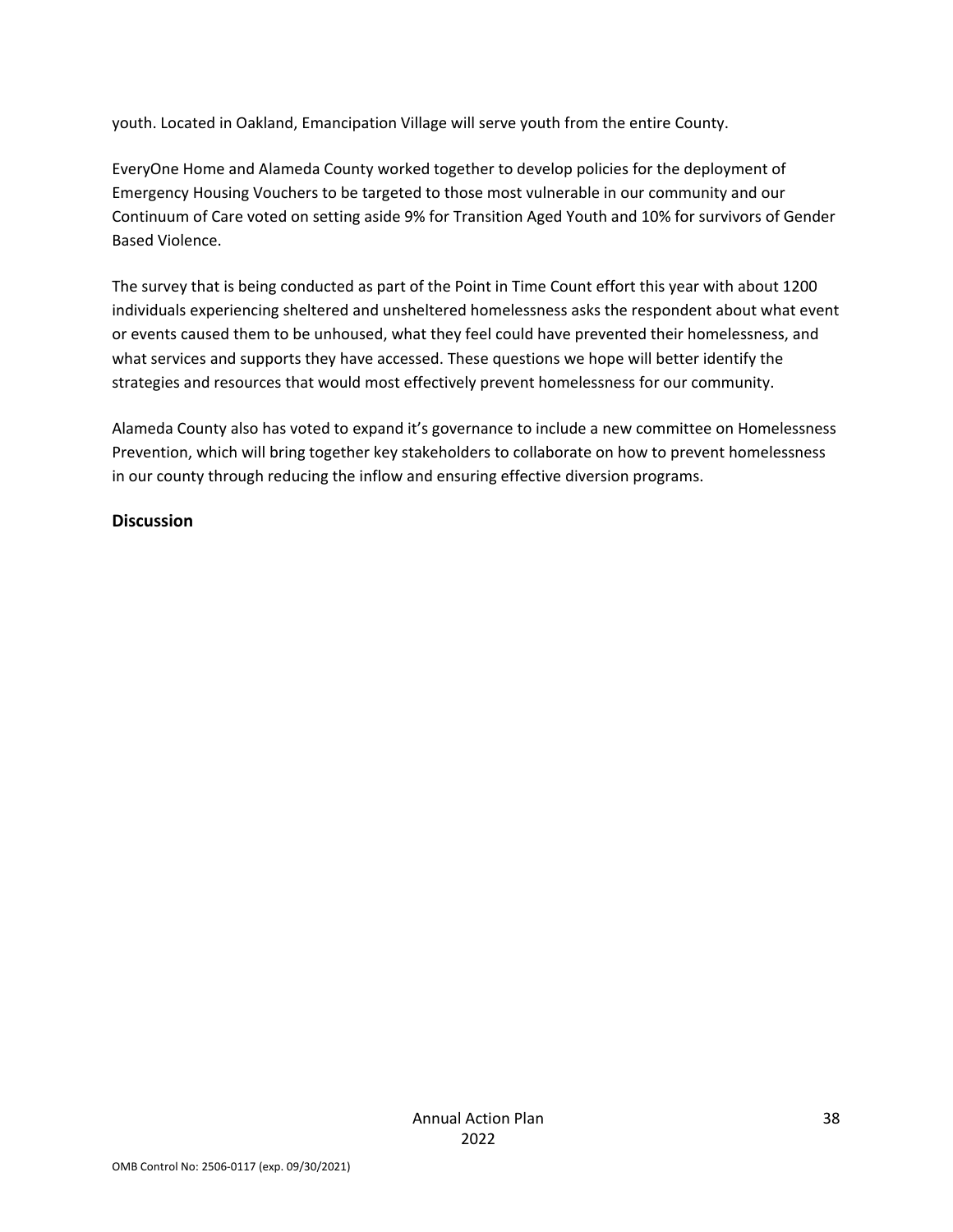youth. Located in Oakland, Emancipation Village will serve youth from the entire County.

EveryOne Home and Alameda County worked together to develop policies for the deployment of Emergency Housing Vouchers to be targeted to those most vulnerable in our community and our Continuum of Care voted on setting aside 9% for Transition Aged Youth and 10% for survivors of Gender Based Violence.

The survey that is being conducted as part of the Point in Time Count effort this year with about 1200 individuals experiencing sheltered and unsheltered homelessness asks the respondent about what event or events caused them to be unhoused, what they feel could have prevented their homelessness, and what services and supports they have accessed. These questions we hope will better identify the strategies and resources that would most effectively prevent homelessness for our community.

Alameda County also has voted to expand it's governance to include a new committee on Homelessness Prevention, which will bring together key stakeholders to collaborate on how to prevent homelessness in our county through reducing the inflow and ensuring effective diversion programs.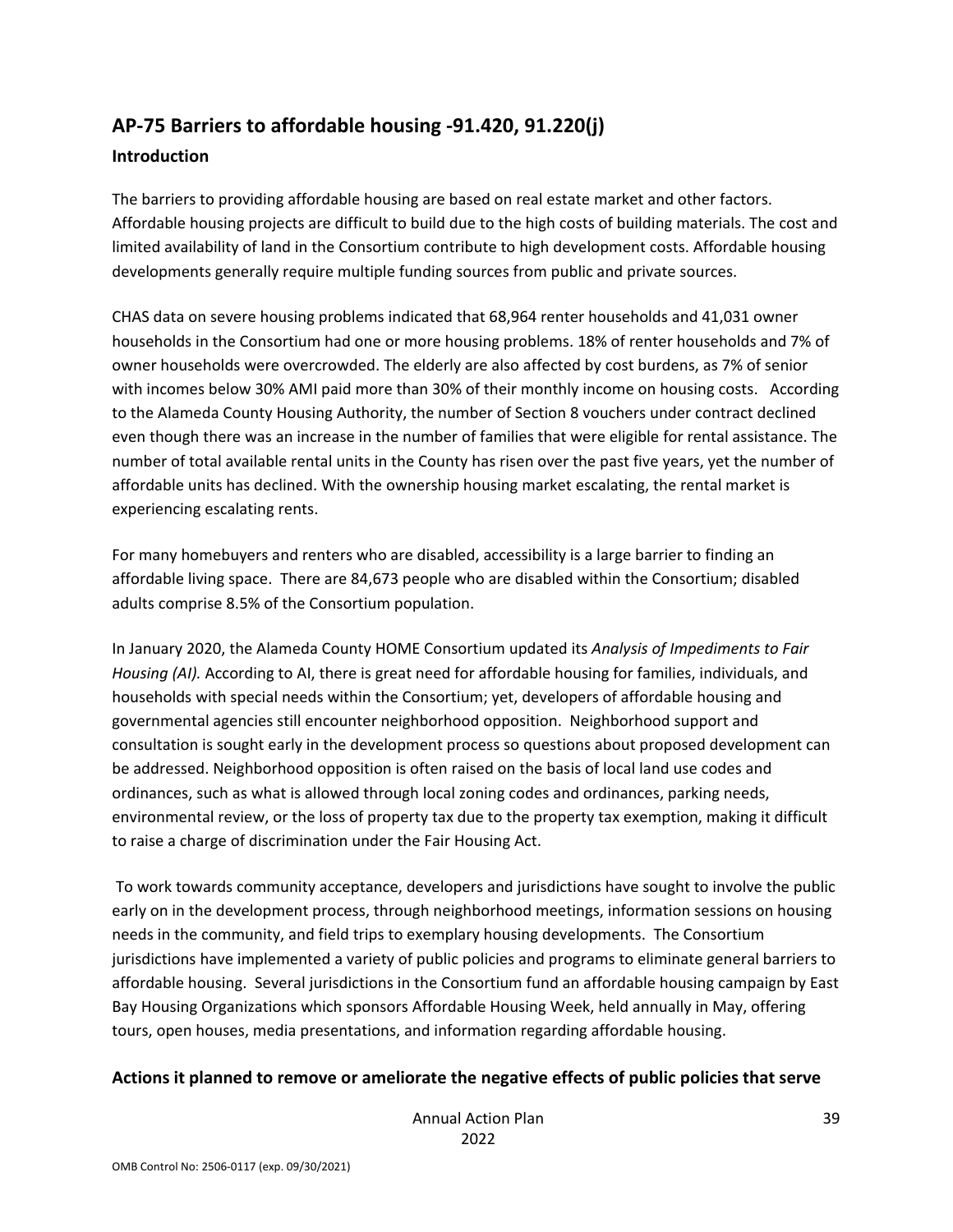# **AP‐75 Barriers to affordable housing ‐91.420, 91.220(j)**

#### **Introduction**

The barriers to providing affordable housing are based on real estate market and other factors. Affordable housing projects are difficult to build due to the high costs of building materials. The cost and limited availability of land in the Consortium contribute to high development costs. Affordable housing developments generally require multiple funding sources from public and private sources.

CHAS data on severe housing problems indicated that 68,964 renter households and 41,031 owner households in the Consortium had one or more housing problems. 18% of renter households and 7% of owner households were overcrowded. The elderly are also affected by cost burdens, as 7% of senior with incomes below 30% AMI paid more than 30% of their monthly income on housing costs. According to the Alameda County Housing Authority, the number of Section 8 vouchers under contract declined even though there was an increase in the number of families that were eligible for rental assistance. The number of total available rental units in the County has risen over the past five years, yet the number of affordable units has declined. With the ownership housing market escalating, the rental market is experiencing escalating rents.

For many homebuyers and renters who are disabled, accessibility is a large barrier to finding an affordable living space. There are 84,673 people who are disabled within the Consortium; disabled adults comprise 8.5% of the Consortium population.

In January 2020, the Alameda County HOME Consortium updated its *Analysis of Impediments to Fair Housing (AI).* According to AI, there is great need for affordable housing for families, individuals, and households with special needs within the Consortium; yet, developers of affordable housing and governmental agencies still encounter neighborhood opposition. Neighborhood support and consultation is sought early in the development process so questions about proposed development can be addressed. Neighborhood opposition is often raised on the basis of local land use codes and ordinances, such as what is allowed through local zoning codes and ordinances, parking needs, environmental review, or the loss of property tax due to the property tax exemption, making it difficult to raise a charge of discrimination under the Fair Housing Act.

To work towards community acceptance, developers and jurisdictions have sought to involve the public early on in the development process, through neighborhood meetings, information sessions on housing needs in the community, and field trips to exemplary housing developments. The Consortium jurisdictions have implemented a variety of public policies and programs to eliminate general barriers to affordable housing. Several jurisdictions in the Consortium fund an affordable housing campaign by East Bay Housing Organizations which sponsors Affordable Housing Week, held annually in May, offering tours, open houses, media presentations, and information regarding affordable housing.

#### **Actions it planned to remove or ameliorate the negative effects of public policies that serve**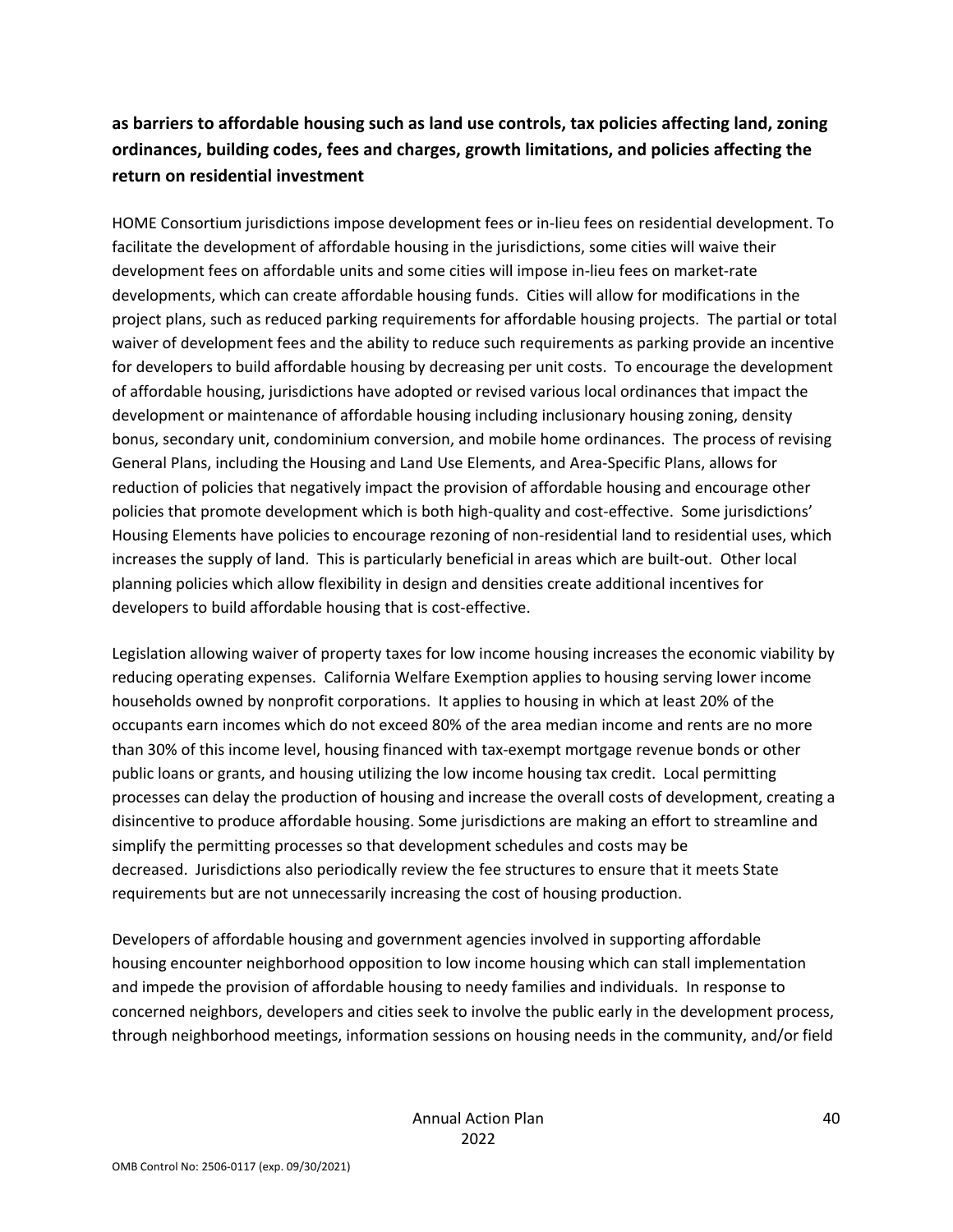## **as barriers to affordable housing such as land use controls, tax policies affecting land, zoning ordinances, building codes, fees and charges, growth limitations, and policies affecting the return on residential investment**

HOME Consortium jurisdictions impose development fees or in-lieu fees on residential development. To facilitate the development of affordable housing in the jurisdictions, some cities will waive their development fees on affordable units and some cities will impose in‐lieu fees on market‐rate developments, which can create affordable housing funds. Cities will allow for modifications in the project plans, such as reduced parking requirements for affordable housing projects. The partial or total waiver of development fees and the ability to reduce such requirements as parking provide an incentive for developers to build affordable housing by decreasing per unit costs. To encourage the development of affordable housing, jurisdictions have adopted or revised various local ordinances that impact the development or maintenance of affordable housing including inclusionary housing zoning, density bonus, secondary unit, condominium conversion, and mobile home ordinances. The process of revising General Plans, including the Housing and Land Use Elements, and Area‐Specific Plans, allows for reduction of policies that negatively impact the provision of affordable housing and encourage other policies that promote development which is both high-quality and cost-effective. Some jurisdictions' Housing Elements have policies to encourage rezoning of non‐residential land to residential uses, which increases the supply of land. This is particularly beneficial in areas which are built‐out. Other local planning policies which allow flexibility in design and densities create additional incentives for developers to build affordable housing that is cost-effective.

Legislation allowing waiver of property taxes for low income housing increases the economic viability by reducing operating expenses. California Welfare Exemption applies to housing serving lower income households owned by nonprofit corporations. It applies to housing in which at least 20% of the occupants earn incomes which do not exceed 80% of the area median income and rents are no more than 30% of this income level, housing financed with tax‐exempt mortgage revenue bonds or other public loans or grants, and housing utilizing the low income housing tax credit. Local permitting processes can delay the production of housing and increase the overall costs of development, creating a disincentive to produce affordable housing. Some jurisdictions are making an effort to streamline and simplify the permitting processes so that development schedules and costs may be decreased. Jurisdictions also periodically review the fee structures to ensure that it meets State requirements but are not unnecessarily increasing the cost of housing production.

Developers of affordable housing and government agencies involved in supporting affordable housing encounter neighborhood opposition to low income housing which can stall implementation and impede the provision of affordable housing to needy families and individuals. In response to concerned neighbors, developers and cities seek to involve the public early in the development process, through neighborhood meetings, information sessions on housing needs in the community, and/or field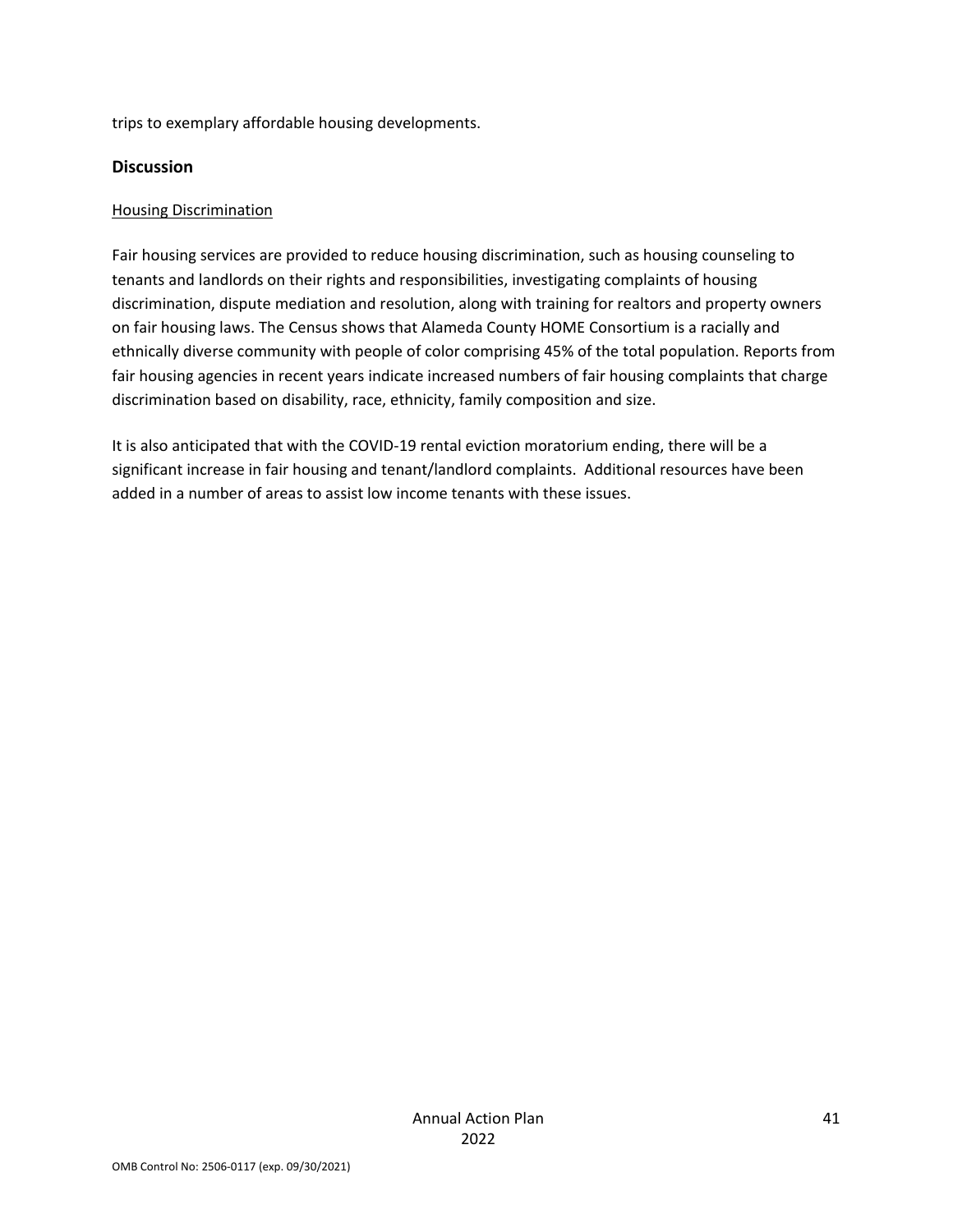trips to exemplary affordable housing developments.

#### **Discussion**

#### Housing Discrimination

Fair housing services are provided to reduce housing discrimination, such as housing counseling to tenants and landlords on their rights and responsibilities, investigating complaints of housing discrimination, dispute mediation and resolution, along with training for realtors and property owners on fair housing laws. The Census shows that Alameda County HOME Consortium is a racially and ethnically diverse community with people of color comprising 45% of the total population. Reports from fair housing agencies in recent years indicate increased numbers of fair housing complaints that charge discrimination based on disability, race, ethnicity, family composition and size.

It is also anticipated that with the COVID‐19 rental eviction moratorium ending, there will be a significant increase in fair housing and tenant/landlord complaints. Additional resources have been added in a number of areas to assist low income tenants with these issues.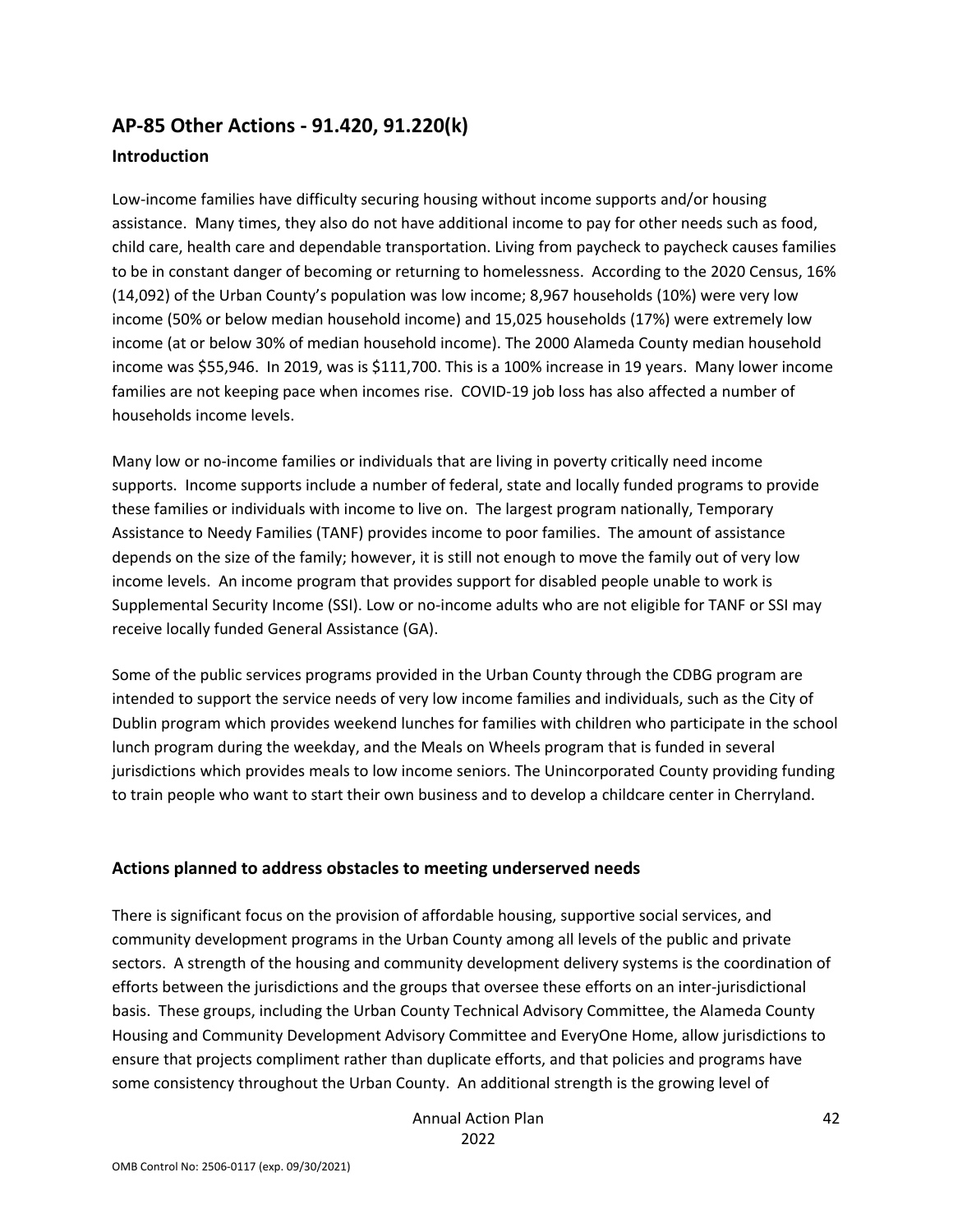## **AP‐85 Other Actions ‐ 91.420, 91.220(k) Introduction**

Low-income families have difficulty securing housing without income supports and/or housing assistance. Many times, they also do not have additional income to pay for other needs such as food, child care, health care and dependable transportation. Living from paycheck to paycheck causes families to be in constant danger of becoming or returning to homelessness. According to the 2020 Census, 16% (14,092) of the Urban County's population was low income; 8,967 households (10%) were very low income (50% or below median household income) and 15,025 households (17%) were extremely low income (at or below 30% of median household income). The 2000 Alameda County median household income was \$55,946. In 2019, was is \$111,700. This is a 100% increase in 19 years. Many lower income families are not keeping pace when incomes rise. COVID‐19 job loss has also affected a number of households income levels.

Many low or no‐income families or individuals that are living in poverty critically need income supports. Income supports include a number of federal, state and locally funded programs to provide these families or individuals with income to live on. The largest program nationally, Temporary Assistance to Needy Families (TANF) provides income to poor families. The amount of assistance depends on the size of the family; however, it is still not enough to move the family out of very low income levels. An income program that provides support for disabled people unable to work is Supplemental Security Income (SSI). Low or no‐income adults who are not eligible for TANF or SSI may receive locally funded General Assistance (GA).

Some of the public services programs provided in the Urban County through the CDBG program are intended to support the service needs of very low income families and individuals, such as the City of Dublin program which provides weekend lunches for families with children who participate in the school lunch program during the weekday, and the Meals on Wheels program that is funded in several jurisdictions which provides meals to low income seniors. The Unincorporated County providing funding to train people who want to start their own business and to develop a childcare center in Cherryland.

#### **Actions planned to address obstacles to meeting underserved needs**

There is significant focus on the provision of affordable housing, supportive social services, and community development programs in the Urban County among all levels of the public and private sectors. A strength of the housing and community development delivery systems is the coordination of efforts between the jurisdictions and the groups that oversee these efforts on an inter-jurisdictional basis. These groups, including the Urban County Technical Advisory Committee, the Alameda County Housing and Community Development Advisory Committee and EveryOne Home, allow jurisdictions to ensure that projects compliment rather than duplicate efforts, and that policies and programs have some consistency throughout the Urban County. An additional strength is the growing level of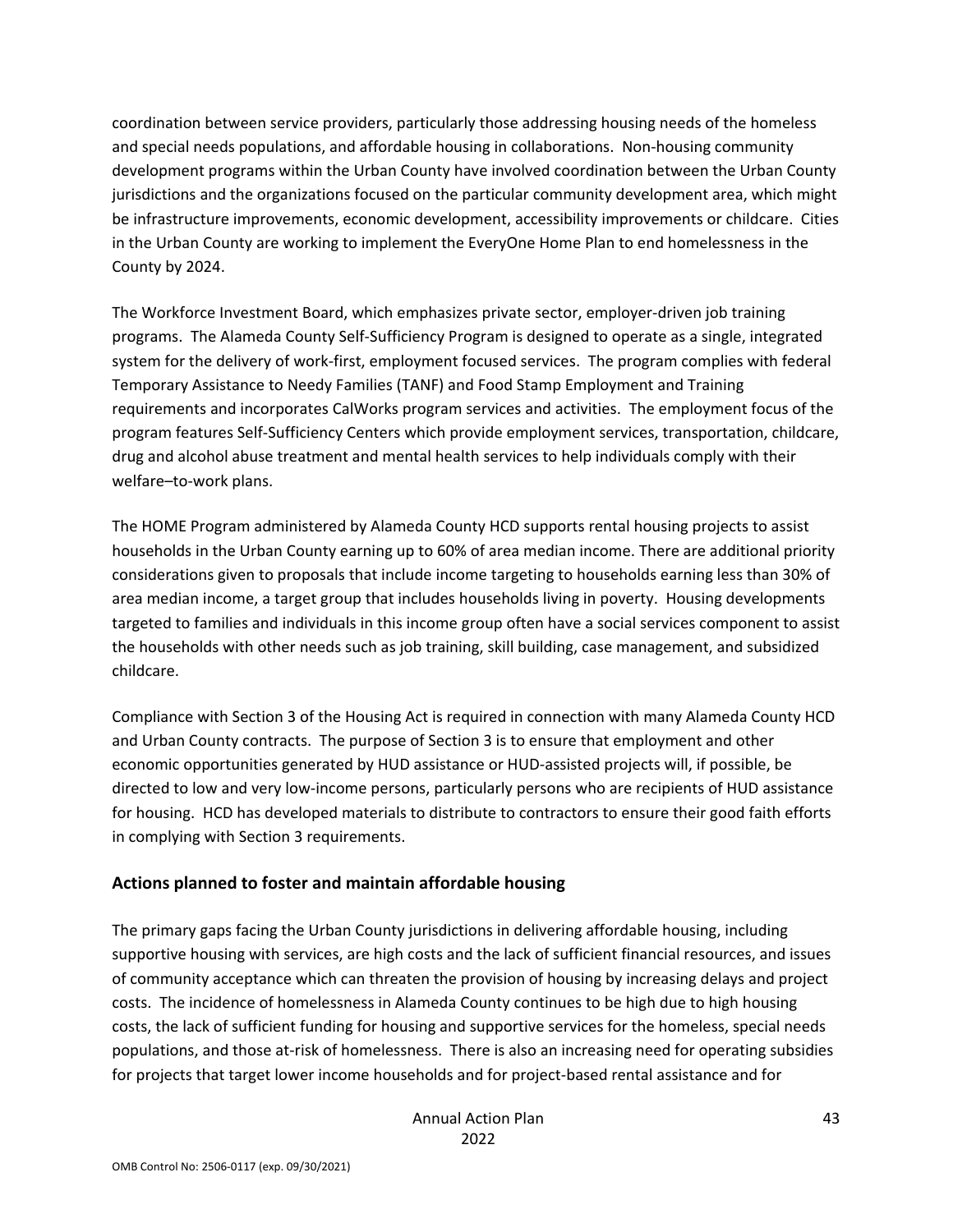coordination between service providers, particularly those addressing housing needs of the homeless and special needs populations, and affordable housing in collaborations. Non-housing community development programs within the Urban County have involved coordination between the Urban County jurisdictions and the organizations focused on the particular community development area, which might be infrastructure improvements, economic development, accessibility improvements or childcare. Cities in the Urban County are working to implement the EveryOne Home Plan to end homelessness in the County by 2024.

The Workforce Investment Board, which emphasizes private sector, employer‐driven job training programs. The Alameda County Self‐Sufficiency Program is designed to operate as a single, integrated system for the delivery of work‐first, employment focused services. The program complies with federal Temporary Assistance to Needy Families (TANF) and Food Stamp Employment and Training requirements and incorporates CalWorks program services and activities. The employment focus of the program features Self‐Sufficiency Centers which provide employment services, transportation, childcare, drug and alcohol abuse treatment and mental health services to help individuals comply with their welfare–to‐work plans.

The HOME Program administered by Alameda County HCD supports rental housing projects to assist households in the Urban County earning up to 60% of area median income. There are additional priority considerations given to proposals that include income targeting to households earning less than 30% of area median income, a target group that includes households living in poverty. Housing developments targeted to families and individuals in this income group often have a social services component to assist the households with other needs such as job training, skill building, case management, and subsidized childcare.

Compliance with Section 3 of the Housing Act is required in connection with many Alameda County HCD and Urban County contracts. The purpose of Section 3 is to ensure that employment and other economic opportunities generated by HUD assistance or HUD‐assisted projects will, if possible, be directed to low and very low‐income persons, particularly persons who are recipients of HUD assistance for housing. HCD has developed materials to distribute to contractors to ensure their good faith efforts in complying with Section 3 requirements.

#### **Actions planned to foster and maintain affordable housing**

The primary gaps facing the Urban County jurisdictions in delivering affordable housing, including supportive housing with services, are high costs and the lack of sufficient financial resources, and issues of community acceptance which can threaten the provision of housing by increasing delays and project costs. The incidence of homelessness in Alameda County continues to be high due to high housing costs, the lack of sufficient funding for housing and supportive services for the homeless, special needs populations, and those at-risk of homelessness. There is also an increasing need for operating subsidies for projects that target lower income households and for project-based rental assistance and for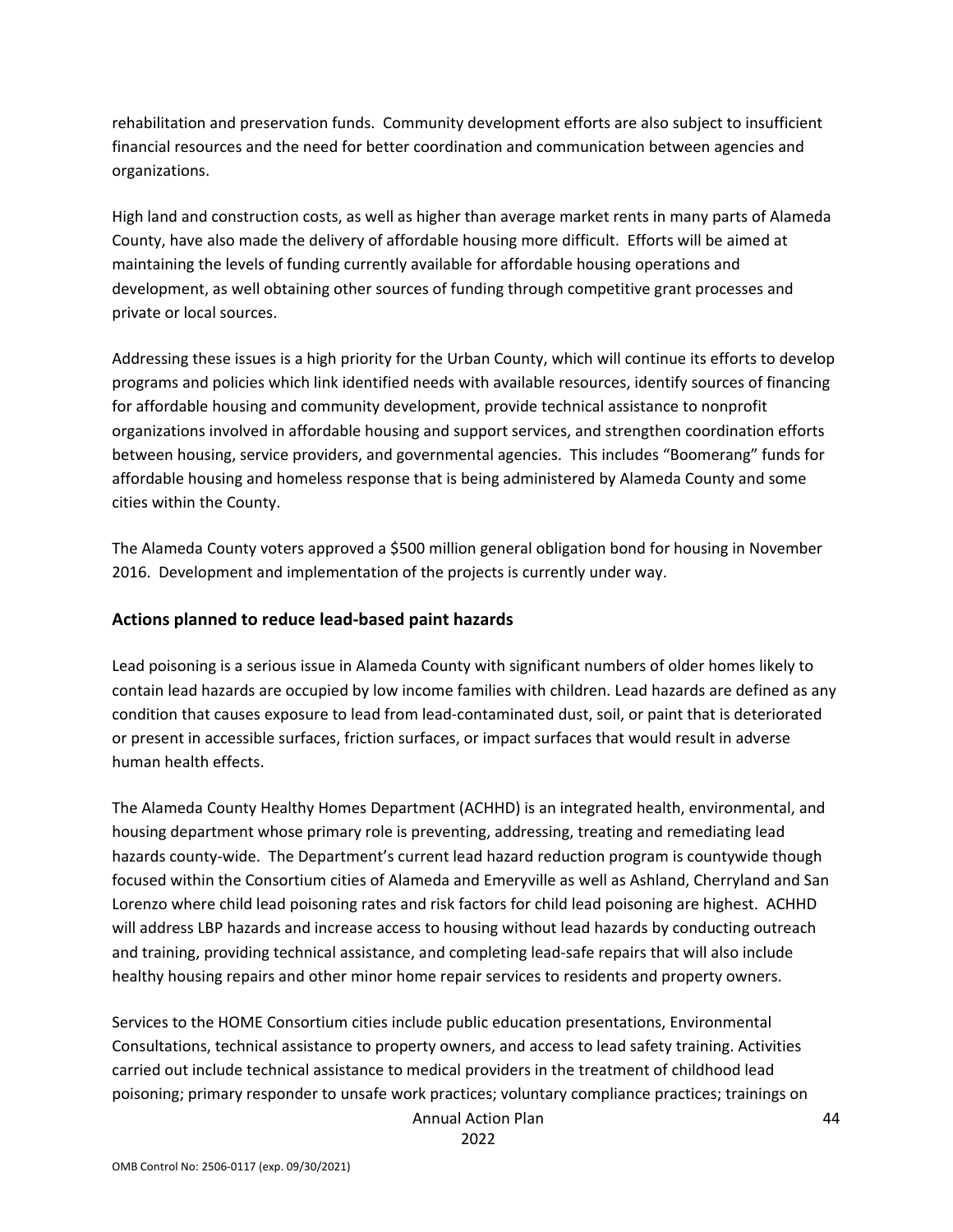rehabilitation and preservation funds. Community development efforts are also subject to insufficient financial resources and the need for better coordination and communication between agencies and organizations.

High land and construction costs, as well as higher than average market rents in many parts of Alameda County, have also made the delivery of affordable housing more difficult. Efforts will be aimed at maintaining the levels of funding currently available for affordable housing operations and development, as well obtaining other sources of funding through competitive grant processes and private or local sources.

Addressing these issues is a high priority for the Urban County, which will continue its efforts to develop programs and policies which link identified needs with available resources, identify sources of financing for affordable housing and community development, provide technical assistance to nonprofit organizations involved in affordable housing and support services, and strengthen coordination efforts between housing, service providers, and governmental agencies. This includes "Boomerang" funds for affordable housing and homeless response that is being administered by Alameda County and some cities within the County.

The Alameda County voters approved a \$500 million general obligation bond for housing in November 2016. Development and implementation of the projects is currently under way.

#### **Actions planned to reduce lead‐based paint hazards**

Lead poisoning is a serious issue in Alameda County with significant numbers of older homes likely to contain lead hazards are occupied by low income families with children. Lead hazards are defined as any condition that causes exposure to lead from lead‐contaminated dust, soil, or paint that is deteriorated or present in accessible surfaces, friction surfaces, or impact surfaces that would result in adverse human health effects.

The Alameda County Healthy Homes Department (ACHHD) is an integrated health, environmental, and housing department whose primary role is preventing, addressing, treating and remediating lead hazards county‐wide. The Department's current lead hazard reduction program is countywide though focused within the Consortium cities of Alameda and Emeryville as well as Ashland, Cherryland and San Lorenzo where child lead poisoning rates and risk factors for child lead poisoning are highest. ACHHD will address LBP hazards and increase access to housing without lead hazards by conducting outreach and training, providing technical assistance, and completing lead‐safe repairs that will also include healthy housing repairs and other minor home repair services to residents and property owners.

Services to the HOME Consortium cities include public education presentations, Environmental Consultations, technical assistance to property owners, and access to lead safety training. Activities carried out include technical assistance to medical providers in the treatment of childhood lead poisoning; primary responder to unsafe work practices; voluntary compliance practices; trainings on

Annual Action Plan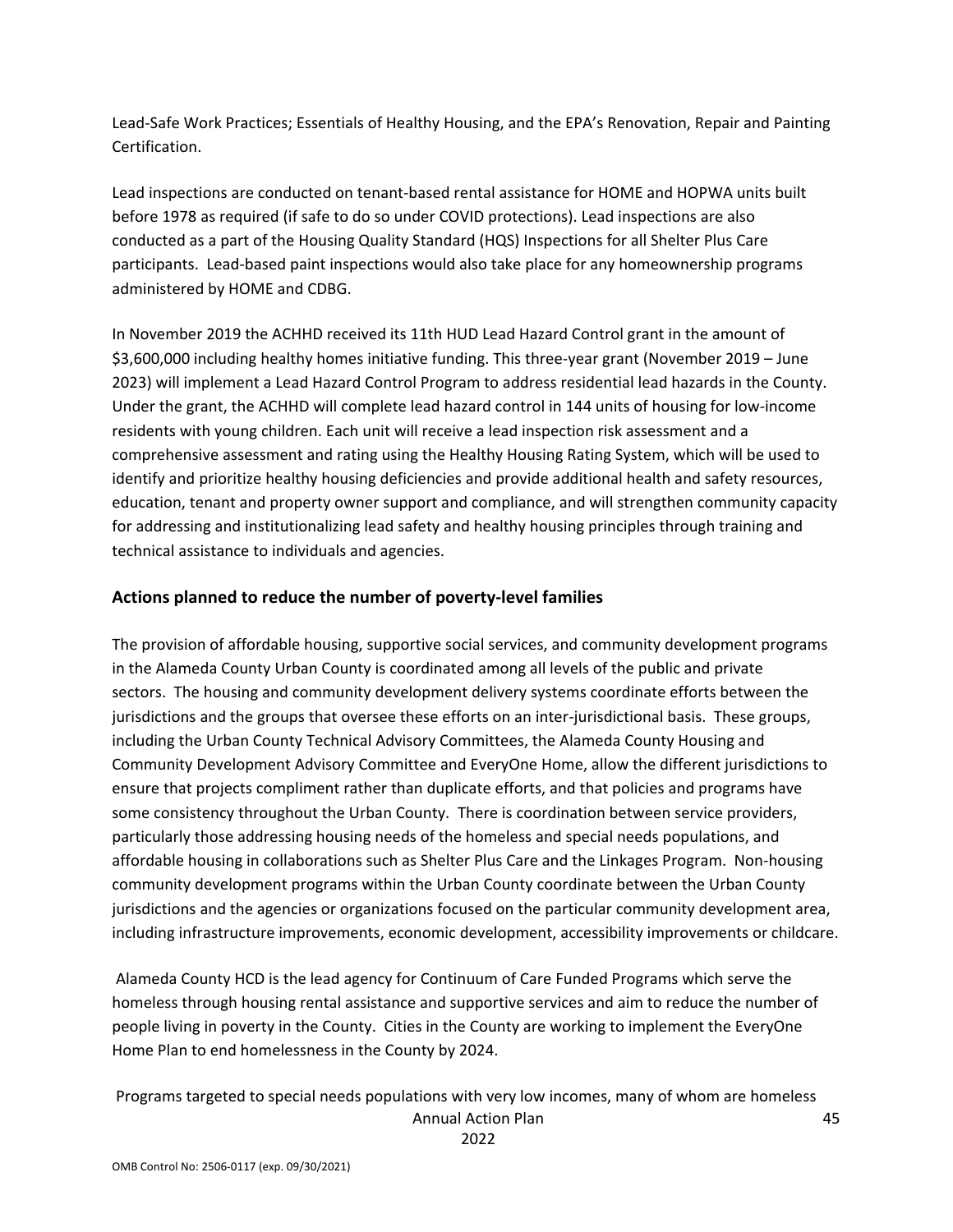Lead‐Safe Work Practices; Essentials of Healthy Housing, and the EPA's Renovation, Repair and Painting Certification.

Lead inspections are conducted on tenant-based rental assistance for HOME and HOPWA units built before 1978 as required (if safe to do so under COVID protections). Lead inspections are also conducted as a part of the Housing Quality Standard (HQS) Inspections for all Shelter Plus Care participants. Lead-based paint inspections would also take place for any homeownership programs administered by HOME and CDBG.

In November 2019 the ACHHD received its 11th HUD Lead Hazard Control grant in the amount of \$3,600,000 including healthy homes initiative funding. This three‐year grant (November 2019 – June 2023) will implement a Lead Hazard Control Program to address residential lead hazards in the County. Under the grant, the ACHHD will complete lead hazard control in 144 units of housing for low‐income residents with young children. Each unit will receive a lead inspection risk assessment and a comprehensive assessment and rating using the Healthy Housing Rating System, which will be used to identify and prioritize healthy housing deficiencies and provide additional health and safety resources, education, tenant and property owner support and compliance, and will strengthen community capacity for addressing and institutionalizing lead safety and healthy housing principles through training and technical assistance to individuals and agencies.

### **Actions planned to reduce the number of poverty‐level families**

The provision of affordable housing, supportive social services, and community development programs in the Alameda County Urban County is coordinated among all levels of the public and private sectors. The housing and community development delivery systems coordinate efforts between the jurisdictions and the groups that oversee these efforts on an inter-jurisdictional basis. These groups, including the Urban County Technical Advisory Committees, the Alameda County Housing and Community Development Advisory Committee and EveryOne Home, allow the different jurisdictions to ensure that projects compliment rather than duplicate efforts, and that policies and programs have some consistency throughout the Urban County. There is coordination between service providers, particularly those addressing housing needs of the homeless and special needs populations, and affordable housing in collaborations such as Shelter Plus Care and the Linkages Program. Non‐housing community development programs within the Urban County coordinate between the Urban County jurisdictions and the agencies or organizations focused on the particular community development area, including infrastructure improvements, economic development, accessibility improvements or childcare.

Alameda County HCD is the lead agency for Continuum of Care Funded Programs which serve the homeless through housing rental assistance and supportive services and aim to reduce the number of people living in poverty in the County. Cities in the County are working to implement the EveryOne Home Plan to end homelessness in the County by 2024.

Annual Action Plan Programs targeted to special needs populations with very low incomes, many of whom are homeless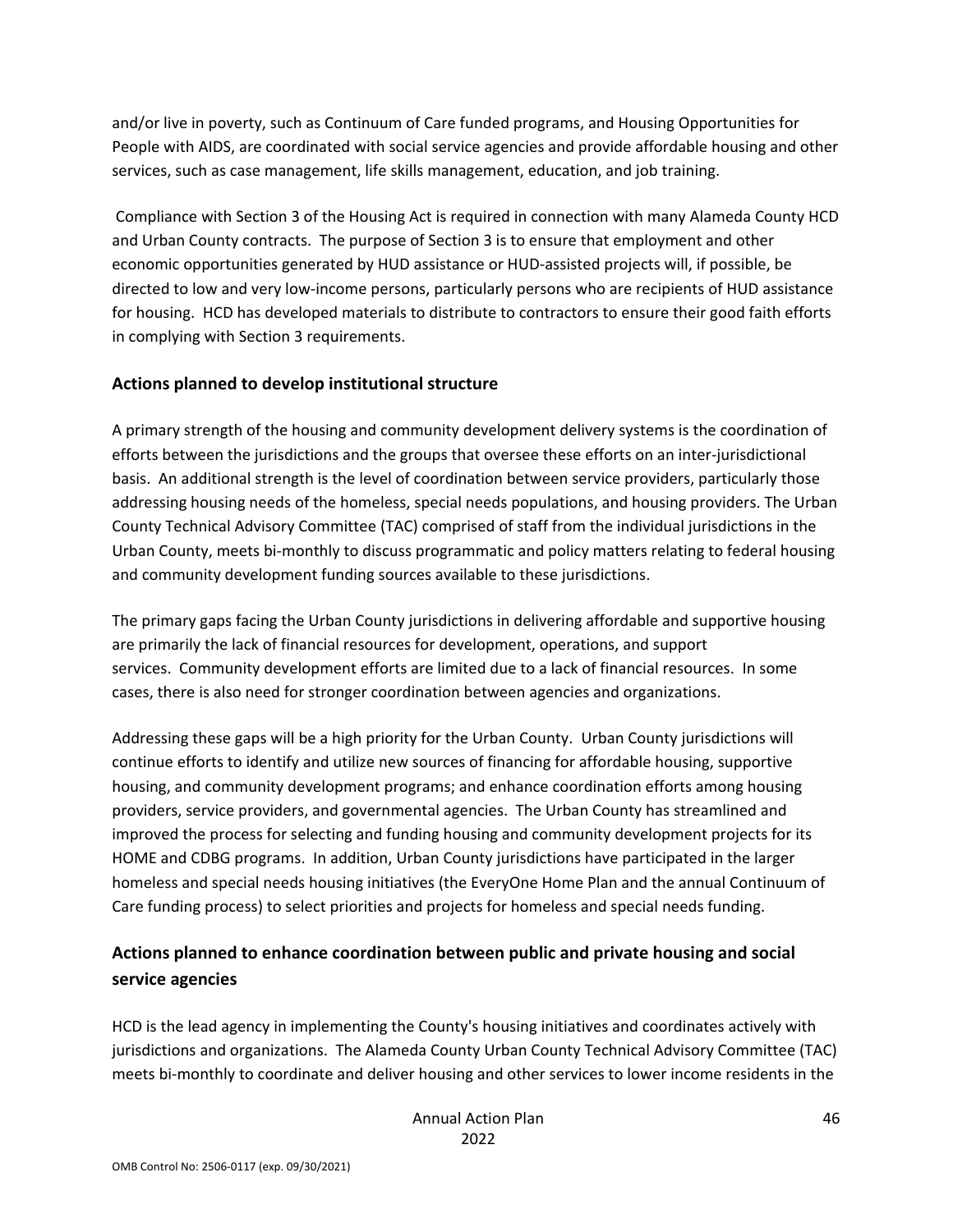and/or live in poverty, such as Continuum of Care funded programs, and Housing Opportunities for People with AIDS, are coordinated with social service agencies and provide affordable housing and other services, such as case management, life skills management, education, and job training.

Compliance with Section 3 of the Housing Act is required in connection with many Alameda County HCD and Urban County contracts. The purpose of Section 3 is to ensure that employment and other economic opportunities generated by HUD assistance or HUD‐assisted projects will, if possible, be directed to low and very low‐income persons, particularly persons who are recipients of HUD assistance for housing. HCD has developed materials to distribute to contractors to ensure their good faith efforts in complying with Section 3 requirements.

### **Actions planned to develop institutional structure**

A primary strength of the housing and community development delivery systems is the coordination of efforts between the jurisdictions and the groups that oversee these efforts on an inter-jurisdictional basis. An additional strength is the level of coordination between service providers, particularly those addressing housing needs of the homeless, special needs populations, and housing providers. The Urban County Technical Advisory Committee (TAC) comprised of staff from the individual jurisdictions in the Urban County, meets bi‐monthly to discuss programmatic and policy matters relating to federal housing and community development funding sources available to these jurisdictions.

The primary gaps facing the Urban County jurisdictions in delivering affordable and supportive housing are primarily the lack of financial resources for development, operations, and support services. Community development efforts are limited due to a lack of financial resources. In some cases, there is also need for stronger coordination between agencies and organizations.

Addressing these gaps will be a high priority for the Urban County. Urban County jurisdictions will continue efforts to identify and utilize new sources of financing for affordable housing, supportive housing, and community development programs; and enhance coordination efforts among housing providers, service providers, and governmental agencies. The Urban County has streamlined and improved the process for selecting and funding housing and community development projects for its HOME and CDBG programs. In addition, Urban County jurisdictions have participated in the larger homeless and special needs housing initiatives (the EveryOne Home Plan and the annual Continuum of Care funding process) to select priorities and projects for homeless and special needs funding.

## **Actions planned to enhance coordination between public and private housing and social service agencies**

HCD is the lead agency in implementing the County's housing initiatives and coordinates actively with jurisdictions and organizations. The Alameda County Urban County Technical Advisory Committee (TAC) meets bi-monthly to coordinate and deliver housing and other services to lower income residents in the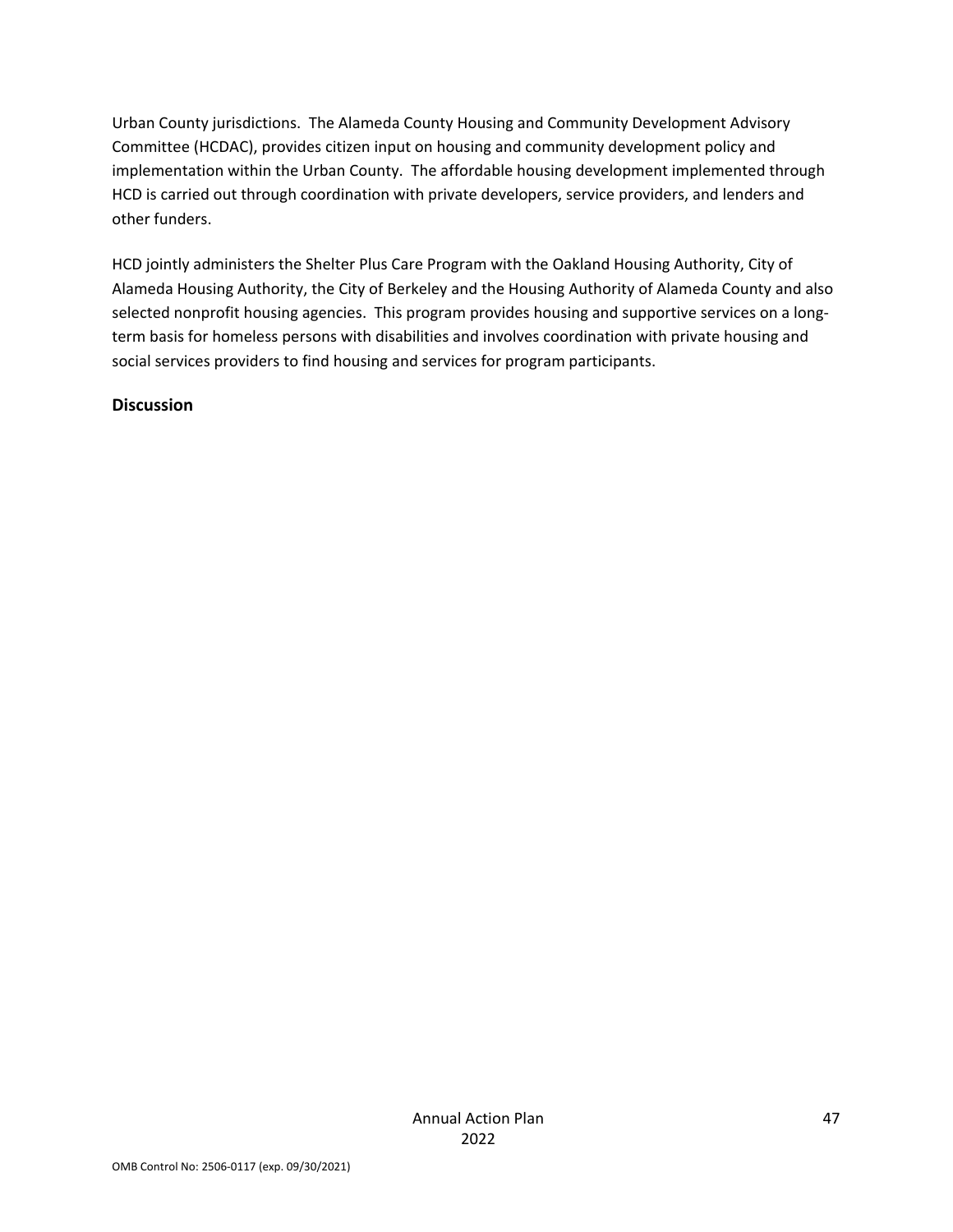Urban County jurisdictions. The Alameda County Housing and Community Development Advisory Committee (HCDAC), provides citizen input on housing and community development policy and implementation within the Urban County. The affordable housing development implemented through HCD is carried out through coordination with private developers, service providers, and lenders and other funders.

HCD jointly administers the Shelter Plus Care Program with the Oakland Housing Authority, City of Alameda Housing Authority, the City of Berkeley and the Housing Authority of Alameda County and also selected nonprofit housing agencies. This program provides housing and supportive services on a longterm basis for homeless persons with disabilities and involves coordination with private housing and social services providers to find housing and services for program participants.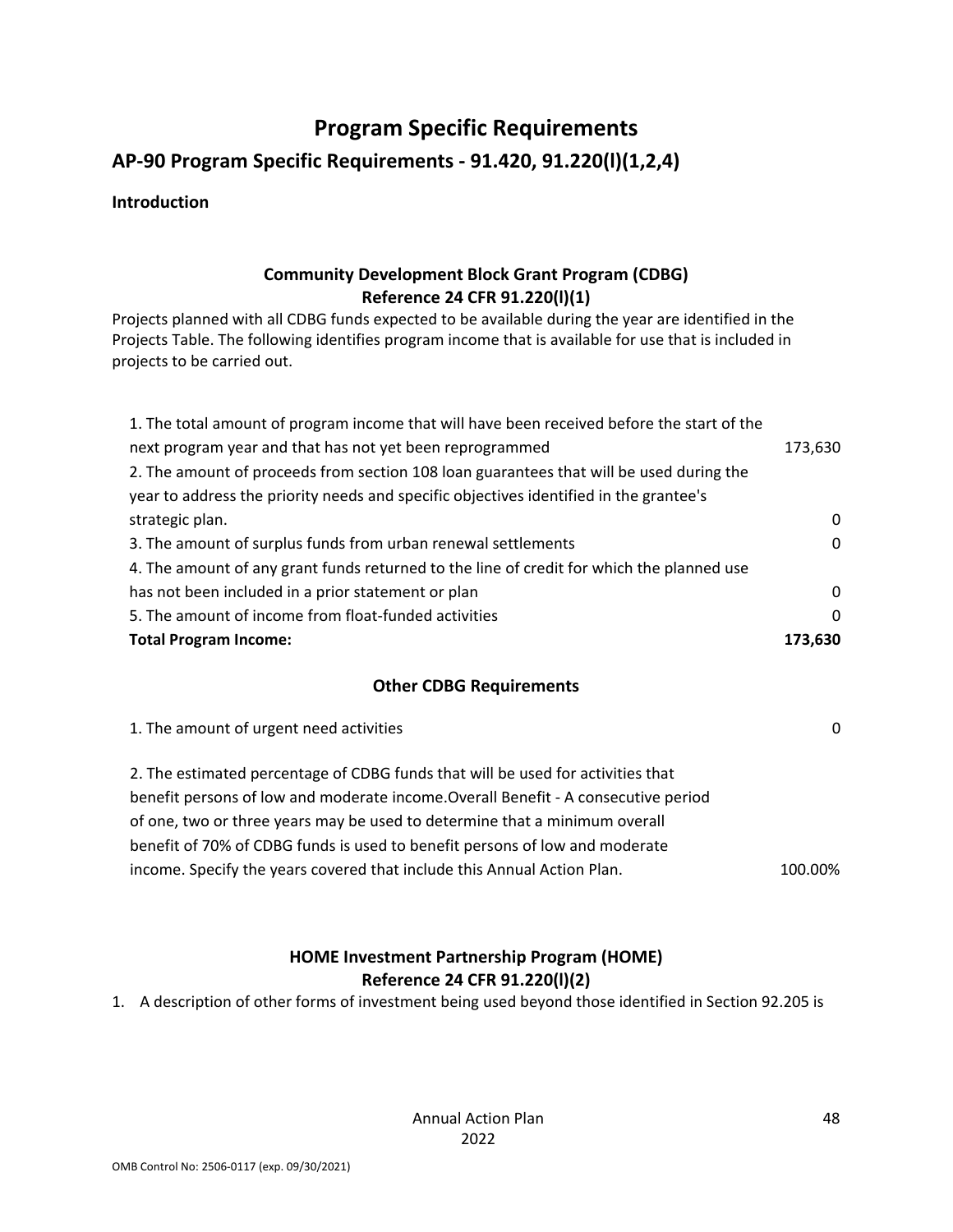# **Program Specific Requirements**

## **AP‐90 Program Specific Requirements ‐ 91.420, 91.220(l)(1,2,4)**

### **Introduction**

### **Community Development Block Grant Program (CDBG) Reference 24 CFR 91.220(l)(1)**

Projects planned with all CDBG funds expected to be available during the year are identified in the Projects Table. The following identifies program income that is available for use that is included in projects to be carried out.

| 1. The total amount of program income that will have been received before the start of the |              |
|--------------------------------------------------------------------------------------------|--------------|
| next program year and that has not yet been reprogrammed                                   | 173,630      |
| 2. The amount of proceeds from section 108 loan guarantees that will be used during the    |              |
| year to address the priority needs and specific objectives identified in the grantee's     |              |
| strategic plan.                                                                            | 0            |
| 3. The amount of surplus funds from urban renewal settlements                              | $\mathbf{0}$ |
| 4. The amount of any grant funds returned to the line of credit for which the planned use  |              |
| has not been included in a prior statement or plan                                         | 0            |
| 5. The amount of income from float-funded activities                                       | 0            |
| <b>Total Program Income:</b>                                                               | 173,630      |

#### **Other CDBG Requirements**

| 1. The amount of urgent need activities                                            | $\Omega$ |
|------------------------------------------------------------------------------------|----------|
| 2. The estimated percentage of CDBG funds that will be used for activities that    |          |
| benefit persons of low and moderate income. Overall Benefit - A consecutive period |          |
| of one, two or three years may be used to determine that a minimum overall         |          |
| benefit of 70% of CDBG funds is used to benefit persons of low and moderate        |          |
| income. Specify the years covered that include this Annual Action Plan.            | 100.00%  |

### **HOME Investment Partnership Program (HOME) Reference 24 CFR 91.220(l)(2)**

1. A description of other forms of investment being used beyond those identified in Section 92.205 is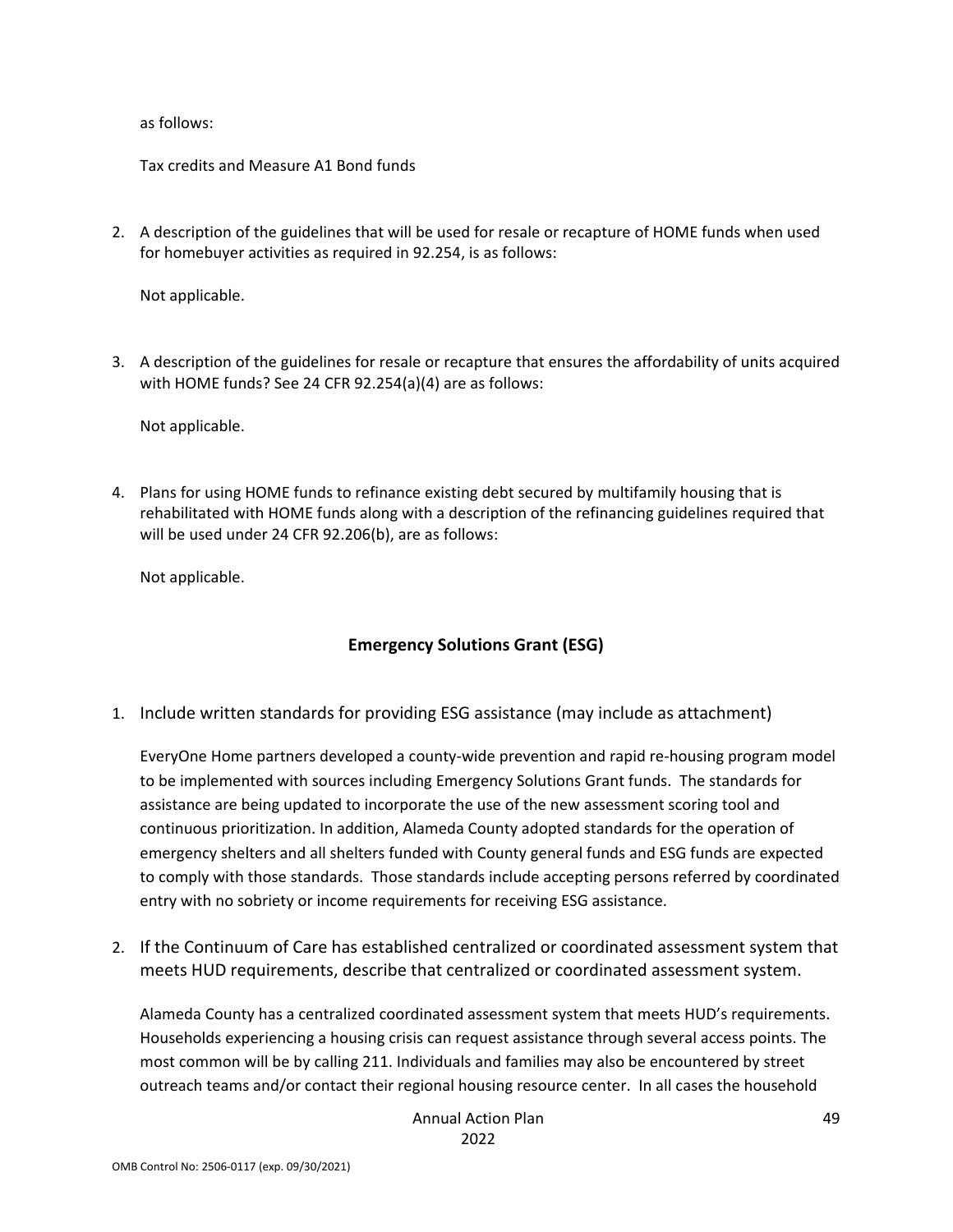as follows:

Tax credits and Measure A1 Bond funds

2. A description of the guidelines that will be used for resale or recapture of HOME funds when used for homebuyer activities as required in 92.254, is as follows:

Not applicable.

3. A description of the guidelines for resale or recapture that ensures the affordability of units acquired with HOME funds? See 24 CFR 92.254(a)(4) are as follows:

Not applicable.

4. Plans for using HOME funds to refinance existing debt secured by multifamily housing that is rehabilitated with HOME funds along with a description of the refinancing guidelines required that will be used under 24 CFR 92.206(b), are as follows:

Not applicable.

### **Emergency Solutions Grant (ESG)**

1. Include written standards for providing ESG assistance (may include as attachment)

EveryOne Home partners developed a county‐wide prevention and rapid re‐housing program model to be implemented with sources including Emergency Solutions Grant funds. The standards for assistance are being updated to incorporate the use of the new assessment scoring tool and continuous prioritization. In addition, Alameda County adopted standards for the operation of emergency shelters and all shelters funded with County general funds and ESG funds are expected to comply with those standards. Those standards include accepting persons referred by coordinated entry with no sobriety or income requirements for receiving ESG assistance.

2. If the Continuum of Care has established centralized or coordinated assessment system that meets HUD requirements, describe that centralized or coordinated assessment system.

Alameda County has a centralized coordinated assessment system that meets HUD's requirements. Households experiencing a housing crisis can request assistance through several access points. The most common will be by calling 211. Individuals and families may also be encountered by street outreach teams and/or contact their regional housing resource center. In all cases the household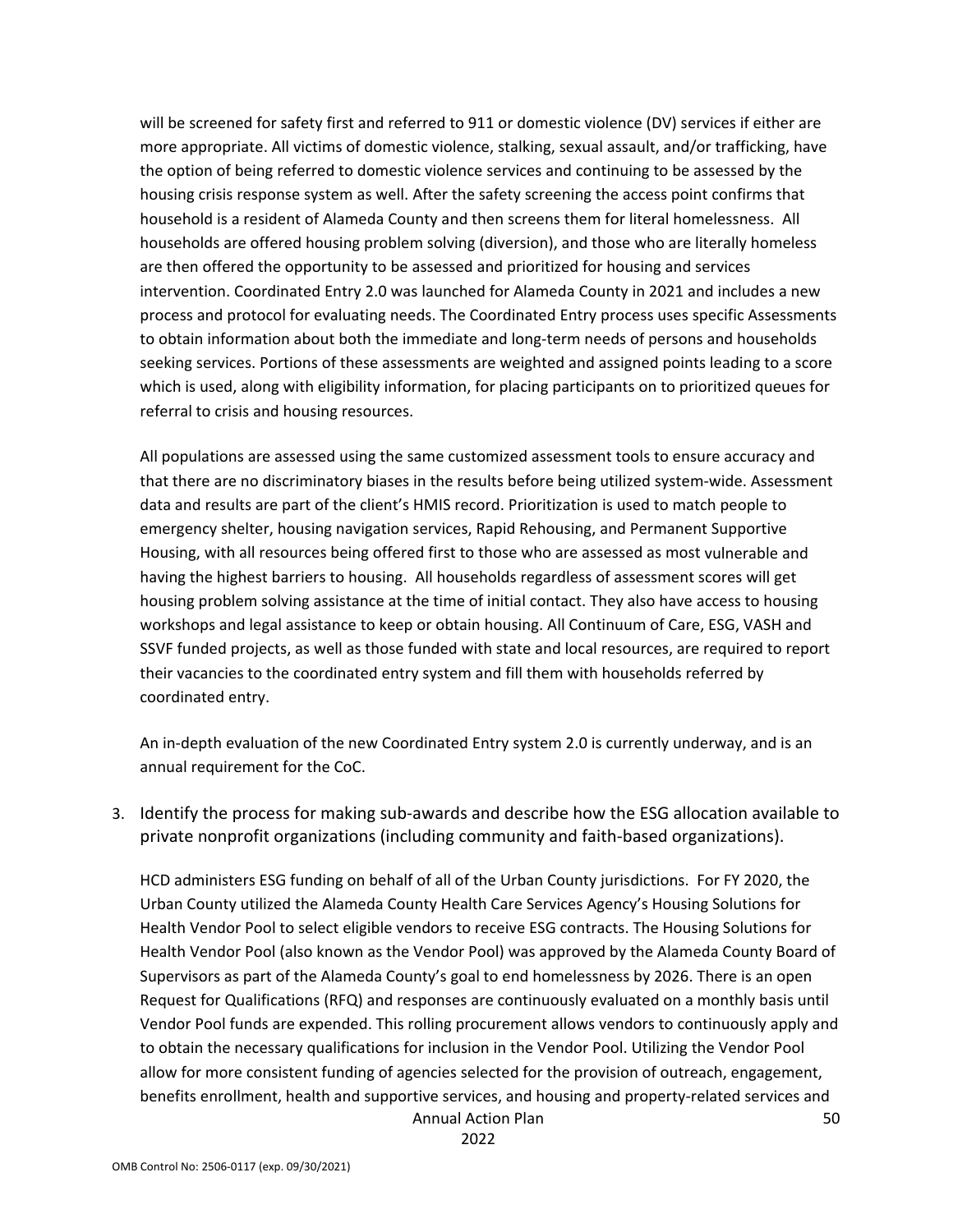will be screened for safety first and referred to 911 or domestic violence (DV) services if either are more appropriate. All victims of domestic violence, stalking, sexual assault, and/or trafficking, have the option of being referred to domestic violence services and continuing to be assessed by the housing crisis response system as well. After the safety screening the access point confirms that household is a resident of Alameda County and then screens them for literal homelessness. All households are offered housing problem solving (diversion), and those who are literally homeless are then offered the opportunity to be assessed and prioritized for housing and services intervention. Coordinated Entry 2.0 was launched for Alameda County in 2021 and includes a new process and protocol for evaluating needs. The Coordinated Entry process uses specific Assessments to obtain information about both the immediate and long‐term needs of persons and households seeking services. Portions of these assessments are weighted and assigned points leading to a score which is used, along with eligibility information, for placing participants on to prioritized queues for referral to crisis and housing resources.

All populations are assessed using the same customized assessment tools to ensure accuracy and that there are no discriminatory biases in the results before being utilized system‐wide. Assessment data and results are part of the client's HMIS record. Prioritization is used to match people to emergency shelter, housing navigation services, Rapid Rehousing, and Permanent Supportive Housing, with all resources being offered first to those who are assessed as most vulnerable and having the highest barriers to housing. All households regardless of assessment scores will get housing problem solving assistance at the time of initial contact. They also have access to housing workshops and legal assistance to keep or obtain housing. All Continuum of Care, ESG, VASH and SSVF funded projects, as well as those funded with state and local resources, are required to report their vacancies to the coordinated entry system and fill them with households referred by coordinated entry.

An in‐depth evaluation of the new Coordinated Entry system 2.0 is currently underway, and is an annual requirement for the CoC.

3. Identify the process for making sub‐awards and describe how the ESG allocation available to private nonprofit organizations (including community and faith‐based organizations).

HCD administers ESG funding on behalf of all of the Urban County jurisdictions. For FY 2020, the Urban County utilized the Alameda County Health Care Services Agency's Housing Solutions for Health Vendor Pool to select eligible vendors to receive ESG contracts. The Housing Solutions for Health Vendor Pool (also known as the Vendor Pool) was approved by the Alameda County Board of Supervisors as part of the Alameda County's goal to end homelessness by 2026. There is an open Request for Qualifications (RFQ) and responses are continuously evaluated on a monthly basis until Vendor Pool funds are expended. This rolling procurement allows vendors to continuously apply and to obtain the necessary qualifications for inclusion in the Vendor Pool. Utilizing the Vendor Pool allow for more consistent funding of agencies selected for the provision of outreach, engagement, benefits enrollment, health and supportive services, and housing and property-related services and

Annual Action Plan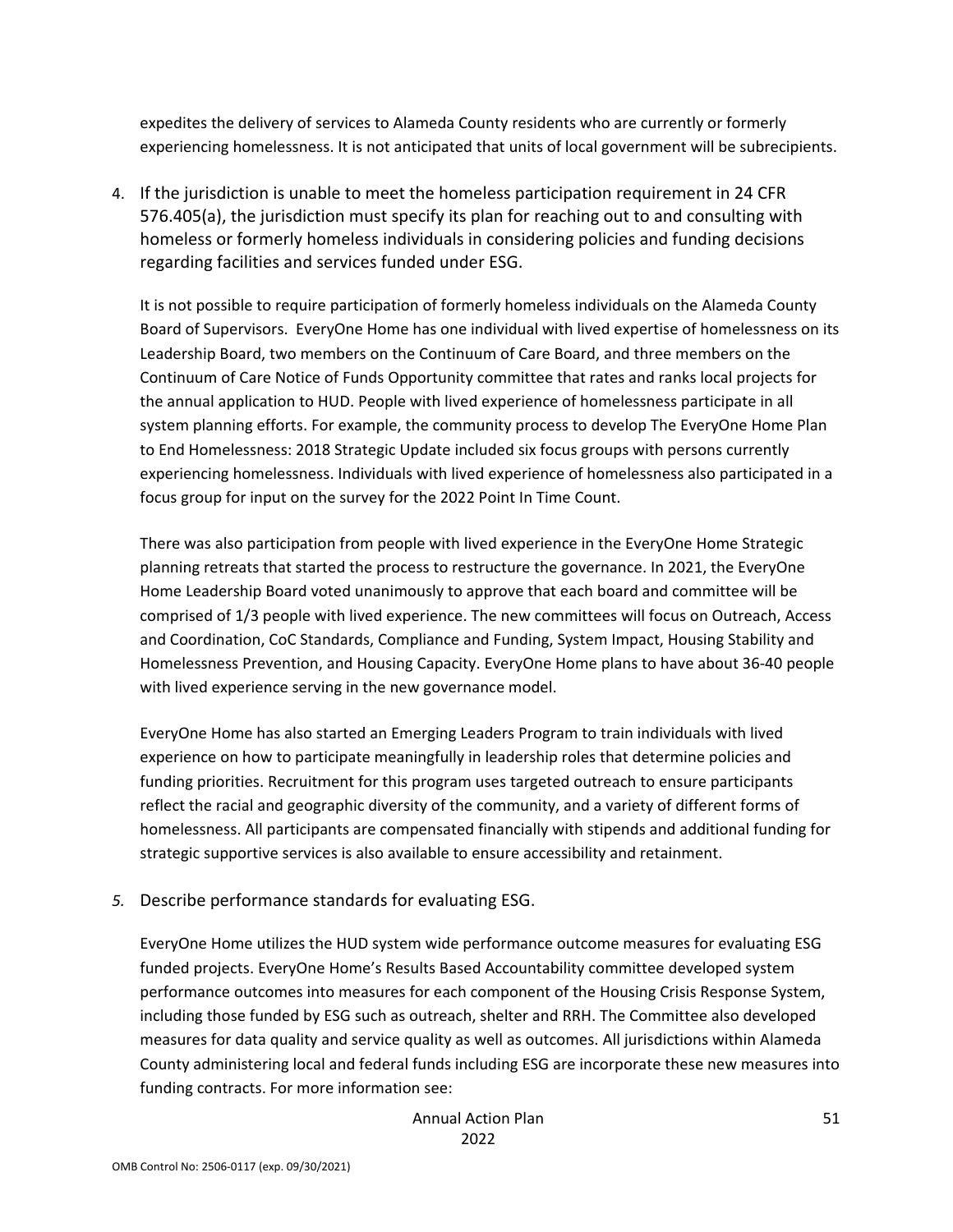expedites the delivery of services to Alameda County residents who are currently or formerly experiencing homelessness. It is not anticipated that units of local government will be subrecipients.

4. If the jurisdiction is unable to meet the homeless participation requirement in 24 CFR 576.405(a), the jurisdiction must specify its plan for reaching out to and consulting with homeless or formerly homeless individuals in considering policies and funding decisions regarding facilities and services funded under ESG.

It is not possible to require participation of formerly homeless individuals on the Alameda County Board of Supervisors. EveryOne Home has one individual with lived expertise of homelessness on its Leadership Board, two members on the Continuum of Care Board, and three members on the Continuum of Care Notice of Funds Opportunity committee that rates and ranks local projects for the annual application to HUD. People with lived experience of homelessness participate in all system planning efforts. For example, the community process to develop The EveryOne Home Plan to End Homelessness: 2018 Strategic Update included six focus groups with persons currently experiencing homelessness. Individuals with lived experience of homelessness also participated in a focus group for input on the survey for the 2022 Point In Time Count.

There was also participation from people with lived experience in the EveryOne Home Strategic planning retreats that started the process to restructure the governance. In 2021, the EveryOne Home Leadership Board voted unanimously to approve that each board and committee will be comprised of 1/3 people with lived experience. The new committees will focus on Outreach, Access and Coordination, CoC Standards, Compliance and Funding, System Impact, Housing Stability and Homelessness Prevention, and Housing Capacity. EveryOne Home plans to have about 36‐40 people with lived experience serving in the new governance model.

EveryOne Home has also started an Emerging Leaders Program to train individuals with lived experience on how to participate meaningfully in leadership roles that determine policies and funding priorities. Recruitment for this program uses targeted outreach to ensure participants reflect the racial and geographic diversity of the community, and a variety of different forms of homelessness. All participants are compensated financially with stipends and additional funding for strategic supportive services is also available to ensure accessibility and retainment.

*5.* Describe performance standards for evaluating ESG.

EveryOne Home utilizes the HUD system wide performance outcome measures for evaluating ESG funded projects. EveryOne Home's Results Based Accountability committee developed system performance outcomes into measures for each component of the Housing Crisis Response System, including those funded by ESG such as outreach, shelter and RRH. The Committee also developed measures for data quality and service quality as well as outcomes. All jurisdictions within Alameda County administering local and federal funds including ESG are incorporate these new measures into funding contracts. For more information see: